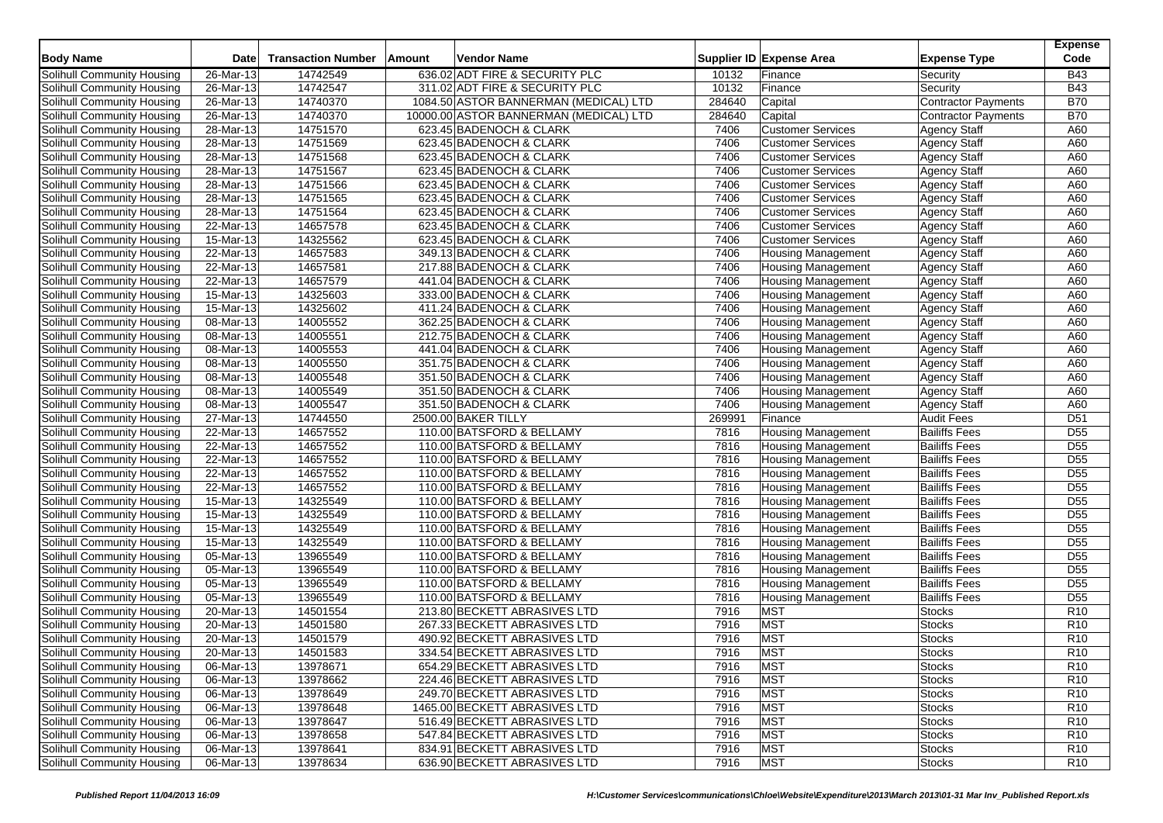| <b>Body Name</b>           | <b>Date</b>             | <b>Transaction Number</b> | Amount | <b>Vendor Name</b>                     |        | Supplier ID Expense Area  | <b>Expense Type</b>        | <b>Expense</b><br>Code |
|----------------------------|-------------------------|---------------------------|--------|----------------------------------------|--------|---------------------------|----------------------------|------------------------|
| Solihull Community Housing | 26-Mar-13               | 14742549                  |        | 636.02 ADT FIRE & SECURITY PLC         | 10132  | Finance                   | Security                   | <b>B43</b>             |
| Solihull Community Housing | 26-Mar-13               | 14742547                  |        | 311.02 ADT FIRE & SECURITY PLC         | 10132  | Finance                   | Security                   | <b>B43</b>             |
| Solihull Community Housing | 26-Mar-13               | 14740370                  |        | 1084.50 ASTOR BANNERMAN (MEDICAL) LTD  | 284640 | Capital                   | Contractor Payments        | <b>B70</b>             |
| Solihull Community Housing | 26-Mar-13               | 14740370                  |        | 10000.00 ASTOR BANNERMAN (MEDICAL) LTD | 284640 | Capital                   | <b>Contractor Payments</b> | <b>B70</b>             |
| Solihull Community Housing | 28-Mar-13               | 14751570                  |        | 623.45 BADENOCH & CLARK                | 7406   | <b>Customer Services</b>  | <b>Agency Staff</b>        | A60                    |
| Solihull Community Housing | 28-Mar-13               | 14751569                  |        | 623.45 BADENOCH & CLARK                | 7406   | <b>Customer Services</b>  | <b>Agency Staff</b>        | A60                    |
| Solihull Community Housing | 28-Mar-13               | 14751568                  |        | 623.45 BADENOCH & CLARK                | 7406   | <b>Customer Services</b>  | <b>Agency Staff</b>        | A60                    |
| Solihull Community Housing | 28-Mar-13               | 14751567                  |        | 623.45 BADENOCH & CLARK                | 7406   | <b>Customer Services</b>  | <b>Agency Staff</b>        | A60                    |
| Solihull Community Housing | 28-Mar-13               | 14751566                  |        | 623.45 BADENOCH & CLARK                | 7406   | <b>Customer Services</b>  | <b>Agency Staff</b>        | A60                    |
| Solihull Community Housing | 28-Mar-13               | 14751565                  |        | 623.45 BADENOCH & CLARK                | 7406   | <b>Customer Services</b>  | <b>Agency Staff</b>        | A60                    |
| Solihull Community Housing | 28-Mar-13               | 14751564                  |        | 623.45 BADENOCH & CLARK                | 7406   | <b>Customer Services</b>  | <b>Agency Staff</b>        | A60                    |
| Solihull Community Housing | 22-Mar-13               | 14657578                  |        | 623.45 BADENOCH & CLARK                | 7406   | <b>Customer Services</b>  | <b>Agency Staff</b>        | A60                    |
| Solihull Community Housing | 15-Mar-13               | 14325562                  |        | 623.45 BADENOCH & CLARK                | 7406   | <b>Customer Services</b>  | <b>Agency Staff</b>        | A60                    |
| Solihull Community Housing | 22-Mar-13               | 14657583                  |        | 349.13 BADENOCH & CLARK                | 7406   | <b>Housing Management</b> | <b>Agency Staff</b>        | A60                    |
| Solihull Community Housing | 22-Mar-13               | 14657581                  |        | 217.88 BADENOCH & CLARK                | 7406   | <b>Housing Management</b> | <b>Agency Staff</b>        | A60                    |
| Solihull Community Housing | 22-Mar-13               | 14657579                  |        | 441.04 BADENOCH & CLARK                | 7406   | <b>Housing Management</b> | <b>Agency Staff</b>        | A60                    |
| Solihull Community Housing | 15-Mar-13               | 14325603                  |        | 333.00 BADENOCH & CLARK                | 7406   | <b>Housing Management</b> | <b>Agency Staff</b>        | A60                    |
| Solihull Community Housing | 15-Mar-13               | 14325602                  |        | 411.24 BADENOCH & CLARK                | 7406   | <b>Housing Management</b> | <b>Agency Staff</b>        | A60                    |
| Solihull Community Housing | $\overline{08}$ -Mar-13 | 14005552                  |        | 362.25 BADENOCH & CLARK                | 7406   | <b>Housing Management</b> | <b>Agency Staff</b>        | A60                    |
| Solihull Community Housing | 08-Mar-13               | 14005551                  |        | 212.75 BADENOCH & CLARK                | 7406   | <b>Housing Management</b> | <b>Agency Staff</b>        | A60                    |
| Solihull Community Housing | 08-Mar-13               | 14005553                  |        | 441.04 BADENOCH & CLARK                | 7406   | <b>Housing Management</b> | <b>Agency Staff</b>        | A60                    |
| Solihull Community Housing | 08-Mar-13               | 14005550                  |        | 351.75 BADENOCH & CLARK                | 7406   | <b>Housing Management</b> | <b>Agency Staff</b>        | A60                    |
| Solihull Community Housing | 08-Mar-13               | 14005548                  |        | 351.50 BADENOCH & CLARK                | 7406   | <b>Housing Management</b> | <b>Agency Staff</b>        | A60                    |
| Solihull Community Housing | 08-Mar-13               | 14005549                  |        | 351.50 BADENOCH & CLARK                | 7406   | <b>Housing Management</b> | <b>Agency Staff</b>        | A60                    |
| Solihull Community Housing | 08-Mar-13               | 14005547                  |        | 351.50 BADENOCH & CLARK                | 7406   | Housing Management        | <b>Agency Staff</b>        | A60                    |
| Solihull Community Housing | 27-Mar-13               | 14744550                  |        | 2500.00 BAKER TILLY                    | 269991 | Finance                   | <b>Audit Fees</b>          | D <sub>51</sub>        |
| Solihull Community Housing | 22-Mar-13               | 14657552                  |        | 110.00 BATSFORD & BELLAMY              | 7816   | <b>Housing Management</b> | <b>Bailiffs Fees</b>       | D <sub>55</sub>        |
| Solihull Community Housing | 22-Mar-13               | 14657552                  |        | 110.00 BATSFORD & BELLAMY              | 7816   | <b>Housing Management</b> | <b>Bailiffs Fees</b>       | D <sub>55</sub>        |
| Solihull Community Housing | 22-Mar-13               | 14657552                  |        | 110.00 BATSFORD & BELLAMY              | 7816   | <b>Housing Management</b> | <b>Bailiffs Fees</b>       | D <sub>55</sub>        |
| Solihull Community Housing | 22-Mar-13               | 14657552                  |        | 110.00 BATSFORD & BELLAMY              | 7816   | <b>Housing Management</b> | <b>Bailiffs Fees</b>       | D <sub>55</sub>        |
| Solihull Community Housing | 22-Mar-13               | 14657552                  |        | 110.00 BATSFORD & BELLAMY              | 7816   | <b>Housing Management</b> | <b>Bailiffs Fees</b>       | D <sub>55</sub>        |
| Solihull Community Housing | 15-Mar-13               | 14325549                  |        | 110.00 BATSFORD & BELLAMY              | 7816   | <b>Housing Management</b> | <b>Bailiffs Fees</b>       | D <sub>55</sub>        |
| Solihull Community Housing | 15-Mar-13               | 14325549                  |        | 110.00 BATSFORD & BELLAMY              | 7816   | <b>Housing Management</b> | <b>Bailiffs Fees</b>       | D <sub>55</sub>        |
| Solihull Community Housing | 15-Mar-13               | 14325549                  |        | 110.00 BATSFORD & BELLAMY              | 7816   | <b>Housing Management</b> | <b>Bailiffs Fees</b>       | $\overline{D55}$       |
| Solihull Community Housing | $15$ -Mar-13            | 14325549                  |        | 110.00 BATSFORD & BELLAMY              | 7816   | <b>Housing Management</b> | <b>Bailiffs Fees</b>       | D <sub>55</sub>        |
| Solihull Community Housing | 05-Mar-13               | 13965549                  |        | 110.00 BATSFORD & BELLAMY              | 7816   | <b>Housing Management</b> | <b>Bailiffs Fees</b>       | $\overline{D55}$       |
| Solihull Community Housing | 05-Mar-13               | 13965549                  |        | 110.00 BATSFORD & BELLAMY              | 7816   | <b>Housing Management</b> | <b>Bailiffs Fees</b>       | D <sub>55</sub>        |
| Solihull Community Housing | $\overline{05}$ -Mar-13 | 13965549                  |        | 110.00 BATSFORD & BELLAMY              | 7816   | <b>Housing Management</b> | <b>Bailiffs Fees</b>       | D <sub>55</sub>        |
| Solihull Community Housing | 05-Mar-13               | 13965549                  |        | 110.00 BATSFORD & BELLAMY              | 7816   | <b>Housing Management</b> | <b>Bailiffs Fees</b>       | D <sub>55</sub>        |
| Solihull Community Housing | 20-Mar-13               | 14501554                  |        | 213.80 BECKETT ABRASIVES LTD           | 7916   | <b>MST</b>                | <b>Stocks</b>              | R <sub>10</sub>        |
| Solihull Community Housing | 20-Mar-13               | 14501580                  |        | 267.33 BECKETT ABRASIVES LTD           | 7916   | <b>MST</b>                | <b>Stocks</b>              | R <sub>10</sub>        |
| Solihull Community Housing | 20-Mar-13               | 14501579                  |        | 490.92 BECKETT ABRASIVES LTD           | 7916   | <b>MST</b>                | <b>Stocks</b>              | R <sub>10</sub>        |
| Solihull Community Housing | 20-Mar-13               | 14501583                  |        | 334.54 BECKETT ABRASIVES LTD           | 7916   | <b>MST</b>                | Stocks                     | R <sub>10</sub>        |
| Solihull Community Housing | 06-Mar-13               | 13978671                  |        | 654.29 BECKETT ABRASIVES LTD           | 7916   | <b>MST</b>                | <b>Stocks</b>              | R <sub>10</sub>        |
| Solihull Community Housing | 06-Mar-13               | 13978662                  |        | 224.46 BECKETT ABRASIVES LTD           | 7916   | <b>MST</b>                | <b>Stocks</b>              | R <sub>10</sub>        |
| Solihull Community Housing | 06-Mar-13               | 13978649                  |        | 249.70 BECKETT ABRASIVES LTD           | 7916   | <b>MST</b>                | <b>Stocks</b>              | R <sub>10</sub>        |
| Solihull Community Housing | $\overline{06}$ -Mar-13 | 13978648                  |        | 1465.00 BECKETT ABRASIVES LTD          | 7916   | <b>MST</b>                | <b>Stocks</b>              | R <sub>10</sub>        |
| Solihull Community Housing | 06-Mar-13               | 13978647                  |        | 516.49 BECKETT ABRASIVES LTD           | 7916   | <b>MST</b>                | <b>Stocks</b>              | R <sub>10</sub>        |
| Solihull Community Housing | 06-Mar-13               | 13978658                  |        | 547.84 BECKETT ABRASIVES LTD           | 7916   | <b>MST</b>                | <b>Stocks</b>              | R <sub>10</sub>        |
| Solihull Community Housing | 06-Mar-13               | 13978641                  |        | 834.91 BECKETT ABRASIVES LTD           | 7916   | <b>MST</b>                | <b>Stocks</b>              | R <sub>10</sub>        |
| Solihull Community Housing | 06-Mar-13               | 13978634                  |        | 636.90 BECKETT ABRASIVES LTD           | 7916   | <b>MST</b>                | <b>Stocks</b>              | R10                    |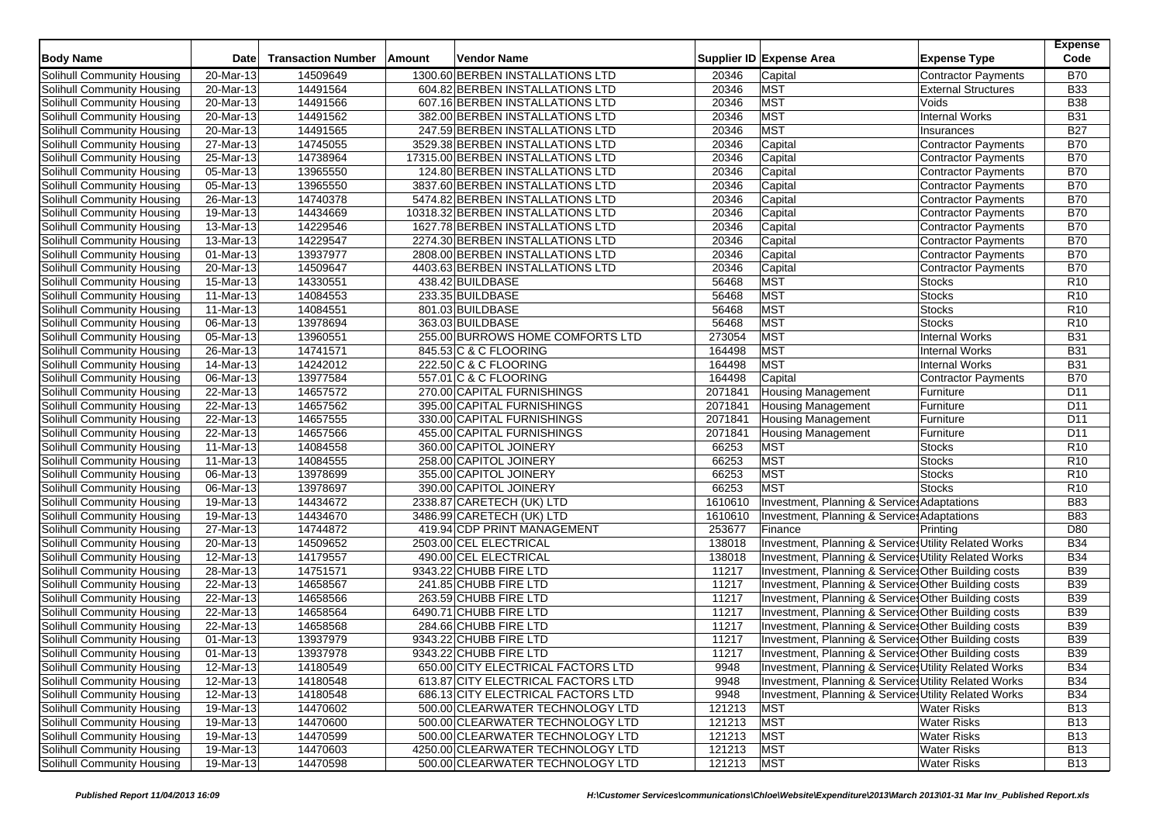| <b>Body Name</b>                  | <b>Date</b>             | <b>Transaction Number</b> | Amount | <b>Vendor Name</b>                 |            | Supplier ID Expense Area                               | <b>Expense Type</b>        | <b>Expense</b><br>Code |
|-----------------------------------|-------------------------|---------------------------|--------|------------------------------------|------------|--------------------------------------------------------|----------------------------|------------------------|
| Solihull Community Housing        | 20-Mar-13               | 14509649                  |        | 1300.60 BERBEN INSTALLATIONS LTD   | 20346      | Capital                                                | Contractor Payments        | <b>B70</b>             |
| Solihull Community Housing        | 20-Mar-13               | 14491564                  |        | 604.82 BERBEN INSTALLATIONS LTD    | 20346      | <b>MST</b>                                             | <b>External Structures</b> | <b>B33</b>             |
| Solihull Community Housing        | 20-Mar-13               | 14491566                  |        | 607.16 BERBEN INSTALLATIONS LTD    | 20346      | <b>MST</b>                                             | Voids                      | <b>B38</b>             |
| Solihull Community Housing        | 20-Mar-13               | 14491562                  |        | 382.00 BERBEN INSTALLATIONS LTD    | 20346      | <b>MST</b>                                             | <b>Internal Works</b>      | <b>B31</b>             |
| Solihull Community Housing        | 20-Mar-13               | 14491565                  |        | 247.59 BERBEN INSTALLATIONS LTD    | 20346      | <b>MST</b>                                             | Insurances                 | <b>B27</b>             |
| Solihull Community Housing        | 27-Mar-13               | 14745055                  |        | 3529.38 BERBEN INSTALLATIONS LTD   | 20346      | Capital                                                | <b>Contractor Payments</b> | <b>B70</b>             |
| Solihull Community Housing        | 25-Mar-13               | 14738964                  |        | 17315.00 BERBEN INSTALLATIONS LTD  | 20346      | Capital                                                | <b>Contractor Payments</b> | <b>B70</b>             |
| Solihull Community Housing        | 05-Mar-13               | 13965550                  |        | 124.80 BERBEN INSTALLATIONS LTD    | 20346      | Capital                                                | <b>Contractor Payments</b> | <b>B70</b>             |
| Solihull Community Housing        | $05$ -Mar-13            | 13965550                  |        | 3837.60 BERBEN INSTALLATIONS LTD   | 20346      | Capital                                                | <b>Contractor Payments</b> | <b>B70</b>             |
| Solihull Community Housing        | 26-Mar-13               | 14740378                  |        | 5474.82 BERBEN INSTALLATIONS LTD   | 20346      | Capital                                                | <b>Contractor Payments</b> | <b>B70</b>             |
| Solihull Community Housing        | 19-Mar-13               | 14434669                  |        | 10318.32 BERBEN INSTALLATIONS LTD  | 20346      | Capital                                                | <b>Contractor Payments</b> | <b>B70</b>             |
| Solihull Community Housing        | 13-Mar-13               | 14229546                  |        | 1627.78 BERBEN INSTALLATIONS LTD   | 20346      | Capital                                                | <b>Contractor Payments</b> | <b>B70</b>             |
| Solihull Community Housing        | 13-Mar-13               | 14229547                  |        | 2274.30 BERBEN INSTALLATIONS LTD   | 20346      | Capital                                                | Contractor Payments        | <b>B70</b>             |
| Solihull Community Housing        | 01-Mar-13               | 13937977                  |        | 2808.00 BERBEN INSTALLATIONS LTD   | 20346      | Capital                                                | <b>Contractor Payments</b> | <b>B70</b>             |
| Solihull Community Housing        | 20-Mar-13               | 14509647                  |        | 4403.63 BERBEN INSTALLATIONS LTD   | 20346      | Capital                                                | Contractor Payments        | <b>B70</b>             |
| Solihull Community Housing        | 15-Mar-13               | 14330551                  |        | 438.42 BUILDBASE                   | 56468      | <b>MST</b>                                             | <b>Stocks</b>              | R <sub>10</sub>        |
| Solihull Community Housing        | 11-Mar-13               | 14084553                  |        | 233.35 BUILDBASE                   | 56468      | <b>MST</b>                                             | <b>Stocks</b>              | R <sub>10</sub>        |
| Solihull Community Housing        | 11-Mar-13               | 14084551                  |        | 801.03 BUILDBASE                   | 56468      | <b>MST</b>                                             | <b>Stocks</b>              | R <sub>10</sub>        |
| Solihull Community Housing        | 06-Mar-13               | 13978694                  |        | 363.03 BUILDBASE                   | 56468      | <b>MST</b>                                             | <b>Stocks</b>              | R <sub>10</sub>        |
| Solihull Community Housing        | 05-Mar-13               | 13960551                  |        | 255.00 BURROWS HOME COMFORTS LTD   | 273054     | <b>MST</b>                                             | <b>Internal Works</b>      | <b>B31</b>             |
| Solihull Community Housing        | 26-Mar-13               | 14741571                  |        | 845.53 C & C FLOORING              | 164498     | <b>MST</b>                                             | <b>Internal Works</b>      | <b>B31</b>             |
| Solihull Community Housing        | 14-Mar-13               | 14242012                  |        | 222.50 C & C FLOORING              | 164498     | <b>MST</b>                                             | <b>Internal Works</b>      | <b>B31</b>             |
| Solihull Community Housing        | 06-Mar-13               | 13977584                  |        | 557.01 C & C FLOORING              | 164498     | Capital                                                | <b>Contractor Payments</b> | <b>B70</b>             |
| Solihull Community Housing        | 22-Mar-13               | 14657572                  |        | 270.00 CAPITAL FURNISHINGS         | 2071841    | <b>Housing Management</b>                              | Furniture                  | D11                    |
| Solihull Community Housing        | $\overline{22}$ -Mar-13 | 14657562                  |        | 395.00 CAPITAL FURNISHINGS         | 2071841    | <b>Housing Management</b>                              | Furniture                  | D11                    |
| Solihull Community Housing        | 22-Mar-13               | 14657555                  |        | 330.00 CAPITAL FURNISHINGS         | 2071841    | <b>Housing Management</b>                              | Furniture                  | D <sub>11</sub>        |
| Solihull Community Housing        | 22-Mar-13               | 14657566                  |        | 455.00 CAPITAL FURNISHINGS         | 2071841    | Housing Management                                     | Furniture                  | D11                    |
| Solihull Community Housing        | 11-Mar-13               | 14084558                  |        | 360.00 CAPITOL JOINERY             | 66253      | <b>MST</b>                                             | <b>Stocks</b>              | R <sub>10</sub>        |
| Solihull Community Housing        | 11-Mar-13               | 14084555                  |        | 258.00 CAPITOL JOINERY             | 66253      | <b>MST</b>                                             | Stocks                     | R <sub>10</sub>        |
| Solihull Community Housing        | 06-Mar-13               | 13978699                  |        | 355.00 CAPITOL JOINERY             | 66253      | <b>MST</b>                                             | <b>Stocks</b>              | R <sub>10</sub>        |
| Solihull Community Housing        | 06-Mar-13               | 13978697                  |        | 390.00 CAPITOL JOINERY             | 66253      | <b>MST</b>                                             | <b>Stocks</b>              | R <sub>10</sub>        |
| Solihull Community Housing        | 19-Mar-13               | 14434672                  |        | 2338.87 CARETECH (UK) LTD          | 1610610    | <b>Investment, Planning &amp; Services Adaptations</b> |                            | <b>B83</b>             |
| Solihull Community Housing        | 19-Mar-13               | 14434670                  |        | 3486.99 CARETECH (UK) LTD          | 1610610    | Investment, Planning & Services Adaptations            |                            | <b>B83</b>             |
| Solihull Community Housing        | 27-Mar-13               | 14744872                  |        | 419.94 CDP PRINT MANAGEMENT        | 253677     | Finance                                                | Printing                   | D80                    |
| Solihull Community Housing        | 20-Mar-13               | 14509652                  |        | 2503.00 CEL ELECTRICAL             | 138018     | Investment, Planning & Services Utility Related Works  |                            | <b>B34</b>             |
| Solihull Community Housing        | 12-Mar-13               | 14179557                  |        | 490.00 CEL ELECTRICAL              | 138018     | Investment, Planning & Services Utility Related Works  |                            | <b>B34</b>             |
| Solihull Community Housing        | 28-Mar-13               | 14751571                  |        | 9343.22 CHUBB FIRE LTD             | 11217      | Investment, Planning & Service: Other Building costs   |                            | <b>B39</b>             |
| Solihull Community Housing        | 22-Mar-13               | 14658567                  |        | 241.85 CHUBB FIRE LTD              | 11217      | Investment, Planning & Service: Other Building costs   |                            | <b>B39</b>             |
| Solihull Community Housing        | 22-Mar-13               | 14658566                  |        | 263.59 CHUBB FIRE LTD              | 11217      | Investment, Planning & Service Other Building costs    |                            | <b>B39</b>             |
| Solihull Community Housing        | 22-Mar-13               | 14658564                  |        | 6490.71 CHUBB FIRE LTD             | 11217      | Investment, Planning & Service: Other Building costs   |                            | <b>B39</b>             |
| Solihull Community Housing        | 22-Mar-13               | 14658568                  |        | 284.66 CHUBB FIRE LTD              | 11217      | Investment, Planning & Service: Other Building costs   |                            | <b>B39</b>             |
| Solihull Community Housing        | 01-Mar-13               | 13937979                  |        | 9343.22 CHUBB FIRE LTD             | 11217      | Investment, Planning & Service Other Building costs    |                            | <b>B39</b>             |
| Solihull Community Housing        | 01-Mar-13               | 13937978                  |        | 9343.22 CHUBB FIRE LTD             | 11217      | Investment, Planning & Service Other Building costs    |                            | <b>B39</b>             |
| Solihull Community Housing        | 12-Mar-13               | 14180549                  |        | 650.00 CITY ELECTRICAL FACTORS LTD | 9948       | Investment, Planning & Services Utility Related Works  |                            | <b>B34</b>             |
| Solihull Community Housing        | 12-Mar-13               | 14180548                  |        | 613.87 CITY ELECTRICAL FACTORS LTD | 9948       | Investment, Planning & Services Utility Related Works  |                            | <b>B34</b>             |
| Solihull Community Housing        | 12-Mar-13               | 14180548                  |        | 686.13 CITY ELECTRICAL FACTORS LTD | 9948       | Investment, Planning & Services Utility Related Works  |                            | <b>B34</b>             |
| Solihull Community Housing        | 19-Mar-13               | 14470602                  |        | 500.00 CLEARWATER TECHNOLOGY LTD   | 121213     | <b>MST</b>                                             | <b>Water Risks</b>         | <b>B13</b>             |
| Solihull Community Housing        | 19-Mar-13               | 14470600                  |        | 500.00 CLEARWATER TECHNOLOGY LTD   | 121213     | <b>MST</b>                                             | <b>Water Risks</b>         | <b>B13</b>             |
| Solihull Community Housing        | 19-Mar-13               | 14470599                  |        | 500.00 CLEARWATER TECHNOLOGY LTD   | 121213     | <b>MST</b>                                             | <b>Water Risks</b>         | <b>B13</b>             |
| <b>Solihull Community Housing</b> | 19-Mar-13               | 14470603                  |        | 4250.00 CLEARWATER TECHNOLOGY LTD  | 121213     | MST                                                    | <b>Water Risks</b>         | <b>B13</b>             |
| Solihull Community Housing        | 19-Mar-13               | 14470598                  |        | 500.00 CLEARWATER TECHNOLOGY LTD   | 121213 MST |                                                        | <b>Water Risks</b>         | <b>B13</b>             |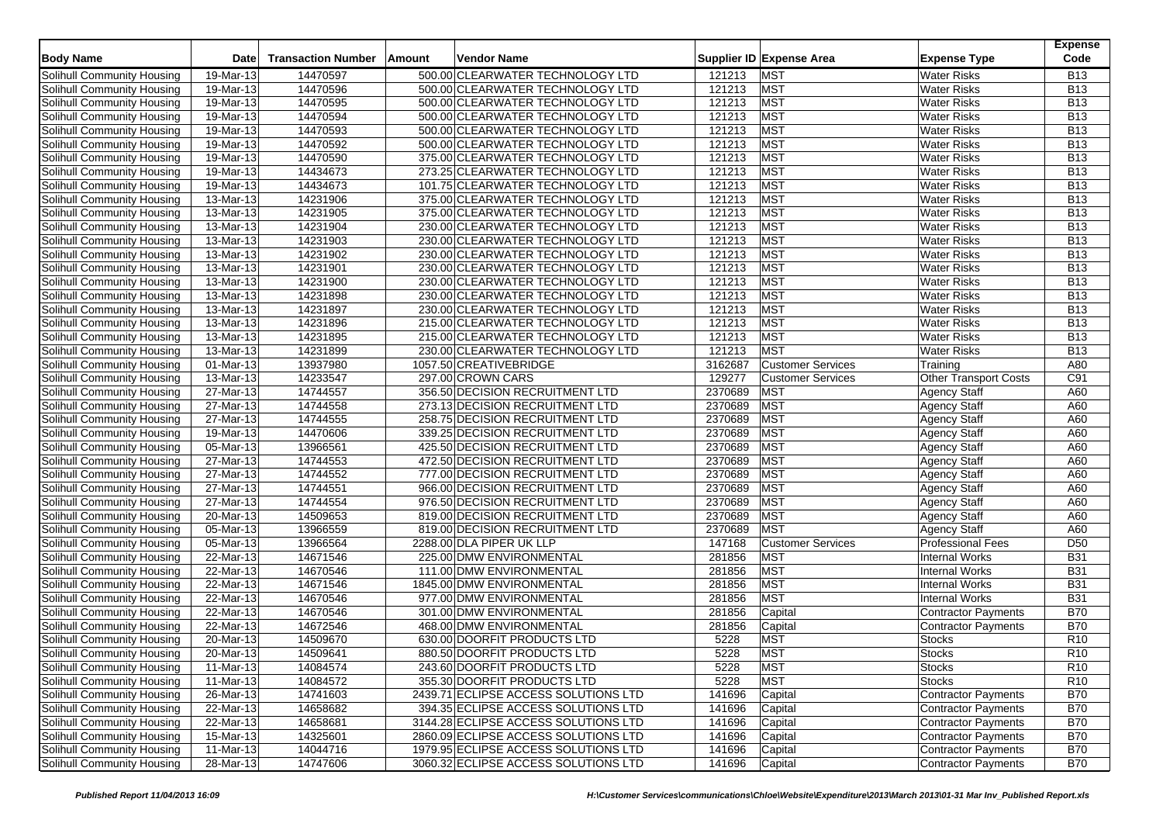| <b>Body Name</b>           | Date         | <b>Transaction Number</b> | Amount | <b>Vendor Name</b>                   |         | Supplier ID Expense Area | <b>Expense Type</b>          | <b>Expense</b><br>Code |
|----------------------------|--------------|---------------------------|--------|--------------------------------------|---------|--------------------------|------------------------------|------------------------|
| Solihull Community Housing | 19-Mar-13    | 14470597                  |        | 500.00 CLEARWATER TECHNOLOGY LTD     | 121213  | <b>MST</b>               | <b>Water Risks</b>           | <b>B13</b>             |
| Solihull Community Housing | 19-Mar-13    | 14470596                  |        | 500.00 CLEARWATER TECHNOLOGY LTD     | 121213  | MST                      | <b>Water Risks</b>           | <b>B13</b>             |
| Solihull Community Housing | 19-Mar-13    | 14470595                  |        | 500.00 CLEARWATER TECHNOLOGY LTD     | 121213  | <b>MST</b>               | <b>Water Risks</b>           | <b>B13</b>             |
| Solihull Community Housing | 19-Mar-13    | 14470594                  |        | 500.00 CLEARWATER TECHNOLOGY LTD     | 121213  | MST                      | <b>Water Risks</b>           | <b>B13</b>             |
| Solihull Community Housing | 19-Mar-13    | 14470593                  |        | 500.00 CLEARWATER TECHNOLOGY LTD     | 121213  | MST                      | <b>Water Risks</b>           | <b>B13</b>             |
| Solihull Community Housing | 19-Mar-13    | 14470592                  |        | 500.00 CLEARWATER TECHNOLOGY LTD     | 121213  | <b>MST</b>               | <b>Water Risks</b>           | <b>B13</b>             |
| Solihull Community Housing | 19-Mar-13    | 14470590                  |        | 375.00 CLEARWATER TECHNOLOGY LTD     | 121213  | <b>MST</b>               | <b>Water Risks</b>           | <b>B13</b>             |
| Solihull Community Housing | 19-Mar-13    | 14434673                  |        | 273.25 CLEARWATER TECHNOLOGY LTD     | 121213  | <b>MST</b>               | <b>Water Risks</b>           | <b>B13</b>             |
| Solihull Community Housing | 19-Mar-13    | 14434673                  |        | 101.75 CLEARWATER TECHNOLOGY LTD     | 121213  | <b>MST</b>               | <b>Water Risks</b>           | <b>B13</b>             |
| Solihull Community Housing | 13-Mar-13    | 14231906                  |        | 375.00 CLEARWATER TECHNOLOGY LTD     | 121213  | MST                      | <b>Water Risks</b>           | <b>B13</b>             |
| Solihull Community Housing | 13-Mar-13    | 14231905                  |        | 375.00 CLEARWATER TECHNOLOGY LTD     | 121213  | MST                      | <b>Water Risks</b>           | <b>B13</b>             |
| Solihull Community Housing | 13-Mar-13    | 14231904                  |        | 230.00 CLEARWATER TECHNOLOGY LTD     | 121213  | <b>MST</b>               | <b>Water Risks</b>           | <b>B13</b>             |
| Solihull Community Housing | 13-Mar-13    | 14231903                  |        | 230.00 CLEARWATER TECHNOLOGY LTD     | 121213  | <b>MST</b>               | <b>Water Risks</b>           | <b>B13</b>             |
| Solihull Community Housing | 13-Mar-13    | 14231902                  |        | 230.00 CLEARWATER TECHNOLOGY LTD     | 121213  | <b>MST</b>               | <b>Water Risks</b>           | <b>B13</b>             |
| Solihull Community Housing | 13-Mar-13    | 14231901                  |        | 230.00 CLEARWATER TECHNOLOGY LTD     | 121213  | <b>MST</b>               | <b>Water Risks</b>           | <b>B13</b>             |
| Solihull Community Housing | 13-Mar-13    | 14231900                  |        | 230.00 CLEARWATER TECHNOLOGY LTD     | 121213  | <b>MST</b>               | <b>Water Risks</b>           | <b>B13</b>             |
| Solihull Community Housing | 13-Mar-13    | 14231898                  |        | 230.00 CLEARWATER TECHNOLOGY LTD     | 121213  | <b>MST</b>               | <b>Water Risks</b>           | <b>B13</b>             |
| Solihull Community Housing | 13-Mar-13    | 14231897                  |        | 230.00 CLEARWATER TECHNOLOGY LTD     | 121213  | <b>MST</b>               | <b>Water Risks</b>           | <b>B13</b>             |
| Solihull Community Housing | 13-Mar-13    | 14231896                  |        | 215.00 CLEARWATER TECHNOLOGY LTD     | 121213  | <b>MST</b>               | <b>Water Risks</b>           | <b>B13</b>             |
| Solihull Community Housing | 13-Mar-13    | 14231895                  |        | 215.00 CLEARWATER TECHNOLOGY LTD     | 121213  | <b>MST</b>               | <b>Water Risks</b>           | <b>B13</b>             |
| Solihull Community Housing | 13-Mar-13    | 14231899                  |        | 230.00 CLEARWATER TECHNOLOGY LTD     | 121213  | <b>MST</b>               | <b>Water Risks</b>           | <b>B13</b>             |
| Solihull Community Housing | 01-Mar-13    | 13937980                  |        | 1057.50 CREATIVEBRIDGE               | 3162687 | <b>Customer Services</b> | Training                     | A80                    |
| Solihull Community Housing | 13-Mar-13    | 14233547                  |        | 297.00 CROWN CARS                    | 129277  | <b>Customer Services</b> | <b>Other Transport Costs</b> | C91                    |
| Solihull Community Housing | 27-Mar-13    | 14744557                  |        | 356.50 DECISION RECRUITMENT LTD      | 2370689 | MST                      | <b>Agency Staff</b>          | A60                    |
| Solihull Community Housing | 27-Mar-13    | 14744558                  |        | 273.13 DECISION RECRUITMENT LTD      | 2370689 | <b>MST</b>               | <b>Agency Staff</b>          | A60                    |
| Solihull Community Housing | 27-Mar-13    | 14744555                  |        | 258.75 DECISION RECRUITMENT LTD      | 2370689 | <b>MST</b>               | <b>Agency Staff</b>          | A60                    |
| Solihull Community Housing | 19-Mar-13    | 14470606                  |        | 339.25 DECISION RECRUITMENT LTD      | 2370689 | <b>MST</b>               | <b>Agency Staff</b>          | A60                    |
| Solihull Community Housing | 05-Mar-13    | 13966561                  |        | 425.50 DECISION RECRUITMENT LTD      | 2370689 | <b>MST</b>               | <b>Agency Staff</b>          | A60                    |
| Solihull Community Housing | 27-Mar-13    | 14744553                  |        | 472.50 DECISION RECRUITMENT LTD      | 2370689 | <b>MST</b>               | <b>Agency Staff</b>          | A60                    |
| Solihull Community Housing | 27-Mar-13    | 14744552                  |        | 777.00 DECISION RECRUITMENT LTD      | 2370689 | <b>MST</b>               | <b>Agency Staff</b>          | A60                    |
| Solihull Community Housing | 27-Mar-13    | 14744551                  |        | 966.00 DECISION RECRUITMENT LTD      | 2370689 | <b>MST</b>               | <b>Agency Staff</b>          | A60                    |
| Solihull Community Housing | 27-Mar-13    | 14744554                  |        | 976.50 DECISION RECRUITMENT LTD      | 2370689 | <b>MST</b>               | <b>Agency Staff</b>          | A60                    |
| Solihull Community Housing | $20$ -Mar-13 | 14509653                  |        | 819.00 DECISION RECRUITMENT LTD      | 2370689 | <b>MST</b>               | <b>Agency Staff</b>          | A60                    |
| Solihull Community Housing | 05-Mar-13    | 13966559                  |        | 819.00 DECISION RECRUITMENT LTD      | 2370689 | <b>MST</b>               | <b>Agency Staff</b>          | A60                    |
| Solihull Community Housing | 05-Mar-13    | 13966564                  |        | 2288.00 DLA PIPER UK LLP             | 147168  | <b>Customer Services</b> | <b>Professional Fees</b>     | D <sub>50</sub>        |
| Solihull Community Housing | 22-Mar-13    | 14671546                  |        | 225.00 DMW ENVIRONMENTAL             | 281856  | <b>MST</b>               | <b>Internal Works</b>        | <b>B31</b>             |
| Solihull Community Housing | 22-Mar-13    | 14670546                  |        | 111.00 DMW ENVIRONMENTAL             | 281856  | <b>MST</b>               | <b>Internal Works</b>        | <b>B31</b>             |
| Solihull Community Housing | 22-Mar-13    | 14671546                  |        | 1845.00 DMW ENVIRONMENTAL            | 281856  | <b>MST</b>               | <b>Internal Works</b>        | <b>B31</b>             |
| Solihull Community Housing | 22-Mar-13    | 14670546                  |        | 977.00 DMW ENVIRONMENTAL             | 281856  | <b>MST</b>               | <b>Internal Works</b>        | <b>B31</b>             |
| Solihull Community Housing | 22-Mar-13    | 14670546                  |        | 301.00 DMW ENVIRONMENTAL             | 281856  | Capital                  | <b>Contractor Payments</b>   | <b>B70</b>             |
| Solihull Community Housing | 22-Mar-13    | 14672546                  |        | 468.00 DMW ENVIRONMENTAL             | 281856  | Capital                  | <b>Contractor Payments</b>   | <b>B70</b>             |
| Solihull Community Housing | 20-Mar-13    | 14509670                  |        | 630.00 DOORFIT PRODUCTS LTD          | 5228    | <b>MST</b>               | <b>Stocks</b>                | R <sub>10</sub>        |
| Solihull Community Housing | 20-Mar-13    | 14509641                  |        | 880.50 DOORFIT PRODUCTS LTD          | 5228    | <b>MST</b>               | <b>Stocks</b>                | R <sub>10</sub>        |
| Solihull Community Housing | 11-Mar-13    | 14084574                  |        | 243.60 DOORFIT PRODUCTS LTD          | 5228    | <b>MST</b>               | <b>Stocks</b>                | R <sub>10</sub>        |
| Solihull Community Housing | 11-Mar-13    | 14084572                  |        | 355.30 DOORFIT PRODUCTS LTD          | 5228    | MST                      | <b>Stocks</b>                | R <sub>10</sub>        |
| Solihull Community Housing | 26-Mar-13    | 14741603                  |        | 2439.71 ECLIPSE ACCESS SOLUTIONS LTD | 141696  | Capital                  | <b>Contractor Payments</b>   | <b>B70</b>             |
| Solihull Community Housing | 22-Mar-13    | 14658682                  |        | 394.35 ECLIPSE ACCESS SOLUTIONS LTD  | 141696  | Capital                  | Contractor Payments          | <b>B70</b>             |
| Solihull Community Housing | 22-Mar-13    | 14658681                  |        | 3144.28 ECLIPSE ACCESS SOLUTIONS LTD | 141696  | Capital                  | Contractor Payments          | <b>B70</b>             |
| Solihull Community Housing | 15-Mar-13    | 14325601                  |        | 2860.09 ECLIPSE ACCESS SOLUTIONS LTD | 141696  | Capital                  | <b>Contractor Payments</b>   | <b>B70</b>             |
| Solihull Community Housing | 11-Mar-13    | 14044716                  |        | 1979.95 ECLIPSE ACCESS SOLUTIONS LTD | 141696  | Capital                  | Contractor Payments          | <b>B70</b>             |
| Solihull Community Housing | 28-Mar-13    | 14747606                  |        | 3060.32 ECLIPSE ACCESS SOLUTIONS LTD | 141696  | Capital                  | Contractor Payments          | <b>B70</b>             |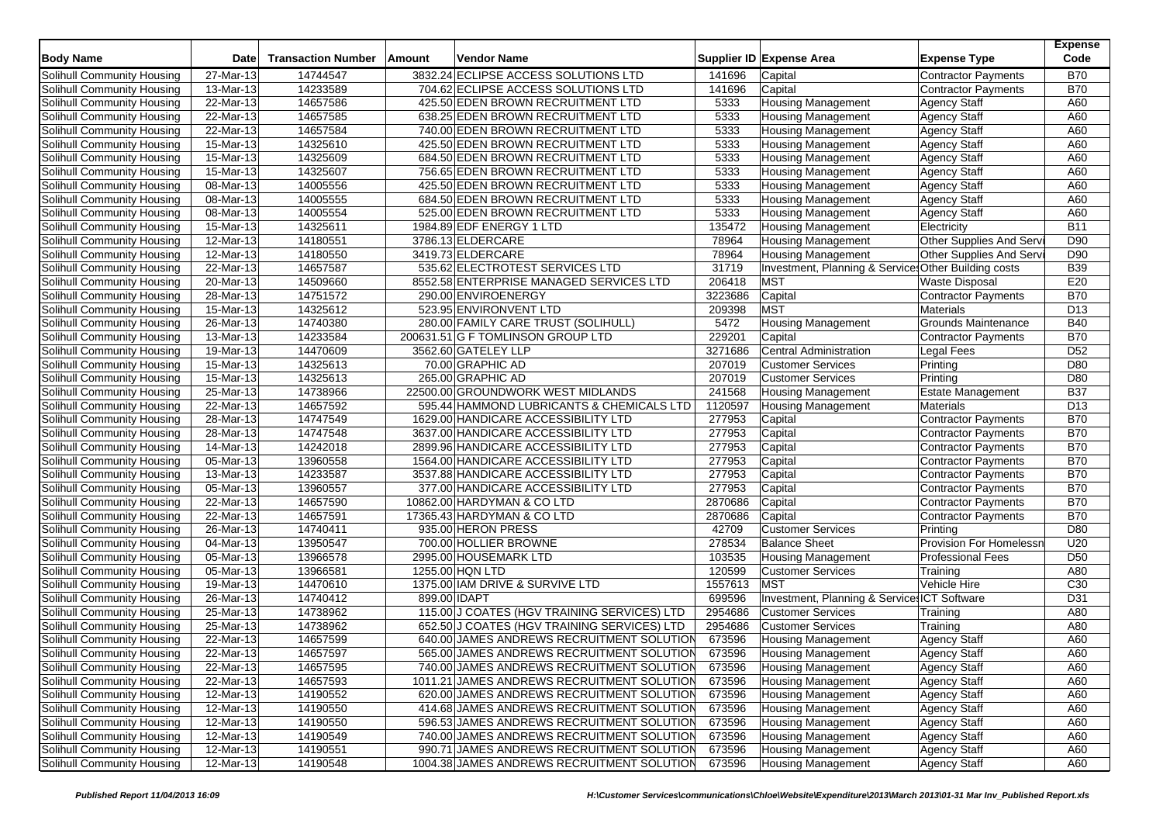| <b>Body Name</b>                  | <b>Date</b>             | <b>Transaction Number</b> | Amount       | <b>Vendor Name</b>                          |         | Supplier ID Expense Area                             | <b>Expense Type</b>        | <b>Expense</b><br>Code |
|-----------------------------------|-------------------------|---------------------------|--------------|---------------------------------------------|---------|------------------------------------------------------|----------------------------|------------------------|
| Solihull Community Housing        | 27-Mar-13               | 14744547                  |              | 3832.24 ECLIPSE ACCESS SOLUTIONS LTD        | 141696  | Capital                                              | <b>Contractor Payments</b> | <b>B70</b>             |
| Solihull Community Housing        | 13-Mar-13               | 14233589                  |              | 704.62 ECLIPSE ACCESS SOLUTIONS LTD         | 141696  | Capital                                              | <b>Contractor Payments</b> | <b>B70</b>             |
| Solihull Community Housing        | 22-Mar-13               | 14657586                  |              | 425.50 EDEN BROWN RECRUITMENT LTD           | 5333    | <b>Housing Management</b>                            | <b>Agency Staff</b>        | A60                    |
| Solihull Community Housing        | 22-Mar-13               | 14657585                  |              | 638.25 EDEN BROWN RECRUITMENT LTD           | 5333    | <b>Housing Management</b>                            | <b>Agency Staff</b>        | A60                    |
| Solihull Community Housing        | 22-Mar-13               | 14657584                  |              | 740.00 EDEN BROWN RECRUITMENT LTD           | 5333    | <b>Housing Management</b>                            | <b>Agency Staff</b>        | A60                    |
| Solihull Community Housing        | 15-Mar-13               | 14325610                  |              | 425.50 EDEN BROWN RECRUITMENT LTD           | 5333    | <b>Housing Management</b>                            | Agency Staff               | A60                    |
| Solihull Community Housing        | 15-Mar-13               | 14325609                  |              | 684.50 EDEN BROWN RECRUITMENT LTD           | 5333    | <b>Housing Management</b>                            | <b>Agency Staff</b>        | A60                    |
| Solihull Community Housing        | 15-Mar-13               | 14325607                  |              | 756.65 EDEN BROWN RECRUITMENT LTD           | 5333    | <b>Housing Management</b>                            | <b>Agency Staff</b>        | A60                    |
| Solihull Community Housing        | $08-Mar-13$             | 14005556                  |              | 425.50 EDEN BROWN RECRUITMENT LTD           | 5333    | <b>Housing Management</b>                            | <b>Agency Staff</b>        | A60                    |
| Solihull Community Housing        | 08-Mar-13               | 14005555                  |              | 684.50 EDEN BROWN RECRUITMENT LTD           | 5333    | <b>Housing Management</b>                            | <b>Agency Staff</b>        | A60                    |
| Solihull Community Housing        | 08-Mar-13               | 14005554                  |              | 525.00 EDEN BROWN RECRUITMENT LTD           | 5333    | <b>Housing Management</b>                            | <b>Agency Staff</b>        | A60                    |
| Solihull Community Housing        | $15$ -Mar-13            | 14325611                  |              | 1984.89 EDF ENERGY 1 LTD                    | 135472  | <b>Housing Management</b>                            | Electricity                | <b>B11</b>             |
| Solihull Community Housing        | 12-Mar-13               | 14180551                  |              | 3786.13 ELDERCARE                           | 78964   | <b>Housing Management</b>                            | Other Supplies And Serv    | D90                    |
| Solihull Community Housing        | 12-Mar-13               | 14180550                  |              | 3419.73 ELDERCARE                           | 78964   | <b>Housing Management</b>                            | Other Supplies And Serv    | D90                    |
| Solihull Community Housing        | 22-Mar-13               | 14657587                  |              | 535.62 ELECTROTEST SERVICES LTD             | 31719   | Investment, Planning & Services Other Building costs |                            | <b>B39</b>             |
| Solihull Community Housing        | 20-Mar-13               | 14509660                  |              | 8552.58 ENTERPRISE MANAGED SERVICES LTD     | 206418  | <b>MST</b>                                           | <b>Waste Disposal</b>      | E20                    |
| Solihull Community Housing        | 28-Mar-13               | 14751572                  |              | 290.00 ENVIROENERGY                         | 3223686 | Capital                                              | <b>Contractor Payments</b> | <b>B70</b>             |
| Solihull Community Housing        | 15-Mar-13               | 14325612                  |              | 523.95 ENVIRONVENT LTD                      | 209398  | <b>MST</b>                                           | <b>Materials</b>           | D <sub>13</sub>        |
| Solihull Community Housing        | 26-Mar-13               | 14740380                  |              | 280.00 FAMILY CARE TRUST (SOLIHULL)         | 5472    | <b>Housing Management</b>                            | Grounds Maintenance        | <b>B40</b>             |
| Solihull Community Housing        | 13-Mar-13               | 14233584                  |              | 200631.51 G F TOMLINSON GROUP LTD           | 229201  | Capital                                              | <b>Contractor Payments</b> | <b>B70</b>             |
| Solihull Community Housing        | 19-Mar-13               | 14470609                  |              | 3562.60 GATELEY LLP                         | 3271686 | <b>Central Administration</b>                        | <b>Legal Fees</b>          | D <sub>52</sub>        |
| <b>Solihull Community Housing</b> | $15-Mar-13$             | 14325613                  |              | 70.00 GRAPHIC AD                            | 207019  | <b>Customer Services</b>                             | Printing                   | D80                    |
| Solihull Community Housing        | 15-Mar-13               | 14325613                  |              | 265.00 GRAPHIC AD                           | 207019  | <b>Customer Services</b>                             | Printing                   | D80                    |
| Solihull Community Housing        | $25$ -Mar-13            | 14738966                  |              | 22500.00 GROUNDWORK WEST MIDLANDS           | 241568  | <b>Housing Management</b>                            | <b>Estate Management</b>   | <b>B37</b>             |
| Solihull Community Housing        | 22-Mar-13               | 14657592                  |              | 595.44 HAMMOND LUBRICANTS & CHEMICALS LTD   | 1120597 | <b>Housing Management</b>                            | <b>Materials</b>           | D <sub>13</sub>        |
| Solihull Community Housing        | 28-Mar-13               | 14747549                  |              | 1629.00 HANDICARE ACCESSIBILITY LTD         | 277953  | Capital                                              | <b>Contractor Payments</b> | <b>B70</b>             |
| Solihull Community Housing        | 28-Mar-13               | 14747548                  |              | 3637.00 HANDICARE ACCESSIBILITY LTD         | 277953  | Capital                                              | <b>Contractor Payments</b> | <b>B70</b>             |
| Solihull Community Housing        | 14-Mar-13               | 14242018                  |              | 2899.96 HANDICARE ACCESSIBILITY LTD         | 277953  | Capital                                              | <b>Contractor Payments</b> | <b>B70</b>             |
| Solihull Community Housing        | 05-Mar-13               | 13960558                  |              | 1564.00 HANDICARE ACCESSIBILITY LTD         | 277953  | Capital                                              | Contractor Payments        | <b>B70</b>             |
| Solihull Community Housing        | 13-Mar-13               | 14233587                  |              | 3537.88 HANDICARE ACCESSIBILITY LTD         | 277953  | Capital                                              | <b>Contractor Payments</b> | <b>B70</b>             |
| Solihull Community Housing        | 05-Mar-13               | 13960557                  |              | 377.00 HANDICARE ACCESSIBILITY LTD          | 277953  | Capital                                              | <b>Contractor Payments</b> | <b>B70</b>             |
| Solihull Community Housing        | 22-Mar-13               | 14657590                  |              | 10862.00 HARDYMAN & CO LTD                  | 2870686 | Capital                                              | <b>Contractor Payments</b> | <b>B70</b>             |
| Solihull Community Housing        | 22-Mar-13               | 14657591                  |              | 17365.43 HARDYMAN & CO LTD                  | 2870686 | Capital                                              | Contractor Payments        | <b>B70</b>             |
| Solihull Community Housing        | $\overline{26}$ -Mar-13 | 14740411                  |              | 935.00 HERON PRESS                          | 42709   | <b>Customer Services</b>                             | Printing                   | D80                    |
| Solihull Community Housing        | 04-Mar-13               | 13950547                  |              | 700.00 HOLLIER BROWNE                       | 278534  | <b>Balance Sheet</b>                                 | Provision For Homelessr    | U20                    |
| Solihull Community Housing        | 05-Mar-13               | 13966578                  |              | 2995.00 HOUSEMARK LTD                       | 103535  | <b>Housing Management</b>                            | <b>Professional Fees</b>   | D <sub>50</sub>        |
| Solihull Community Housing        | 05-Mar-13               | 13966581                  |              | 1255.00 HQN LTD                             | 120599  | <b>Customer Services</b>                             | Training                   | A80                    |
| Solihull Community Housing        | 19-Mar-13               | 14470610                  |              | 1375.00 IAM DRIVE & SURVIVE LTD             | 1557613 | <b>MST</b>                                           | Vehicle Hire               | C <sub>30</sub>        |
| Solihull Community Housing        | 26-Mar-13               | 14740412                  | 899.00 IDAPT |                                             | 699596  | Investment, Planning & Service ICT Software          |                            | D31                    |
| Solihull Community Housing        | 25-Mar-13               | 14738962                  |              | 115.00 J COATES (HGV TRAINING SERVICES) LTD | 2954686 | <b>Customer Services</b>                             | Training                   | A80                    |
| Solihull Community Housing        | 25-Mar-13               | 14738962                  |              | 652.50 J COATES (HGV TRAINING SERVICES) LTD | 2954686 | <b>Customer Services</b>                             | Training                   | A80                    |
| Solihull Community Housing        | 22-Mar-13               | 14657599                  |              | 640.00 JAMES ANDREWS RECRUITMENT SOLUTION   | 673596  | <b>Housing Management</b>                            | <b>Agency Staff</b>        | A60                    |
| Solihull Community Housing        | 22-Mar-13               | 14657597                  |              | 565.00 JAMES ANDREWS RECRUITMENT SOLUTION   | 673596  | Housing Management                                   | <b>Agency Staff</b>        | A60                    |
| Solihull Community Housing        | 22-Mar-13               | 14657595                  |              | 740.00 JAMES ANDREWS RECRUITMENT SOLUTION   | 673596  | <b>Housing Management</b>                            | <b>Agency Staff</b>        | A60                    |
| Solihull Community Housing        | 22-Mar-13               | 14657593                  |              | 1011.21 JAMES ANDREWS RECRUITMENT SOLUTION  | 673596  | <b>Housing Management</b>                            | <b>Agency Staff</b>        | A60                    |
| Solihull Community Housing        | 12-Mar-13               | 14190552                  |              | 620.00 JAMES ANDREWS RECRUITMENT SOLUTION   | 673596  | <b>Housing Management</b>                            | <b>Agency Staff</b>        | A60                    |
| Solihull Community Housing        | 12-Mar-13               | 14190550                  |              | 414.68 JAMES ANDREWS RECRUITMENT SOLUTION   | 673596  | <b>Housing Management</b>                            | <b>Agency Staff</b>        | A60                    |
| Solihull Community Housing        | 12-Mar-13               | 14190550                  |              | 596.53 JAMES ANDREWS RECRUITMENT SOLUTION   | 673596  | <b>Housing Management</b>                            | <b>Agency Staff</b>        | A60                    |
| Solihull Community Housing        | 12-Mar-13               | 14190549                  |              | 740.00 JAMES ANDREWS RECRUITMENT SOLUTION   | 673596  | <b>Housing Management</b>                            | <b>Agency Staff</b>        | A60                    |
| Solihull Community Housing        | 12-Mar-13               | 14190551                  |              | 990.71 JAMES ANDREWS RECRUITMENT SOLUTION   | 673596  | <b>Housing Management</b>                            | <b>Agency Staff</b>        | A60                    |
| Solihull Community Housing        | 12-Mar-13               | 14190548                  |              | 1004.38 JAMES ANDREWS RECRUITMENT SOLUTION  | 673596  | Housing Management                                   | <b>Agency Staff</b>        | A60                    |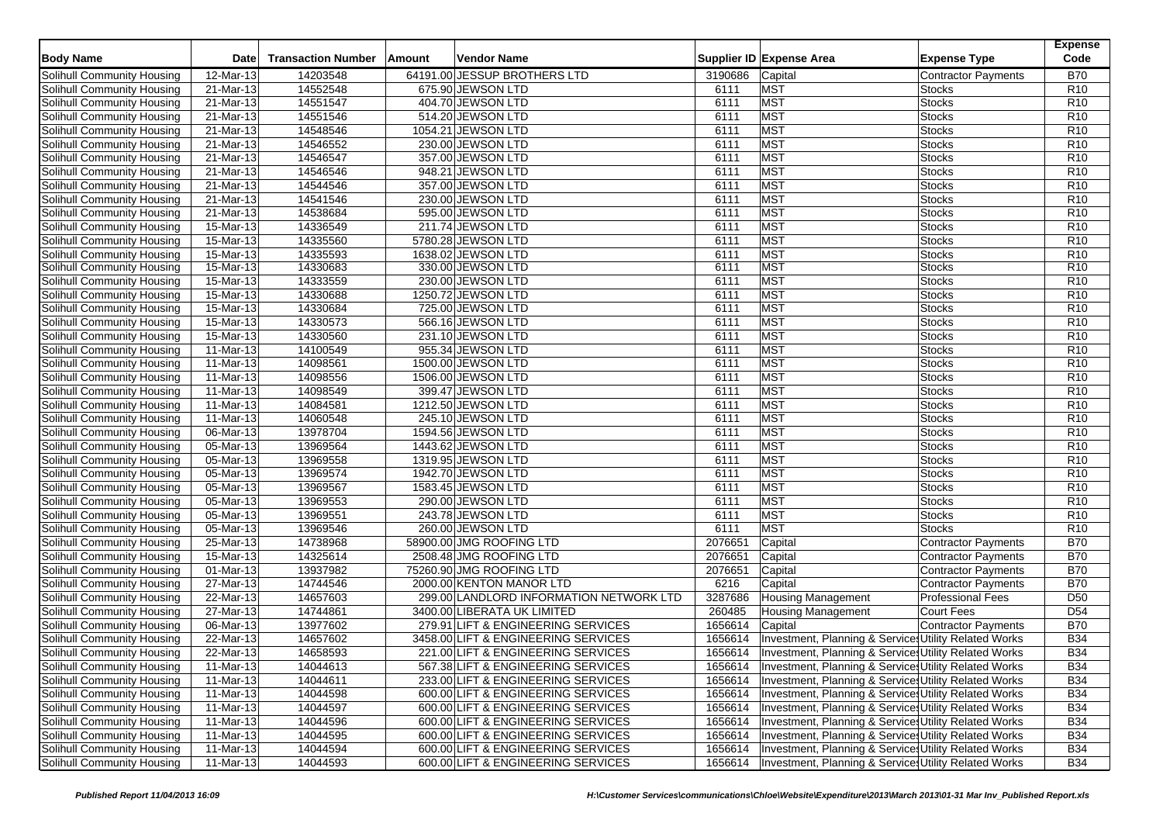| <b>Body Name</b>                  | Date                    | <b>Transaction Number</b> | Amount | Vendor Name                             |         | Supplier ID Expense Area                              | <b>Expense Type</b>        | <b>Expense</b><br>Code |
|-----------------------------------|-------------------------|---------------------------|--------|-----------------------------------------|---------|-------------------------------------------------------|----------------------------|------------------------|
| Solihull Community Housing        | 12-Mar-13               | 14203548                  |        | 64191.00 JESSUP BROTHERS LTD            | 3190686 | Capital                                               | <b>Contractor Payments</b> | <b>B70</b>             |
| Solihull Community Housing        | 21-Mar-13               | 14552548                  |        | 675.90 JEWSON LTD                       | 6111    | MST                                                   | <b>Stocks</b>              | R <sub>10</sub>        |
| Solihull Community Housing        | 21-Mar-13               | 14551547                  |        | 404.70 JEWSON LTD                       | 6111    | <b>MST</b>                                            | <b>Stocks</b>              | R <sub>10</sub>        |
| Solihull Community Housing        | 21-Mar-13               | 14551546                  |        | 514.20 JEWSON LTD                       | 6111    | MST                                                   | <b>Stocks</b>              | R <sub>10</sub>        |
| Solihull Community Housing        | 21-Mar-13               | 14548546                  |        | 1054.21 JEWSON LTD                      | 6111    | <b>MST</b>                                            | <b>Stocks</b>              | R <sub>10</sub>        |
| Solihull Community Housing        | 21-Mar-13               | 14546552                  |        | 230.00 JEWSON LTD                       | 6111    | MST                                                   | <b>Stocks</b>              | R <sub>10</sub>        |
| Solihull Community Housing        | 21-Mar-13               | 14546547                  |        | 357.00 JEWSON LTD                       | 6111    | MST                                                   | <b>Stocks</b>              | R <sub>10</sub>        |
| Solihull Community Housing        | 21-Mar-13               | 14546546                  |        | 948.21 JEWSON LTD                       | 6111    | <b>MST</b>                                            | <b>Stocks</b>              | R <sub>10</sub>        |
| Solihull Community Housing        | 21-Mar-13               | 14544546                  |        | 357.00 JEWSON LTD                       | 6111    | MST                                                   | <b>Stocks</b>              | R <sub>10</sub>        |
| Solihull Community Housing        | 21-Mar-13               | 14541546                  |        | 230.00 JEWSON LTD                       | 6111    | MST                                                   | <b>Stocks</b>              | R <sub>10</sub>        |
| Solihull Community Housing        | 21-Mar-13               | 14538684                  |        | 595.00 JEWSON LTD                       | 6111    | <b>MST</b>                                            | <b>Stocks</b>              | R <sub>10</sub>        |
| Solihull Community Housing        | 15-Mar-13               | 14336549                  |        | 211.74 JEWSON LTD                       | 6111    | MST                                                   | <b>Stocks</b>              | R <sub>10</sub>        |
| Solihull Community Housing        | 15-Mar-13               | 14335560                  |        | 5780.28 JEWSON LTD                      | 6111    | MST                                                   | <b>Stocks</b>              | R <sub>10</sub>        |
| Solihull Community Housing        | 15-Mar-13               | 14335593                  |        | 1638.02 JEWSON LTD                      | 6111    | <b>MST</b>                                            | <b>Stocks</b>              | R <sub>10</sub>        |
| Solihull Community Housing        | 15-Mar-13               | 14330683                  |        | 330.00 JEWSON LTD                       | 6111    | <b>MST</b>                                            | <b>Stocks</b>              | R <sub>10</sub>        |
| Solihull Community Housing        | 15-Mar-13               | 14333559                  |        | 230.00 JEWSON LTD                       | 6111    | <b>MST</b>                                            | <b>Stocks</b>              | R10                    |
| Solihull Community Housing        | 15-Mar-13               | 14330688                  |        | 1250.72 JEWSON LTD                      | 6111    | MST                                                   | <b>Stocks</b>              | R10                    |
| <b>Solihull Community Housing</b> | 15-Mar-13               | 14330684                  |        | 725.00 JEWSON LTD                       | 6111    | <b>MST</b>                                            | <b>Stocks</b>              | R <sub>10</sub>        |
| Solihull Community Housing        | 15-Mar-13               | 14330573                  |        | 566.16 JEWSON LTD                       | 6111    | MST                                                   | <b>Stocks</b>              | R <sub>10</sub>        |
| Solihull Community Housing        | 15-Mar-13               | 14330560                  |        | 231.10 JEWSON LTD                       | 6111    | MST                                                   | Stocks                     | R <sub>10</sub>        |
| Solihull Community Housing        | 11-Mar-13               | 14100549                  |        | 955.34 JEWSON LTD                       | 6111    | <b>MST</b>                                            | <b>Stocks</b>              | R <sub>10</sub>        |
| Solihull Community Housing        | 11-Mar-13               | 14098561                  |        | 1500.00 JEWSON LTD                      | 6111    | MST                                                   | <b>Stocks</b>              | R <sub>10</sub>        |
| Solihull Community Housing        | 11-Mar-13               | 14098556                  |        | 1506.00 JEWSON LTD                      | 6111    | <b>MST</b>                                            | <b>Stocks</b>              | R <sub>10</sub>        |
| Solihull Community Housing        | 11-Mar-13               | 14098549                  |        | 399.47 JEWSON LTD                       | 6111    | <b>MST</b>                                            | <b>Stocks</b>              | R <sub>10</sub>        |
| Solihull Community Housing        | 11-Mar-13               | 14084581                  |        | 1212.50 JEWSON LTD                      | 6111    | <b>MST</b>                                            | <b>Stocks</b>              | R10                    |
| Solihull Community Housing        | 11-Mar-13               | 14060548                  |        | 245.10 JEWSON LTD                       | 6111    | MST                                                   | <b>Stocks</b>              | R <sub>10</sub>        |
| Solihull Community Housing        | 06-Mar-13               | 13978704                  |        | 1594.56 JEWSON LTD                      | 6111    | MST                                                   | <b>Stocks</b>              | R <sub>10</sub>        |
| Solihull Community Housing        | 05-Mar-13               | 13969564                  |        | 1443.62 JEWSON LTD                      | 6111    | MST                                                   | <b>Stocks</b>              | R <sub>10</sub>        |
| Solihull Community Housing        | 05-Mar-13               | 13969558                  |        | 1319.95 JEWSON LTD                      | 6111    | MST                                                   | <b>Stocks</b>              | R <sub>10</sub>        |
| Solihull Community Housing        | 05-Mar-13               | 13969574                  |        | 1942.70 JEWSON LTD                      | 6111    | <b>MST</b>                                            | <b>Stocks</b>              | R10                    |
| Solihull Community Housing        | 05-Mar-13               | 13969567                  |        | 1583.45 JEWSON LTD                      | 6111    | MST                                                   | <b>Stocks</b>              | R <sub>10</sub>        |
| Solihull Community Housing        | 05-Mar-13               | 13969553                  |        | 290.00 JEWSON LTD                       | 6111    | <b>MST</b>                                            | <b>Stocks</b>              | R <sub>10</sub>        |
| Solihull Community Housing        | 05-Mar-13               | 13969551                  |        | 243.78 JEWSON LTD                       | 6111    | <b>MST</b>                                            | <b>Stocks</b>              | R <sub>10</sub>        |
| Solihull Community Housing        | 05-Mar-13               | 13969546                  |        | 260.00 JEWSON LTD                       | 6111    | MST                                                   | <b>Stocks</b>              | R <sub>10</sub>        |
| Solihull Community Housing        | 25-Mar-13               | 14738968                  |        | 58900.00 JMG ROOFING LTD                | 2076651 | Capital                                               | <b>Contractor Payments</b> | <b>B70</b>             |
| Solihull Community Housing        | 15-Mar-13               | 14325614                  |        | 2508.48 JMG ROOFING LTD                 | 2076651 | Capital                                               | <b>Contractor Payments</b> | <b>B70</b>             |
| Solihull Community Housing        | 01-Mar-13               | 13937982                  |        | 75260.90 JMG ROOFING LTD                | 2076651 | Capital                                               | <b>Contractor Payments</b> | <b>B70</b>             |
| Solihull Community Housing        | 27-Mar-13               | 14744546                  |        | 2000.00 KENTON MANOR LTD                | 6216    | Capital                                               | <b>Contractor Payments</b> | <b>B70</b>             |
| Solihull Community Housing        | 22-Mar-13               | 14657603                  |        | 299.00 LANDLORD INFORMATION NETWORK LTD | 3287686 | <b>Housing Management</b>                             | <b>Professional Fees</b>   | D <sub>50</sub>        |
| Solihull Community Housing        | 27-Mar-13               | 14744861                  |        | 3400.00 LIBERATA UK LIMITED             | 260485  | <b>Housing Management</b>                             | <b>Court Fees</b>          | D <sub>54</sub>        |
| Solihull Community Housing        | 06-Mar-13               | 13977602                  |        | 279.91 LIFT & ENGINEERING SERVICES      | 1656614 | Capital                                               | <b>Contractor Payments</b> | <b>B70</b>             |
| Solihull Community Housing        | 22-Mar-13               | 14657602                  |        | 3458.00 LIFT & ENGINEERING SERVICES     | 1656614 | Investment, Planning & Service Utility Related Works  |                            | <b>B34</b>             |
| Solihull Community Housing        | $\overline{22}$ -Mar-13 | 14658593                  |        | 221.00 LIFT & ENGINEERING SERVICES      | 1656614 | Investment, Planning & Services Utility Related Works |                            | <b>B34</b>             |
| Solihull Community Housing        | 11-Mar-13               | 14044613                  |        | 567.38 LIFT & ENGINEERING SERVICES      | 1656614 | Investment, Planning & Services Utility Related Works |                            | <b>B34</b>             |
| Solihull Community Housing        | 11-Mar-13               | 14044611                  |        | 233.00 LIFT & ENGINEERING SERVICES      | 1656614 | Investment, Planning & Services Utility Related Works |                            | <b>B34</b>             |
| Solihull Community Housing        | 11-Mar-13               | 14044598                  |        | 600.00 LIFT & ENGINEERING SERVICES      | 1656614 | Investment, Planning & Services Utility Related Works |                            | <b>B34</b>             |
| Solihull Community Housing        | 11-Mar-13               | 14044597                  |        | 600.00 LIFT & ENGINEERING SERVICES      | 1656614 | Investment, Planning & Services Utility Related Works |                            | <b>B34</b>             |
| Solihull Community Housing        | 11-Mar-13               | 14044596                  |        | 600.00 LIFT & ENGINEERING SERVICES      | 1656614 | Investment, Planning & Services Utility Related Works |                            | <b>B34</b>             |
| Solihull Community Housing        | 11-Mar-13               | 14044595                  |        | 600.00 LIFT & ENGINEERING SERVICES      | 1656614 | Investment, Planning & Services Utility Related Works |                            | <b>B34</b>             |
| Solihull Community Housing        | 11-Mar-13               | 14044594                  |        | 600.00 LIFT & ENGINEERING SERVICES      | 1656614 | Investment, Planning & Services Utility Related Works |                            | <b>B34</b>             |
| Solihull Community Housing        | 11-Mar-13               | 14044593                  |        | 600.00 LIFT & ENGINEERING SERVICES      | 1656614 | Investment, Planning & Services Utility Related Works |                            | <b>B34</b>             |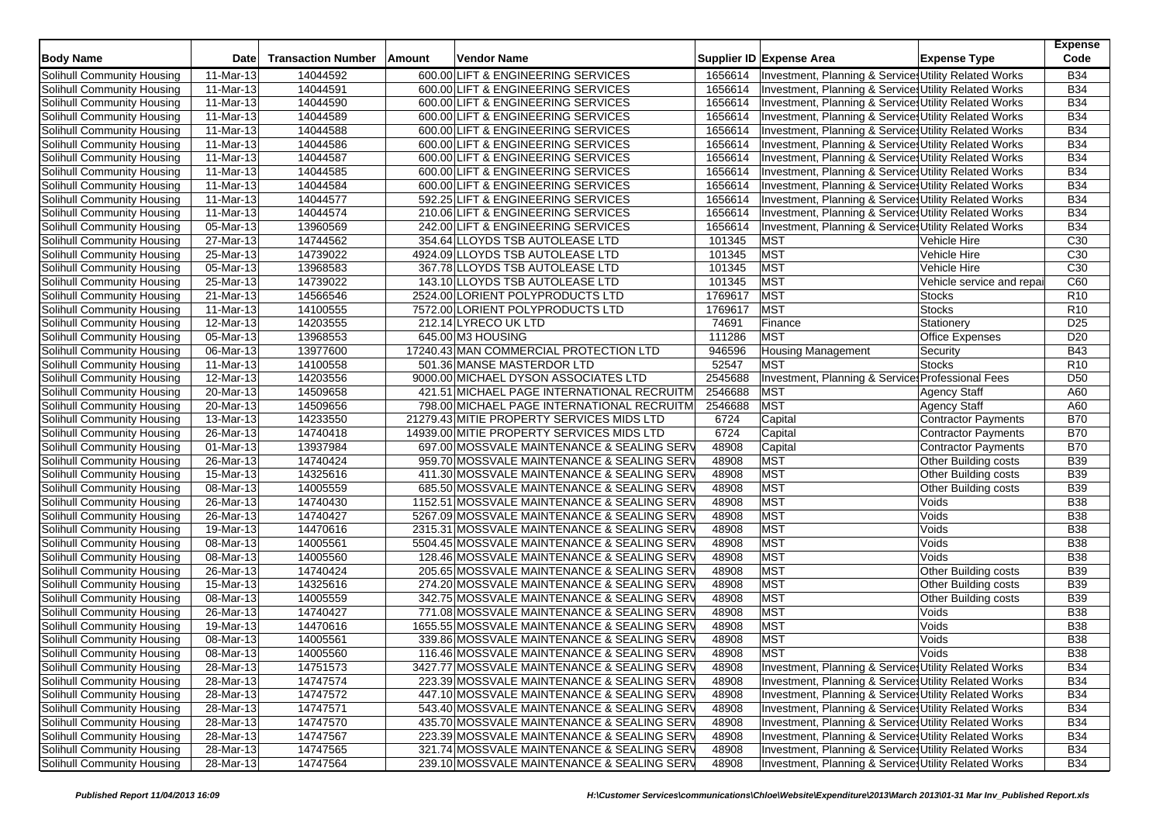| <b>Body Name</b>           | Date      | <b>Transaction Number</b> | Amount | <b>Vendor Name</b>                          |         | Supplier ID Expense Area  | <b>Expense Type</b>                                   | <b>Expense</b><br>Code |
|----------------------------|-----------|---------------------------|--------|---------------------------------------------|---------|---------------------------|-------------------------------------------------------|------------------------|
| Solihull Community Housing | 11-Mar-13 | 14044592                  |        | 600.00 LIFT & ENGINEERING SERVICES          | 1656614 |                           | Investment, Planning & Services Utility Related Works | <b>B34</b>             |
| Solihull Community Housing | 11-Mar-13 | 14044591                  |        | 600.00 LIFT & ENGINEERING SERVICES          | 1656614 |                           | Investment, Planning & Services Utility Related Works | <b>B34</b>             |
| Solihull Community Housing | 11-Mar-13 | 14044590                  |        | 600.00 LIFT & ENGINEERING SERVICES          | 1656614 |                           | Investment, Planning & Services Utility Related Works | <b>B34</b>             |
| Solihull Community Housing | 11-Mar-13 | 14044589                  |        | 600.00 LIFT & ENGINEERING SERVICES          | 1656614 |                           | Investment, Planning & Services Utility Related Works | <b>B34</b>             |
| Solihull Community Housing | 11-Mar-13 | 14044588                  |        | 600.00 LIFT & ENGINEERING SERVICES          | 1656614 |                           | Investment, Planning & Services Utility Related Works | <b>B34</b>             |
| Solihull Community Housing | 11-Mar-13 | 14044586                  |        | 600.00 LIFT & ENGINEERING SERVICES          | 1656614 |                           | Investment, Planning & Services Utility Related Works | <b>B34</b>             |
| Solihull Community Housing | 11-Mar-13 | 14044587                  |        | 600.00 LIFT & ENGINEERING SERVICES          | 1656614 |                           | Investment, Planning & Service Utility Related Works  | <b>B34</b>             |
| Solihull Community Housing | 11-Mar-13 | 14044585                  |        | 600.00 LIFT & ENGINEERING SERVICES          | 1656614 |                           | Investment, Planning & Services Utility Related Works | <b>B34</b>             |
| Solihull Community Housing | 11-Mar-13 | 14044584                  |        | 600.00 LIFT & ENGINEERING SERVICES          | 1656614 |                           | Investment, Planning & Services Utility Related Works | <b>B34</b>             |
| Solihull Community Housing | 11-Mar-13 | 14044577                  |        | 592.25 LIFT & ENGINEERING SERVICES          | 1656614 |                           | Investment, Planning & Services Utility Related Works | <b>B34</b>             |
| Solihull Community Housing | 11-Mar-13 | 14044574                  |        | 210.06 LIFT & ENGINEERING SERVICES          | 1656614 |                           | Investment, Planning & Services Utility Related Works | <b>B34</b>             |
| Solihull Community Housing | 05-Mar-13 | 13960569                  |        | 242.00 LIFT & ENGINEERING SERVICES          | 1656614 |                           | Investment, Planning & Services Utility Related Works | <b>B34</b>             |
| Solihull Community Housing | 27-Mar-13 | 14744562                  |        | 354.64 LLOYDS TSB AUTOLEASE LTD             | 101345  | <b>MST</b>                | Vehicle Hire                                          | C30                    |
| Solihull Community Housing | 25-Mar-13 | 14739022                  |        | 4924.09 LLOYDS TSB AUTOLEASE LTD            | 101345  | MST                       | Vehicle Hire                                          | C <sub>30</sub>        |
| Solihull Community Housing | 05-Mar-13 | 13968583                  |        | 367.78 LLOYDS TSB AUTOLEASE LTD             | 101345  | <b>MST</b>                | Vehicle Hire                                          | C30                    |
| Solihull Community Housing | 25-Mar-13 | 14739022                  |        | 143.10 LLOYDS TSB AUTOLEASE LTD             | 101345  | <b>MST</b>                | Vehicle service and repa                              | C60                    |
| Solihull Community Housing | 21-Mar-13 | 14566546                  |        | 2524.00 LORIENT POLYPRODUCTS LTD            | 1769617 | <b>MST</b>                | <b>Stocks</b>                                         | R <sub>10</sub>        |
| Solihull Community Housing | 11-Mar-13 | 14100555                  |        | 7572.00 LORIENT POLYPRODUCTS LTD            | 1769617 | <b>MST</b>                | <b>Stocks</b>                                         | R <sub>10</sub>        |
| Solihull Community Housing | 12-Mar-13 | 14203555                  |        | 212.14 LYRECO UK LTD                        | 74691   | Finance                   | Stationery                                            | D <sub>25</sub>        |
| Solihull Community Housing | 05-Mar-13 | 13968553                  |        | 645.00 M3 HOUSING                           | 111286  | <b>MST</b>                | <b>Office Expenses</b>                                | D <sub>20</sub>        |
| Solihull Community Housing | 06-Mar-13 | 13977600                  |        | 17240.43 MAN COMMERCIAL PROTECTION LTD      | 946596  | <b>Housing Management</b> | Security                                              | <b>B43</b>             |
| Solihull Community Housing | 11-Mar-13 | 14100558                  |        | 501.36 MANSE MASTERDOR LTD                  | 52547   | <b>MST</b>                | <b>Stocks</b>                                         | R <sub>10</sub>        |
| Solihull Community Housing | 12-Mar-13 | 14203556                  |        | 9000.00 MICHAEL DYSON ASSOCIATES LTD        | 2545688 |                           | Investment, Planning & Service: Professional Fees     | D <sub>50</sub>        |
| Solihull Community Housing | 20-Mar-13 | 14509658                  |        | 421.51 MICHAEL PAGE INTERNATIONAL RECRUITM  | 2546688 | MST                       | <b>Agency Staff</b>                                   | A60                    |
| Solihull Community Housing | 20-Mar-13 | 14509656                  |        | 798.00 MICHAEL PAGE INTERNATIONAL RECRUITM  | 2546688 | <b>MST</b>                | <b>Agency Staff</b>                                   | A60                    |
| Solihull Community Housing | 13-Mar-13 | 14233550                  |        | 21279.43 MITIE PROPERTY SERVICES MIDS LTD   | 6724    | Capital                   | <b>Contractor Payments</b>                            | <b>B70</b>             |
| Solihull Community Housing | 26-Mar-13 | 14740418                  |        | 14939.00 MITIE PROPERTY SERVICES MIDS LTD   | 6724    | Capital                   | <b>Contractor Payments</b>                            | <b>B70</b>             |
| Solihull Community Housing | 01-Mar-13 | 13937984                  |        | 697.00 MOSSVALE MAINTENANCE & SEALING SERV  | 48908   | Capital                   | <b>Contractor Payments</b>                            | <b>B70</b>             |
| Solihull Community Housing | 26-Mar-13 | 14740424                  |        | 959.70 MOSSVALE MAINTENANCE & SEALING SERV  | 48908   | <b>MST</b>                | Other Building costs                                  | <b>B39</b>             |
| Solihull Community Housing | 15-Mar-13 | 14325616                  |        | 411.30 MOSSVALE MAINTENANCE & SEALING SERV  | 48908   | <b>MST</b>                | Other Building costs                                  | <b>B39</b>             |
| Solihull Community Housing | 08-Mar-13 | 14005559                  |        | 685.50 MOSSVALE MAINTENANCE & SEALING SERV  | 48908   | MST                       | Other Building costs                                  | <b>B39</b>             |
| Solihull Community Housing | 26-Mar-13 | 14740430                  |        | 1152.51 MOSSVALE MAINTENANCE & SEALING SERV | 48908   | MST                       | Voids                                                 | <b>B38</b>             |
| Solihull Community Housing | 26-Mar-13 | 14740427                  |        | 5267.09 MOSSVALE MAINTENANCE & SEALING SERV | 48908   | <b>MST</b>                | Voids                                                 | <b>B38</b>             |
| Solihull Community Housing | 19-Mar-13 | 14470616                  |        | 2315.31 MOSSVALE MAINTENANCE & SEALING SERV | 48908   | MST                       | Voids                                                 | <b>B38</b>             |
| Solihull Community Housing | 08-Mar-13 | 14005561                  |        | 5504.45 MOSSVALE MAINTENANCE & SEALING SERV | 48908   | MST                       | Voids                                                 | <b>B38</b>             |
| Solihull Community Housing | 08-Mar-13 | 14005560                  |        | 128.46 MOSSVALE MAINTENANCE & SEALING SERV  | 48908   | <b>MST</b>                | Voids                                                 | <b>B38</b>             |
| Solihull Community Housing | 26-Mar-13 | 14740424                  |        | 205.65 MOSSVALE MAINTENANCE & SEALING SERV  | 48908   | MST                       | Other Building costs                                  | <b>B39</b>             |
| Solihull Community Housing | 15-Mar-13 | 14325616                  |        | 274.20 MOSSVALE MAINTENANCE & SEALING SERV  | 48908   | MST                       | Other Building costs                                  | <b>B39</b>             |
| Solihull Community Housing | 08-Mar-13 | 14005559                  |        | 342.75 MOSSVALE MAINTENANCE & SEALING SERV  | 48908   | <b>MST</b>                | Other Building costs                                  | <b>B39</b>             |
| Solihull Community Housing | 26-Mar-13 | 14740427                  |        | 771.08 MOSSVALE MAINTENANCE & SEALING SERV  | 48908   | MST                       | Voids                                                 | <b>B38</b>             |
| Solihull Community Housing | 19-Mar-13 | 14470616                  |        | 1655.55 MOSSVALE MAINTENANCE & SEALING SERV | 48908   | MST                       | Voids                                                 | <b>B38</b>             |
| Solihull Community Housing | 08-Mar-13 | 14005561                  |        | 339.86 MOSSVALE MAINTENANCE & SEALING SERV  | 48908   | <b>MST</b>                | Voids                                                 | <b>B38</b>             |
| Solihull Community Housing | 08-Mar-13 | 14005560                  |        | 116.46 MOSSVALE MAINTENANCE & SEALING SERV  | 48908   | <b>MST</b>                | Voids                                                 | <b>B38</b>             |
| Solihull Community Housing | 28-Mar-13 | 14751573                  |        | 3427.77 MOSSVALE MAINTENANCE & SEALING SERV | 48908   |                           | Investment, Planning & Services Utility Related Works | <b>B34</b>             |
| Solihull Community Housing | 28-Mar-13 | 14747574                  |        | 223.39 MOSSVALE MAINTENANCE & SEALING SERV  | 48908   |                           | Investment, Planning & Services Utility Related Works | <b>B34</b>             |
| Solihull Community Housing | 28-Mar-13 | 14747572                  |        | 447.10 MOSSVALE MAINTENANCE & SEALING SERV  | 48908   |                           | Investment, Planning & Services Utility Related Works | <b>B34</b>             |
| Solihull Community Housing | 28-Mar-13 | 14747571                  |        | 543.40 MOSSVALE MAINTENANCE & SEALING SERV  | 48908   |                           | Investment, Planning & Services Utility Related Works | <b>B34</b>             |
| Solihull Community Housing | 28-Mar-13 | 14747570                  |        | 435.70 MOSSVALE MAINTENANCE & SEALING SERV  | 48908   |                           | Investment, Planning & Services Utility Related Works | <b>B34</b>             |
| Solihull Community Housing | 28-Mar-13 | 14747567                  |        | 223.39 MOSSVALE MAINTENANCE & SEALING SERV  | 48908   |                           | Investment, Planning & Services Utility Related Works | <b>B34</b>             |
| Solihull Community Housing | 28-Mar-13 | 14747565                  |        | 321.74 MOSSVALE MAINTENANCE & SEALING SERV  | 48908   |                           | Investment, Planning & Service Utility Related Works  | <b>B34</b>             |
| Solihull Community Housing | 28-Mar-13 | 14747564                  |        | 239.10 MOSSVALE MAINTENANCE & SEALING SERV  | 48908   |                           | Investment, Planning & Services Utility Related Works | <b>B34</b>             |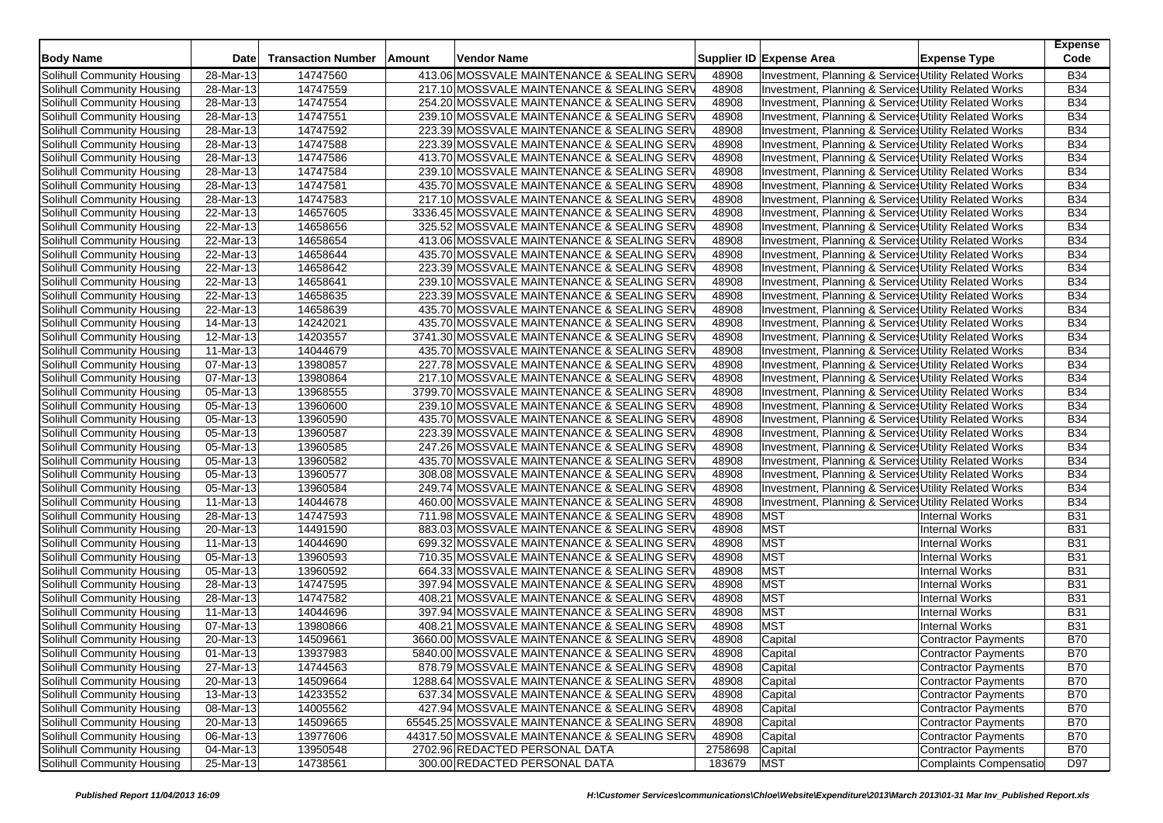| <b>Body Name</b>                  | <b>Date</b>  | <b>Transaction Number</b> | Amount | <b>Vendor Name</b>                           |         | Supplier ID Expense Area                              | <b>Expense Type</b>        | <b>Expense</b><br>Code |
|-----------------------------------|--------------|---------------------------|--------|----------------------------------------------|---------|-------------------------------------------------------|----------------------------|------------------------|
| Solihull Community Housing        | 28-Mar-13    | 14747560                  |        | 413.06 MOSSVALE MAINTENANCE & SEALING SERV   | 48908   | Investment, Planning & Service Utility Related Works  |                            | <b>B34</b>             |
| Solihull Community Housing        | 28-Mar-13    | 14747559                  |        | 217.10 MOSSVALE MAINTENANCE & SEALING SERV   | 48908   | Investment, Planning & Services Utility Related Works |                            | <b>B34</b>             |
| Solihull Community Housing        | 28-Mar-13    | 14747554                  |        | 254.20 MOSSVALE MAINTENANCE & SEALING SERV   | 48908   | Investment, Planning & Services Utility Related Works |                            | <b>B34</b>             |
| Solihull Community Housing        | 28-Mar-13    | 14747551                  |        | 239.10 MOSSVALE MAINTENANCE & SEALING SERV   | 48908   | Investment, Planning & Services Utility Related Works |                            | <b>B34</b>             |
| Solihull Community Housing        | 28-Mar-13    | 14747592                  |        | 223.39 MOSSVALE MAINTENANCE & SEALING SERV   | 48908   | Investment, Planning & Service Utility Related Works  |                            | <b>B34</b>             |
| Solihull Community Housing        | 28-Mar-13    | 14747588                  |        | 223.39 MOSSVALE MAINTENANCE & SEALING SERV   | 48908   | Investment, Planning & Services Utility Related Works |                            | <b>B34</b>             |
| Solihull Community Housing        | 28-Mar-13    | 14747586                  |        | 413.70 MOSSVALE MAINTENANCE & SEALING SERV   | 48908   | Investment, Planning & Service Utility Related Works  |                            | <b>B34</b>             |
| Solihull Community Housing        | 28-Mar-13    | 14747584                  |        | 239.10 MOSSVALE MAINTENANCE & SEALING SERV   | 48908   | Investment, Planning & Services Utility Related Works |                            | <b>B34</b>             |
| Solihull Community Housing        | 28-Mar-13    | 14747581                  |        | 435.70 MOSSVALE MAINTENANCE & SEALING SERV   | 48908   | Investment, Planning & Services Utility Related Works |                            | <b>B34</b>             |
| Solihull Community Housing        | 28-Mar-13    | 14747583                  |        | 217.10 MOSSVALE MAINTENANCE & SEALING SERV   | 48908   | Investment, Planning & Services Utility Related Works |                            | <b>B34</b>             |
| Solihull Community Housing        | 22-Mar-13    | 14657605                  |        | 3336.45 MOSSVALE MAINTENANCE & SEALING SERV  | 48908   | Investment, Planning & Services Utility Related Works |                            | <b>B34</b>             |
| Solihull Community Housing        | 22-Mar-13    | 14658656                  |        | 325.52 MOSSVALE MAINTENANCE & SEALING SERV   | 48908   | Investment, Planning & Services Utility Related Works |                            | <b>B34</b>             |
| Solihull Community Housing        | 22-Mar-13    | 14658654                  |        | 413.06 MOSSVALE MAINTENANCE & SEALING SERV   | 48908   | Investment, Planning & Services Utility Related Works |                            | <b>B34</b>             |
| Solihull Community Housing        | 22-Mar-13    | 14658644                  |        | 435.70 MOSSVALE MAINTENANCE & SEALING SERV   | 48908   | Investment, Planning & Services Utility Related Works |                            | <b>B34</b>             |
| Solihull Community Housing        | 22-Mar-13    | 14658642                  |        | 223.39 MOSSVALE MAINTENANCE & SEALING SERV   | 48908   | Investment, Planning & Services Utility Related Works |                            | <b>B34</b>             |
| Solihull Community Housing        | 22-Mar-13    | 14658641                  |        | 239.10 MOSSVALE MAINTENANCE & SEALING SERV   | 48908   | Investment, Planning & Services Utility Related Works |                            | <b>B34</b>             |
| Solihull Community Housing        | 22-Mar-13    | 14658635                  |        | 223.39 MOSSVALE MAINTENANCE & SEALING SERV   | 48908   | Investment, Planning & Services Utility Related Works |                            | <b>B34</b>             |
| Solihull Community Housing        | 22-Mar-13    | 14658639                  |        | 435.70 MOSSVALE MAINTENANCE & SEALING SERV   | 48908   | Investment, Planning & Services Utility Related Works |                            | <b>B34</b>             |
| Solihull Community Housing        | 14-Mar-13    | 14242021                  |        | 435.70 MOSSVALE MAINTENANCE & SEALING SERV   | 48908   | Investment, Planning & Services Utility Related Works |                            | <b>B34</b>             |
| Solihull Community Housing        | 12-Mar-13    | 14203557                  |        | 3741.30 MOSSVALE MAINTENANCE & SEALING SERV  | 48908   | Investment, Planning & Services Utility Related Works |                            | <b>B34</b>             |
| Solihull Community Housing        | 11-Mar-13    | 14044679                  |        | 435.70 MOSSVALE MAINTENANCE & SEALING SERV   | 48908   | Investment, Planning & Service Utility Related Works  |                            | <b>B34</b>             |
| Solihull Community Housing        | 07-Mar-13    | 13980857                  |        | 227.78 MOSSVALE MAINTENANCE & SEALING SERV   | 48908   | Investment, Planning & Services Utility Related Works |                            | <b>B34</b>             |
| Solihull Community Housing        | 07-Mar-13    | 13980864                  |        | 217.10 MOSSVALE MAINTENANCE & SEALING SERV   | 48908   | Investment, Planning & Services Utility Related Works |                            | <b>B34</b>             |
| Solihull Community Housing        | 05-Mar-13    | 13968555                  |        | 3799.70 MOSSVALE MAINTENANCE & SEALING SERV  | 48908   | Investment, Planning & Service Utility Related Works  |                            | <b>B34</b>             |
| Solihull Community Housing        | 05-Mar-13    | 13960600                  |        | 239.10 MOSSVALE MAINTENANCE & SEALING SERV   | 48908   | Investment, Planning & Services Utility Related Works |                            | <b>B34</b>             |
| Solihull Community Housing        | 05-Mar-13    | 13960590                  |        | 435.70 MOSSVALE MAINTENANCE & SEALING SERV   | 48908   | Investment, Planning & Services Utility Related Works |                            | <b>B34</b>             |
| Solihull Community Housing        | 05-Mar-13    | 13960587                  |        | 223.39 MOSSVALE MAINTENANCE & SEALING SERV   | 48908   | Investment, Planning & Services Utility Related Works |                            | <b>B34</b>             |
| Solihull Community Housing        | 05-Mar-13    | 13960585                  |        | 247.26 MOSSVALE MAINTENANCE & SEALING SERV   | 48908   | Investment, Planning & Services Utility Related Works |                            | <b>B34</b>             |
| Solihull Community Housing        | 05-Mar-13    | 13960582                  |        | 435.70 MOSSVALE MAINTENANCE & SEALING SERV   | 48908   | Investment, Planning & Services Utility Related Works |                            | <b>B34</b>             |
| Solihull Community Housing        | 05-Mar-13    | 13960577                  |        | 308.08 MOSSVALE MAINTENANCE & SEALING SERV   | 48908   | Investment, Planning & Services Utility Related Works |                            | <b>B34</b>             |
| Solihull Community Housing        | 05-Mar-13    | 13960584                  |        | 249.74 MOSSVALE MAINTENANCE & SEALING SERV   | 48908   | Investment, Planning & Services Utility Related Works |                            | <b>B34</b>             |
| Solihull Community Housing        | 11-Mar-13    | 14044678                  |        | 460.00 MOSSVALE MAINTENANCE & SEALING SERV   | 48908   | Investment, Planning & Services Utility Related Works |                            | <b>B34</b>             |
| Solihull Community Housing        | 28-Mar-13    | 14747593                  |        | 711.98 MOSSVALE MAINTENANCE & SEALING SERV   | 48908   | <b>MST</b>                                            | <b>Internal Works</b>      | <b>B31</b>             |
| Solihull Community Housing        | 20-Mar-13    | 14491590                  |        | 883.03 MOSSVALE MAINTENANCE & SEALING SERV   | 48908   | <b>MST</b>                                            | <b>Internal Works</b>      | <b>B31</b>             |
| Solihull Community Housing        | 11-Mar-13    | 14044690                  |        | 699.32 MOSSVALE MAINTENANCE & SEALING SERV   | 48908   | <b>MST</b>                                            | <b>Internal Works</b>      | <b>B31</b>             |
| Solihull Community Housing        | 05-Mar-13    | 13960593                  |        | 710.35 MOSSVALE MAINTENANCE & SEALING SERV   | 48908   | <b>MST</b>                                            | <b>Internal Works</b>      | <b>B31</b>             |
| Solihull Community Housing        | 05-Mar-13    | 13960592                  |        | 664.33 MOSSVALE MAINTENANCE & SEALING SERV   | 48908   | <b>MST</b>                                            | <b>Internal Works</b>      | <b>B31</b>             |
| Solihull Community Housing        | 28-Mar-13    | 14747595                  |        | 397.94 MOSSVALE MAINTENANCE & SEALING SERV   | 48908   | <b>MST</b>                                            | <b>Internal Works</b>      | <b>B31</b>             |
| Solihull Community Housing        | 28-Mar-13    | 14747582                  |        | 408.21 MOSSVALE MAINTENANCE & SEALING SERV   | 48908   | <b>MST</b>                                            | <b>Internal Works</b>      | <b>B31</b>             |
| Solihull Community Housing        | 11-Mar-13    | 14044696                  |        | 397.94 MOSSVALE MAINTENANCE & SEALING SERV   | 48908   | <b>MST</b>                                            | <b>Internal Works</b>      | <b>B31</b>             |
| Solihull Community Housing        | 07-Mar-13    | 13980866                  |        | 408.21 MOSSVALE MAINTENANCE & SEALING SERV   | 48908   | <b>MST</b>                                            | <b>Internal Works</b>      | <b>B31</b>             |
| Solihull Community Housing        | 20-Mar-13    | 14509661                  |        | 3660.00 MOSSVALE MAINTENANCE & SEALING SERV  | 48908   | Capital                                               | <b>Contractor Payments</b> | <b>B70</b>             |
| Solihull Community Housing        | $01$ -Mar-13 | 13937983                  |        | 5840.00 MOSSVALE MAINTENANCE & SEALING SERV  | 48908   | Capital                                               | Contractor Payments        | <b>B70</b>             |
| Solihull Community Housing        | 27-Mar-13    | 14744563                  |        | 878.79 MOSSVALE MAINTENANCE & SEALING SERV   | 48908   | Capital                                               | <b>Contractor Payments</b> | <b>B70</b>             |
| Solihull Community Housing        | 20-Mar-13    | 14509664                  |        | 1288.64 MOSSVALE MAINTENANCE & SEALING SERV  | 48908   | Capital                                               | Contractor Payments        | <b>B70</b>             |
| Solihull Community Housing        | 13-Mar-13    | 14233552                  |        | 637.34 MOSSVALE MAINTENANCE & SEALING SERV   | 48908   | Capital                                               | Contractor Payments        | <b>B70</b>             |
| Solihull Community Housing        | 08-Mar-13    | 14005562                  |        | 427.94 MOSSVALE MAINTENANCE & SEALING SERV   | 48908   | Capital                                               | Contractor Payments        | <b>B70</b>             |
| Solihull Community Housing        | 20-Mar-13    | 14509665                  |        | 65545.25 MOSSVALE MAINTENANCE & SEALING SERV | 48908   | Capital                                               | Contractor Payments        | <b>B70</b>             |
| Solihull Community Housing        | 06-Mar-13    | 13977606                  |        | 44317.50 MOSSVALE MAINTENANCE & SEALING SERV | 48908   | Capital                                               | Contractor Payments        | <b>B70</b>             |
| <b>Solihull Community Housing</b> | 04-Mar-13    | 13950548                  |        | 2702.96 REDACTED PERSONAL DATA               | 2758698 | Capital                                               | Contractor Payments        | <b>B70</b>             |
| Solihull Community Housing        | 25-Mar-13    | 14738561                  |        | 300.00 REDACTED PERSONAL DATA                | 183679  | <b>MST</b>                                            | Complaints Compensatio     | D97                    |
|                                   |              |                           |        |                                              |         |                                                       |                            |                        |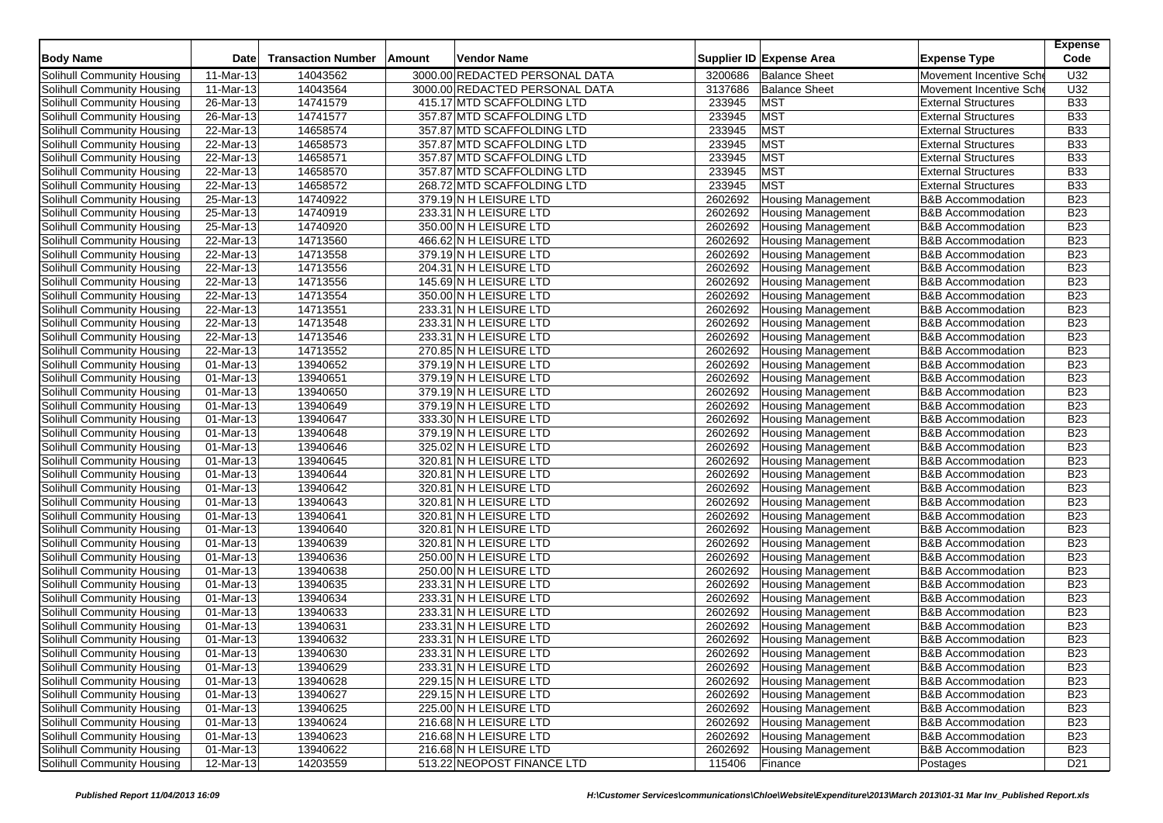| <b>Body Name</b>           | Date                    | <b>Transaction Number</b> | Amount | Vendor Name                    |         | Supplier ID Expense Area  | <b>Expense Type</b>          | <b>Expense</b><br>Code |
|----------------------------|-------------------------|---------------------------|--------|--------------------------------|---------|---------------------------|------------------------------|------------------------|
| Solihull Community Housing | 11-Mar-13               | 14043562                  |        | 3000.00 REDACTED PERSONAL DATA | 3200686 | <b>Balance Sheet</b>      | Movement Incentive Sch       | U32                    |
| Solihull Community Housing | 11-Mar-13               | 14043564                  |        | 3000.00 REDACTED PERSONAL DATA | 3137686 | <b>Balance Sheet</b>      | Movement Incentive Sche      | U32                    |
| Solihull Community Housing | 26-Mar-13               | 14741579                  |        | 415.17 MTD SCAFFOLDING LTD     | 233945  | <b>MST</b>                | <b>External Structures</b>   | <b>B33</b>             |
| Solihull Community Housing | 26-Mar-13               | 14741577                  |        | 357.87 MTD SCAFFOLDING LTD     | 233945  | <b>MST</b>                | <b>External Structures</b>   | <b>B33</b>             |
| Solihull Community Housing | 22-Mar-13               | 14658574                  |        | 357.87 MTD SCAFFOLDING LTD     | 233945  | <b>MST</b>                | <b>External Structures</b>   | <b>B33</b>             |
| Solihull Community Housing | 22-Mar-13               | 14658573                  |        | 357.87 MTD SCAFFOLDING LTD     | 233945  | <b>MST</b>                | <b>External Structures</b>   | <b>B33</b>             |
| Solihull Community Housing | 22-Mar-13               | 14658571                  |        | 357.87 MTD SCAFFOLDING LTD     | 233945  | <b>MST</b>                | <b>External Structures</b>   | <b>B33</b>             |
| Solihull Community Housing | 22-Mar-13               | 14658570                  |        | 357.87 MTD SCAFFOLDING LTD     | 233945  | <b>MST</b>                | <b>External Structures</b>   | <b>B33</b>             |
| Solihull Community Housing | 22-Mar-13               | 14658572                  |        | 268.72 MTD SCAFFOLDING LTD     | 233945  | <b>MST</b>                | <b>External Structures</b>   | <b>B33</b>             |
| Solihull Community Housing | 25-Mar-13               | 14740922                  |        | 379.19 N H LEISURE LTD         | 2602692 | <b>Housing Management</b> | <b>B&amp;B Accommodation</b> | <b>B23</b>             |
| Solihull Community Housing | 25-Mar-13               | 14740919                  |        | 233.31 N H LEISURE LTD         | 2602692 | <b>Housing Management</b> | <b>B&amp;B Accommodation</b> | <b>B23</b>             |
| Solihull Community Housing | $25$ -Mar-13            | 14740920                  |        | 350.00 N H LEISURE LTD         | 2602692 | <b>Housing Management</b> | <b>B&amp;B Accommodation</b> | <b>B23</b>             |
| Solihull Community Housing | 22-Mar-13               | 14713560                  |        | 466.62 N H LEISURE LTD         | 2602692 | <b>Housing Management</b> | <b>B&amp;B Accommodation</b> | <b>B23</b>             |
| Solihull Community Housing | 22-Mar-13               | 14713558                  |        | 379.19 N H LEISURE LTD         | 2602692 | <b>Housing Management</b> | <b>B&amp;B Accommodation</b> | <b>B23</b>             |
| Solihull Community Housing | 22-Mar-13               | 14713556                  |        | 204.31 N H LEISURE LTD         | 2602692 | <b>Housing Management</b> | <b>B&amp;B Accommodation</b> | <b>B23</b>             |
| Solihull Community Housing | 22-Mar-13               | 14713556                  |        | 145.69 N H LEISURE LTD         | 2602692 | <b>Housing Management</b> | <b>B&amp;B Accommodation</b> | <b>B23</b>             |
| Solihull Community Housing | 22-Mar-13               | 14713554                  |        | 350.00 N H LEISURE LTD         | 2602692 | <b>Housing Management</b> | <b>B&amp;B Accommodation</b> | <b>B23</b>             |
| Solihull Community Housing | 22-Mar-13               | 14713551                  |        | 233.31 N H LEISURE LTD         | 2602692 | <b>Housing Management</b> | <b>B&amp;B Accommodation</b> | <b>B23</b>             |
| Solihull Community Housing | 22-Mar-13               | 14713548                  |        | 233.31 N H LEISURE LTD         | 2602692 | <b>Housing Management</b> | <b>B&amp;B Accommodation</b> | <b>B23</b>             |
| Solihull Community Housing | 22-Mar-13               | 14713546                  |        | 233.31 N H LEISURE LTD         | 2602692 | <b>Housing Management</b> | <b>B&amp;B Accommodation</b> | <b>B23</b>             |
| Solihull Community Housing | 22-Mar-13               | 14713552                  |        | 270.85 N H LEISURE LTD         | 2602692 | <b>Housing Management</b> | <b>B&amp;B Accommodation</b> | <b>B23</b>             |
| Solihull Community Housing | 01-Mar-13               | 13940652                  |        | 379.19 N H LEISURE LTD         | 2602692 | <b>Housing Management</b> | <b>B&amp;B Accommodation</b> | <b>B23</b>             |
| Solihull Community Housing | 01-Mar-13               | 13940651                  |        | 379.19 N H LEISURE LTD         | 2602692 | <b>Housing Management</b> | <b>B&amp;B Accommodation</b> | <b>B23</b>             |
| Solihull Community Housing | $\overline{01-M}$ ar-13 | 13940650                  |        | 379.19 N H LEISURE LTD         | 2602692 | <b>Housing Management</b> | <b>B&amp;B Accommodation</b> | <b>B23</b>             |
| Solihull Community Housing | 01-Mar-13               | 13940649                  |        | 379.19 N H LEISURE LTD         | 2602692 | <b>Housing Management</b> | <b>B&amp;B Accommodation</b> | <b>B23</b>             |
| Solihull Community Housing | 01-Mar-13               | 13940647                  |        | 333.30 N H LEISURE LTD         | 2602692 | <b>Housing Management</b> | <b>B&amp;B Accommodation</b> | <b>B23</b>             |
| Solihull Community Housing | 01-Mar-13               | 13940648                  |        | 379.19 N H LEISURE LTD         | 2602692 | <b>Housing Management</b> | <b>B&amp;B Accommodation</b> | <b>B23</b>             |
| Solihull Community Housing | 01-Mar-13               | 13940646                  |        | 325.02 N H LEISURE LTD         | 2602692 | <b>Housing Management</b> | <b>B&amp;B Accommodation</b> | <b>B23</b>             |
| Solihull Community Housing | 01-Mar-13               | 13940645                  |        | 320.81 N H LEISURE LTD         | 2602692 | <b>Housing Management</b> | <b>B&amp;B</b> Accommodation | <b>B23</b>             |
| Solihull Community Housing | 01-Mar-13               | 13940644                  |        | 320.81 N H LEISURE LTD         | 2602692 | <b>Housing Management</b> | <b>B&amp;B Accommodation</b> | <b>B23</b>             |
| Solihull Community Housing | 01-Mar-13               | 13940642                  |        | 320.81 N H LEISURE LTD         | 2602692 | <b>Housing Management</b> | <b>B&amp;B Accommodation</b> | <b>B23</b>             |
| Solihull Community Housing | 01-Mar-13               | 13940643                  |        | 320.81 N H LEISURE LTD         | 2602692 | <b>Housing Management</b> | <b>B&amp;B Accommodation</b> | <b>B23</b>             |
| Solihull Community Housing | 01-Mar-13               | 13940641                  |        | 320.81 N H LEISURE LTD         | 2602692 | <b>Housing Management</b> | <b>B&amp;B Accommodation</b> | <b>B23</b>             |
| Solihull Community Housing | 01-Mar-13               | 13940640                  |        | 320.81 N H LEISURE LTD         | 2602692 | <b>Housing Management</b> | <b>B&amp;B Accommodation</b> | <b>B23</b>             |
| Solihull Community Housing | 01-Mar-13               | 13940639                  |        | 320.81 N H LEISURE LTD         | 2602692 | <b>Housing Management</b> | <b>B&amp;B Accommodation</b> | <b>B23</b>             |
| Solihull Community Housing | 01-Mar-13               | 13940636                  |        | 250.00 N H LEISURE LTD         | 2602692 | <b>Housing Management</b> | <b>B&amp;B Accommodation</b> | <b>B23</b>             |
| Solihull Community Housing | 01-Mar-13               | 13940638                  |        | 250.00 N H LEISURE LTD         | 2602692 | <b>Housing Management</b> | <b>B&amp;B Accommodation</b> | <b>B23</b>             |
| Solihull Community Housing | 01-Mar-13               | 13940635                  |        | 233.31 N H LEISURE LTD         | 2602692 | <b>Housing Management</b> | <b>B&amp;B Accommodation</b> | <b>B23</b>             |
| Solihull Community Housing | 01-Mar-13               | 13940634                  |        | 233.31 N H LEISURE LTD         | 2602692 | <b>Housing Management</b> | <b>B&amp;B Accommodation</b> | <b>B23</b>             |
| Solihull Community Housing | 01-Mar-13               | 13940633                  |        | 233.31 N H LEISURE LTD         | 2602692 | <b>Housing Management</b> | <b>B&amp;B Accommodation</b> | <b>B23</b>             |
| Solihull Community Housing | 01-Mar-13               | 13940631                  |        | 233.31 N H LEISURE LTD         | 2602692 | <b>Housing Management</b> | <b>B&amp;B Accommodation</b> | <b>B23</b>             |
| Solihull Community Housing | 01-Mar-13               | 13940632                  |        | 233.31 N H LEISURE LTD         | 2602692 | <b>Housing Management</b> | <b>B&amp;B</b> Accommodation | <b>B23</b>             |
| Solihull Community Housing | 01-Mar-13               | 13940630                  |        | 233.31 N H LEISURE LTD         | 2602692 | <b>Housing Management</b> | <b>B&amp;B Accommodation</b> | <b>B23</b>             |
| Solihull Community Housing | 01-Mar-13               | 13940629                  |        | 233.31 N H LEISURE LTD         | 2602692 | <b>Housing Management</b> | <b>B&amp;B Accommodation</b> | <b>B23</b>             |
| Solihull Community Housing | 01-Mar-13               | 13940628                  |        | 229.15 N H LEISURE LTD         | 2602692 | <b>Housing Management</b> | <b>B&amp;B Accommodation</b> | <b>B23</b>             |
| Solihull Community Housing | 01-Mar-13               | 13940627                  |        | 229.15 N H LEISURE LTD         | 2602692 | <b>Housing Management</b> | <b>B&amp;B Accommodation</b> | <b>B23</b>             |
| Solihull Community Housing | $01$ -Mar-13            | 13940625                  |        | 225.00 N H LEISURE LTD         | 2602692 | <b>Housing Management</b> | <b>B&amp;B Accommodation</b> | <b>B23</b>             |
| Solihull Community Housing | 01-Mar-13               | 13940624                  |        | 216.68 N H LEISURE LTD         | 2602692 | <b>Housing Management</b> | <b>B&amp;B Accommodation</b> | <b>B23</b>             |
| Solihull Community Housing | 01-Mar-13               | 13940623                  |        | 216.68 N H LEISURE LTD         | 2602692 | <b>Housing Management</b> | <b>B&amp;B Accommodation</b> | <b>B23</b>             |
| Solihull Community Housing | 01-Mar-13               | 13940622                  |        | 216.68 N H LEISURE LTD         | 2602692 | <b>Housing Management</b> | <b>B&amp;B</b> Accommodation | <b>B23</b>             |
| Solihull Community Housing | 12-Mar-13               | 14203559                  |        | 513.22 NEOPOST FINANCE LTD     | 115406  | Finance                   | Postages                     | D <sub>21</sub>        |
|                            |                         |                           |        |                                |         |                           |                              |                        |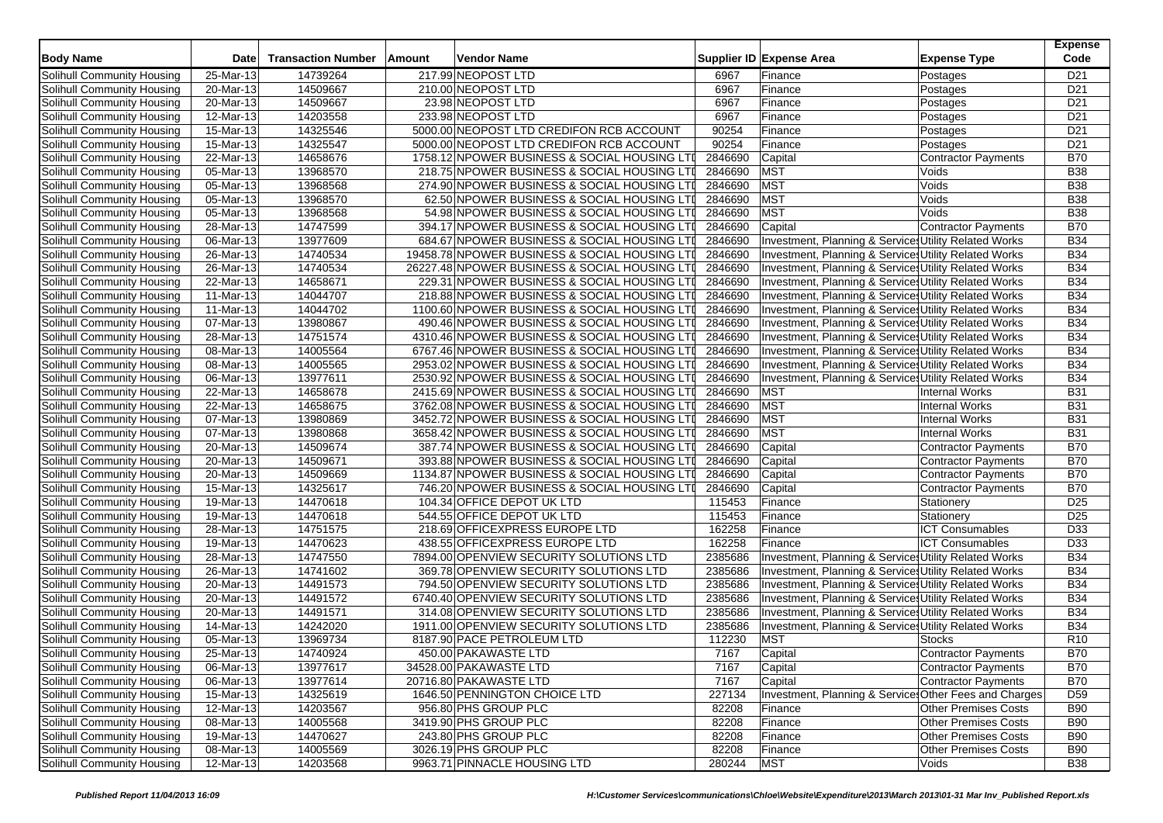| <b>Body Name</b>                  | Date                    | <b>Transaction Number</b> | Amount | <b>Vendor Name</b>                            |         | Supplier ID Expense Area                               | <b>Expense Type</b>         | <b>Expense</b><br>Code |
|-----------------------------------|-------------------------|---------------------------|--------|-----------------------------------------------|---------|--------------------------------------------------------|-----------------------------|------------------------|
| Solihull Community Housing        | 25-Mar-13               | 14739264                  |        | 217.99 NEOPOST LTD                            | 6967    | Finance                                                | Postages                    | D <sub>21</sub>        |
| Solihull Community Housing        | 20-Mar-13               | 14509667                  |        | 210.00 NEOPOST LTD                            | 6967    | Finance                                                | Postages                    | D <sub>21</sub>        |
| Solihull Community Housing        | 20-Mar-13               | 14509667                  |        | 23.98 NEOPOST LTD                             | 6967    | Finance                                                | Postages                    | D <sub>21</sub>        |
| Solihull Community Housing        | 12-Mar-13               | 14203558                  |        | 233.98 NEOPOST LTD                            | 6967    | Finance                                                | Postages                    | D <sub>21</sub>        |
| Solihull Community Housing        | 15-Mar-13               | 14325546                  |        | 5000.00 NEOPOST LTD CREDIFON RCB ACCOUNT      | 90254   | Finance                                                | Postages                    | D <sub>21</sub>        |
| Solihull Community Housing        | 15-Mar-13               | 14325547                  |        | 5000.00 NEOPOST LTD CREDIFON RCB ACCOUNT      | 90254   | Finance                                                | Postages                    | D <sub>21</sub>        |
| Solihull Community Housing        | 22-Mar-13               | 14658676                  |        | 1758.12 NPOWER BUSINESS & SOCIAL HOUSING LTI  | 2846690 | Capital                                                | <b>Contractor Payments</b>  | <b>B70</b>             |
| Solihull Community Housing        | 05-Mar-13               | 13968570                  |        | 218.75 NPOWER BUSINESS & SOCIAL HOUSING LTI   | 2846690 | <b>MST</b>                                             | Voids                       | <b>B38</b>             |
| Solihull Community Housing        | 05-Mar-13               | 13968568                  |        | 274.90 NPOWER BUSINESS & SOCIAL HOUSING LTI   | 2846690 | <b>MST</b>                                             | Voids                       | <b>B38</b>             |
| Solihull Community Housing        | 05-Mar-13               | 13968570                  |        | 62.50 NPOWER BUSINESS & SOCIAL HOUSING LTI    | 2846690 | <b>MST</b>                                             | Voids                       | <b>B38</b>             |
| Solihull Community Housing        | 05-Mar-13               | 13968568                  |        | 54.98 NPOWER BUSINESS & SOCIAL HOUSING LTI    | 2846690 | MST                                                    | Voids                       | <b>B38</b>             |
| Solihull Community Housing        | $28-Mar-13$             | 14747599                  |        | 394.17 NPOWER BUSINESS & SOCIAL HOUSING LTI   | 2846690 | Capital                                                | <b>Contractor Payments</b>  | <b>B70</b>             |
| Solihull Community Housing        | 06-Mar-13               | 13977609                  |        | 684.67 NPOWER BUSINESS & SOCIAL HOUSING LTI   | 2846690 | Investment, Planning & Services Utility Related Works  |                             | <b>B34</b>             |
| Solihull Community Housing        | 26-Mar-13               | 14740534                  |        | 19458.78 NPOWER BUSINESS & SOCIAL HOUSING LTI | 2846690 | Investment, Planning & Services Utility Related Works  |                             | <b>B34</b>             |
| Solihull Community Housing        | 26-Mar-13               | 14740534                  |        | 26227.48 NPOWER BUSINESS & SOCIAL HOUSING LTI | 2846690 | Investment, Planning & Services Utility Related Works  |                             | <b>B34</b>             |
| Solihull Community Housing        | 22-Mar-13               | 14658671                  |        | 229.31 NPOWER BUSINESS & SOCIAL HOUSING LTI   | 2846690 | Investment, Planning & Services Utility Related Works  |                             | <b>B34</b>             |
| Solihull Community Housing        | 11-Mar-13               | 14044707                  |        | 218.88 NPOWER BUSINESS & SOCIAL HOUSING LTI   | 2846690 | Investment, Planning & Services Utility Related Works  |                             | <b>B34</b>             |
| Solihull Community Housing        | 11-Mar-13               | 14044702                  |        | 1100.60 NPOWER BUSINESS & SOCIAL HOUSING LTI  | 2846690 | Investment, Planning & Services Utility Related Works  |                             | <b>B34</b>             |
| Solihull Community Housing        | 07-Mar-13               | 13980867                  |        | 490.46 NPOWER BUSINESS & SOCIAL HOUSING LTI   | 2846690 | Investment, Planning & Services Utility Related Works  |                             | <b>B34</b>             |
| Solihull Community Housing        | 28-Mar-13               | 14751574                  |        | 4310.46 NPOWER BUSINESS & SOCIAL HOUSING LTI  | 2846690 | Investment, Planning & Services Utility Related Works  |                             | <b>B34</b>             |
| Solihull Community Housing        | 08-Mar-13               | 14005564                  |        | 6767.46 NPOWER BUSINESS & SOCIAL HOUSING LTI  | 2846690 | Investment, Planning & Services Utility Related Works  |                             | <b>B34</b>             |
| Solihull Community Housing        | $\overline{08}$ -Mar-13 | 14005565                  |        | 2953.02 NPOWER BUSINESS & SOCIAL HOUSING LTI  | 2846690 | Investment, Planning & Services Utility Related Works  |                             | <b>B34</b>             |
| Solihull Community Housing        | 06-Mar-13               | 13977611                  |        | 2530.92 NPOWER BUSINESS & SOCIAL HOUSING LTI  | 2846690 | Investment, Planning & Services Utility Related Works  |                             | <b>B34</b>             |
| Solihull Community Housing        | 22-Mar-13               | 14658678                  |        | 2415.69 NPOWER BUSINESS & SOCIAL HOUSING LTI  | 2846690 | <b>MST</b>                                             | <b>Internal Works</b>       | <b>B31</b>             |
| Solihull Community Housing        | 22-Mar-13               | 14658675                  |        | 3762.08 NPOWER BUSINESS & SOCIAL HOUSING LTI  | 2846690 | <b>MST</b>                                             | <b>Internal Works</b>       | <b>B31</b>             |
| Solihull Community Housing        | 07-Mar-13               | 13980869                  |        | 3452.72 NPOWER BUSINESS & SOCIAL HOUSING LTI  | 2846690 | <b>MST</b>                                             | <b>Internal Works</b>       | <b>B31</b>             |
| Solihull Community Housing        | 07-Mar-13               | 13980868                  |        | 3658.42 NPOWER BUSINESS & SOCIAL HOUSING LTI  | 2846690 | <b>MST</b>                                             | <b>Internal Works</b>       | <b>B31</b>             |
| Solihull Community Housing        | $\overline{20}$ -Mar-13 | 14509674                  |        | 387.74 NPOWER BUSINESS & SOCIAL HOUSING LTI   | 2846690 | Capital                                                | <b>Contractor Payments</b>  | <b>B70</b>             |
| Solihull Community Housing        | 20-Mar-13               | 14509671                  |        | 393.88 NPOWER BUSINESS & SOCIAL HOUSING LTI   | 2846690 | Capital                                                | <b>Contractor Payments</b>  | <b>B70</b>             |
| Solihull Community Housing        | 20-Mar-13               | 14509669                  |        | 1134.87 NPOWER BUSINESS & SOCIAL HOUSING LTI  | 2846690 | Capital                                                | Contractor Payments         | <b>B70</b>             |
| Solihull Community Housing        | 15-Mar-13               | 14325617                  |        | 746.20 NPOWER BUSINESS & SOCIAL HOUSING LTI   | 2846690 | Capital                                                | <b>Contractor Payments</b>  | <b>B70</b>             |
| Solihull Community Housing        | 19-Mar-13               | 14470618                  |        | 104.34 OFFICE DEPOT UK LTD                    | 115453  | Finance                                                | Stationery                  | D <sub>25</sub>        |
| Solihull Community Housing        | 19-Mar-13               | 14470618                  |        | 544.55 OFFICE DEPOT UK LTD                    | 115453  | Finance                                                | Stationery                  | D25                    |
| Solihull Community Housing        | 28-Mar-13               | 14751575                  |        | 218.69 OFFICEXPRESS EUROPE LTD                | 162258  | Finance                                                | <b>ICT Consumables</b>      | D33                    |
| Solihull Community Housing        | 19-Mar-13               | 14470623                  |        | 438.55 OFFICEXPRESS EUROPE LTD                | 162258  | Finance                                                | <b>ICT Consumables</b>      | D33                    |
| Solihull Community Housing        | 28-Mar-13               | 14747550                  |        | 7894.00 OPENVIEW SECURITY SOLUTIONS LTD       | 2385686 | Investment, Planning & Services Utility Related Works  |                             | <b>B34</b>             |
| Solihull Community Housing        | 26-Mar-13               | 14741602                  |        | 369.78 OPENVIEW SECURITY SOLUTIONS LTD        | 2385686 | Investment, Planning & Services Utility Related Works  |                             | <b>B34</b>             |
| Solihull Community Housing        | 20-Mar-13               | 14491573                  |        | 794.50 OPENVIEW SECURITY SOLUTIONS LTD        | 2385686 | Investment, Planning & Services Utility Related Works  |                             | <b>B34</b>             |
| Solihull Community Housing        | 20-Mar-13               | 14491572                  |        | 6740.40 OPENVIEW SECURITY SOLUTIONS LTD       | 2385686 | Investment, Planning & Service Utility Related Works   |                             | <b>B34</b>             |
| Solihull Community Housing        | 20-Mar-13               | 14491571                  |        | 314.08 OPENVIEW SECURITY SOLUTIONS LTD        | 2385686 | Investment, Planning & Service Utility Related Works   |                             | <b>B34</b>             |
| Solihull Community Housing        | 14-Mar-13               | 14242020                  |        | 1911.00 OPENVIEW SECURITY SOLUTIONS LTD       | 2385686 | Investment, Planning & Services Utility Related Works  |                             | <b>B34</b>             |
| Solihull Community Housing        | 05-Mar-13               | 13969734                  |        | 8187.90 PACE PETROLEUM LTD                    | 112230  | <b>MST</b>                                             | <b>Stocks</b>               | R <sub>10</sub>        |
| Solihull Community Housing        | 25-Mar-13               | 14740924                  |        | 450.00 PAKAWASTE LTD                          | 7167    | Capital                                                | Contractor Payments         | <b>B70</b>             |
| Solihull Community Housing        | 06-Mar-13               | 13977617                  |        | 34528.00 PAKAWASTE LTD                        | 7167    | Capital                                                | Contractor Payments         | <b>B70</b>             |
| Solihull Community Housing        | 06-Mar-13               | 13977614                  |        | 20716.80 PAKAWASTE LTD                        | 7167    | Capital                                                | Contractor Payments         | <b>B70</b>             |
| Solihull Community Housing        | 15-Mar-13               | 14325619                  |        | 1646.50 PENNINGTON CHOICE LTD                 | 227134  | Investment, Planning & Services Other Fees and Charges |                             | D <sub>59</sub>        |
| Solihull Community Housing        | 12-Mar-13               | 14203567                  |        | 956.80 PHS GROUP PLC                          | 82208   | Finance                                                | <b>Other Premises Costs</b> | <b>B90</b>             |
| Solihull Community Housing        | 08-Mar-13               | 14005568                  |        | 3419.90 PHS GROUP PLC                         | 82208   | Finance                                                | <b>Other Premises Costs</b> | <b>B90</b>             |
| Solihull Community Housing        | 19-Mar-13               | 14470627                  |        | 243.80 PHS GROUP PLC                          | 82208   | Finance                                                | <b>Other Premises Costs</b> | <b>B90</b>             |
| <b>Solihull Community Housing</b> | 08-Mar-13               | 14005569                  |        | 3026.19 PHS GROUP PLC                         | 82208   | Finance                                                | <b>Other Premises Costs</b> | <b>B90</b>             |
| Solihull Community Housing        | 12-Mar-13               | 14203568                  |        | 9963.71 PINNACLE HOUSING LTD                  | 280244  | <b>MST</b>                                             | Voids                       | <b>B38</b>             |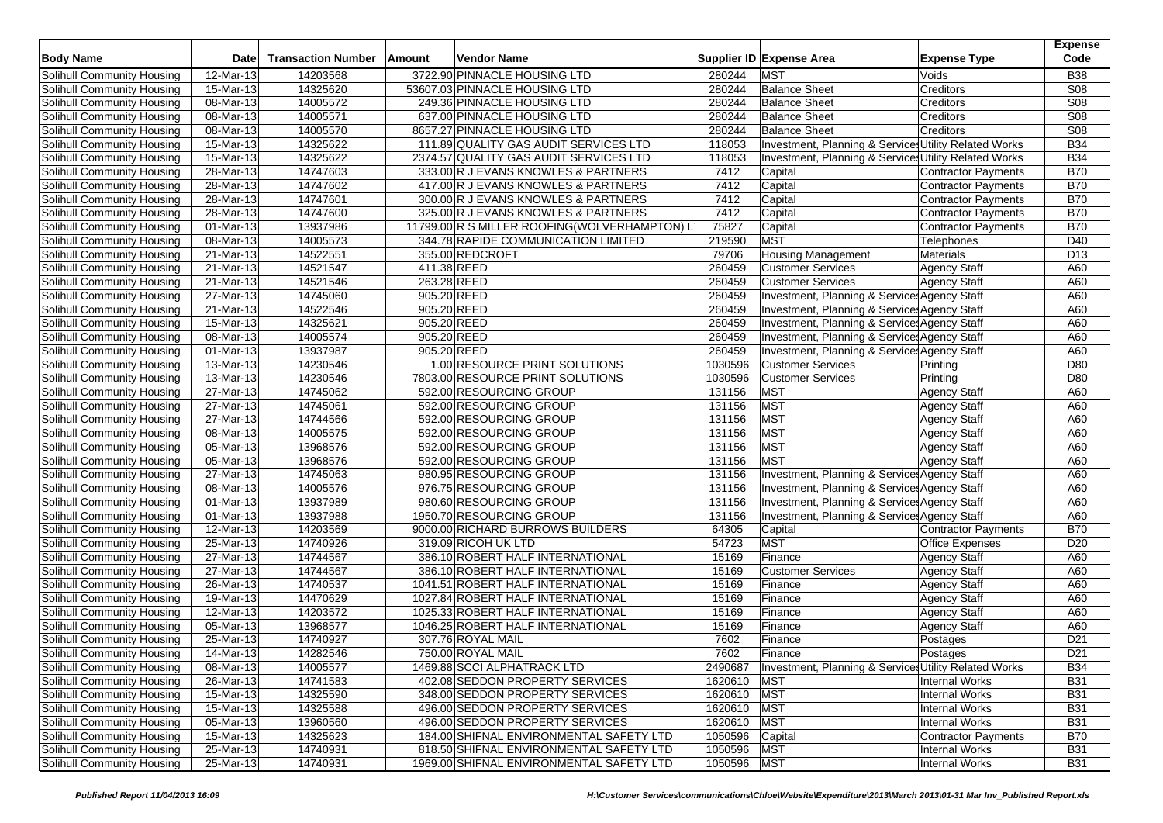| 3722.90 PINNACLE HOUSING LTD<br><b>MST</b><br>12-Mar-13<br>14203568<br>Voids<br><b>B38</b><br>280244<br>14325620<br><b>S08</b><br>Solihull Community Housing<br>15-Mar-13<br>53607.03 PINNACLE HOUSING LTD<br>280244<br><b>Balance Sheet</b><br>Creditors<br>14005572<br>S <sub>08</sub><br>280244<br><b>Balance Sheet</b><br>08-Mar-13<br>249.36 PINNACLE HOUSING LTD<br>Creditors<br>S08<br>08-Mar-13<br>14005571<br>637.00 PINNACLE HOUSING LTD<br>280244<br><b>Balance Sheet</b><br>Creditors<br>14005570<br><b>S08</b><br>08-Mar-13<br>8657.27 PINNACLE HOUSING LTD<br>280244<br><b>Balance Sheet</b><br>Creditors<br>14325622<br><b>B34</b><br>Solihull Community Housing<br>15-Mar-13<br>111.89 QUALITY GAS AUDIT SERVICES LTD<br>118053<br>Investment, Planning & Services Utility Related Works<br><b>B34</b><br>15-Mar-13<br>14325622<br>2374.57 QUALITY GAS AUDIT SERVICES LTD<br>118053<br>Investment, Planning & Services Utility Related Works<br><b>B70</b><br>Solihull Community Housing<br>28-Mar-13<br>14747603<br>333.00 R J EVANS KNOWLES & PARTNERS<br>7412<br>Capital<br>Contractor Payments<br>14747602<br><b>B70</b><br>28-Mar-13<br>417.00 R J EVANS KNOWLES & PARTNERS<br>7412<br>Capital<br>Contractor Payments<br><b>B70</b><br>28-Mar-13<br>14747601<br>300.00 R J EVANS KNOWLES & PARTNERS<br>7412<br>Capital<br>Contractor Payments<br><b>B70</b><br>28-Mar-13<br>14747600<br>325.00 R J EVANS KNOWLES & PARTNERS<br>7412<br>Capital<br><b>Contractor Payments</b><br>13937986<br>75827<br><b>B70</b><br>01-Mar-13<br>11799.00 R S MILLER ROOFING(WOLVERHAMPTON) L<br>Capital<br>Contractor Payments<br>14005573<br><b>MST</b><br>08-Mar-13<br>344.78 RAPIDE COMMUNICATION LIMITED<br>219590<br>D40<br>Telephones<br>355.00 REDCROFT<br>79706<br>21-Mar-13<br>14522551<br><b>Housing Management</b><br>Materials<br>D <sub>13</sub><br>14521547<br>411.38 REED<br>260459<br>21-Mar-13<br><b>Customer Services</b><br><b>Agency Staff</b><br>A60<br>263.28 REED<br>260459<br>Solihull Community Housing<br>21-Mar-13<br>14521546<br><b>Customer Services</b><br><b>Agency Staff</b><br>A60<br>905.20 REED<br>27-Mar-13<br>14745060<br>260459<br>Investment, Planning & Services Agency Staff<br>A60<br>14522546<br>21-Mar-13<br>905.20 REED<br>260459<br><b>Investment, Planning &amp; Service Agency Staff</b><br>A60<br>14325621<br>905.20 REED<br>260459<br>Solihull Community Housing<br>15-Mar-13<br>Investment, Planning & Services Agency Staff<br>A60<br>14005574<br>905.20 REED<br>260459<br>Solihull Community Housing<br>08-Mar-13<br>Investment, Planning & Services Agency Staff<br>A60<br>13937987<br>260459<br>Solihull Community Housing<br>01-Mar-13<br>905.20 REED<br>Investment, Planning & Service Agency Staff<br>A60<br>Solihull Community Housing<br>13-Mar-13<br>14230546<br>1.00 RESOURCE PRINT SOLUTIONS<br>1030596<br>D80<br><b>Customer Services</b><br>Printing<br>14230546<br>1030596<br><b>Customer Services</b><br><b>Solihull Community Housing</b><br>13-Mar-13<br>7803.00 RESOURCE PRINT SOLUTIONS<br>Printing<br>D80<br>14745062<br>592.00 RESOURCING GROUP<br>131156<br><b>MST</b><br>Solihull Community Housing<br>27-Mar-13<br><b>Agency Staff</b><br>A60<br>14745061<br>131156<br><b>MST</b><br>Solihull Community Housing<br>27-Mar-13<br>592.00 RESOURCING GROUP<br><b>Agency Staff</b><br>A60<br>14744566<br><b>MST</b><br>Solihull Community Housing<br>27-Mar-13<br>592.00 RESOURCING GROUP<br>131156<br><b>Agency Staff</b><br>A60<br>14005575<br>131156<br><b>MST</b><br>Solihull Community Housing<br>08-Mar-13<br>592.00 RESOURCING GROUP<br>A60<br><b>Agency Staff</b><br><b>MST</b><br>Solihull Community Housing<br>05-Mar-13<br>13968576<br>592.00 RESOURCING GROUP<br>131156<br>Agency Staff<br>A60<br>13968576<br><b>MST</b><br>05-Mar-13<br>592.00 RESOURCING GROUP<br>131156<br><b>Agency Staff</b><br>A60<br>Solihull Community Housing<br>14745063<br>131156<br>A60<br>Solihull Community Housing<br>27-Mar-13<br>980.95 RESOURCING GROUP<br>Investment, Planning & Services Agency Staff<br>14005576<br>Solihull Community Housing<br>08-Mar-13<br>976.75 RESOURCING GROUP<br>131156<br>Investment, Planning & Services Agency Staff<br>A60<br>Solihull Community Housing<br>13937989<br>980.60 RESOURCING GROUP<br>131156<br>Investment, Planning & Services Agency Staff<br>A60<br>01-Mar-13<br>$\overline{01-Mar-1}3$<br>13937988<br>131156<br>A60<br>Solihull Community Housing<br>1950.70 RESOURCING GROUP<br>Investment, Planning & Services Agency Staff<br><b>B70</b><br>Solihull Community Housing<br>12-Mar-13<br>14203569<br>9000.00 RICHARD BURROWS BUILDERS<br>64305<br>Capital<br>Contractor Payments<br><b>MST</b><br>Solihull Community Housing<br>14740926<br>319.09 RICOH UK LTD<br>54723<br><b>Office Expenses</b><br>D <sub>20</sub><br>25-Mar-13<br>14744567<br>Solihull Community Housing<br>27-Mar-13<br>386.10 ROBERT HALF INTERNATIONAL<br>15169<br>Finance<br>A60<br><b>Agency Staff</b><br>15169<br>Solihull Community Housing<br>27-Mar-13<br>14744567<br>386.10 ROBERT HALF INTERNATIONAL<br><b>Customer Services</b><br><b>Agency Staff</b><br>A60<br>Solihull Community Housing<br>14740537<br>1041.51 ROBERT HALF INTERNATIONAL<br>15169<br>Finance<br><b>Agency Staff</b><br>A60<br>26-Mar-13<br>Solihull Community Housing<br>19-Mar-13<br>14470629<br>1027.84 ROBERT HALF INTERNATIONAL<br>15169<br>Agency Staff<br>A60<br>Finance<br>Solihull Community Housing<br>12-Mar-13<br>14203572<br>15169<br>A60<br>1025.33 ROBERT HALF INTERNATIONAL<br>Finance<br><b>Agency Staff</b><br>13968577<br>05-Mar-13<br>1046.25 ROBERT HALF INTERNATIONAL<br>15169<br><b>Agency Staff</b><br>A60<br>Solihull Community Housing<br>Finance<br>14740927<br>307.76 ROYAL MAIL<br>7602<br>D <sub>21</sub><br>Solihull Community Housing<br>25-Mar-13<br>Finance<br>Postages<br>14282546<br>7602<br>D <sub>21</sub><br>Solihull Community Housing<br>14-Mar-13<br>750.00 ROYAL MAIL<br>Finance<br>Postages<br>Solihull Community Housing<br>08-Mar-13<br>14005577<br>1469.88 SCCI ALPHATRACK LTD<br>Investment, Planning & Services Utility Related Works<br><b>B34</b><br>2490687<br>Solihull Community Housing<br>26-Mar-13<br>14741583<br>402.08 SEDDON PROPERTY SERVICES<br>1620610<br><b>MST</b><br><b>Internal Works</b><br><b>B31</b><br>Solihull Community Housing<br>348.00 SEDDON PROPERTY SERVICES<br>1620610 MST<br>Internal Works<br>15-Mar-13<br>14325590<br><b>B31</b><br>14325588<br>1620610 MST<br>Solihull Community Housing<br>15-Mar-13<br>496.00 SEDDON PROPERTY SERVICES<br>Internal Works<br><b>B31</b><br>1620610 MST<br>Solihull Community Housing<br>05-Mar-13<br>13960560<br>496.00 SEDDON PROPERTY SERVICES<br>Internal Works<br><b>B31</b><br>Solihull Community Housing<br>184.00 SHIFNAL ENVIRONMENTAL SAFETY LTD<br>Contractor Payments<br>15-Mar-13<br>14325623<br>1050596<br>Capital<br><b>B70</b><br><b>MST</b><br>Solihull Community Housing<br>25-Mar-13<br>14740931<br>818.50 SHIFNAL ENVIRONMENTAL SAFETY LTD<br>1050596<br>Internal Works<br><b>B31</b><br>25-Mar-13<br>14740931<br>1969.00 SHIFNAL ENVIRONMENTAL SAFETY LTD<br>1050596 MST<br><b>Internal Works</b><br><b>B31</b> | <b>Body Name</b>                  | <b>Date</b> | <b>Transaction Number</b> | Amount | Vendor Name | Supplier ID Expense Area | <b>Expense Type</b> | <b>Expense</b><br>Code |
|-----------------------------------------------------------------------------------------------------------------------------------------------------------------------------------------------------------------------------------------------------------------------------------------------------------------------------------------------------------------------------------------------------------------------------------------------------------------------------------------------------------------------------------------------------------------------------------------------------------------------------------------------------------------------------------------------------------------------------------------------------------------------------------------------------------------------------------------------------------------------------------------------------------------------------------------------------------------------------------------------------------------------------------------------------------------------------------------------------------------------------------------------------------------------------------------------------------------------------------------------------------------------------------------------------------------------------------------------------------------------------------------------------------------------------------------------------------------------------------------------------------------------------------------------------------------------------------------------------------------------------------------------------------------------------------------------------------------------------------------------------------------------------------------------------------------------------------------------------------------------------------------------------------------------------------------------------------------------------------------------------------------------------------------------------------------------------------------------------------------------------------------------------------------------------------------------------------------------------------------------------------------------------------------------------------------------------------------------------------------------------------------------------------------------------------------------------------------------------------------------------------------------------------------------------------------------------------------------------------------------------------------------------------------------------------------------------------------------------------------------------------------------------------------------------------------------------------------------------------------------------------------------------------------------------------------------------------------------------------------------------------------------------------------------------------------------------------------------------------------------------------------------------------------------------------------------------------------------------------------------------------------------------------------------------------------------------------------------------------------------------------------------------------------------------------------------------------------------------------------------------------------------------------------------------------------------------------------------------------------------------------------------------------------------------------------------------------------------------------------------------------------------------------------------------------------------------------------------------------------------------------------------------------------------------------------------------------------------------------------------------------------------------------------------------------------------------------------------------------------------------------------------------------------------------------------------------------------------------------------------------------------------------------------------------------------------------------------------------------------------------------------------------------------------------------------------------------------------------------------------------------------------------------------------------------------------------------------------------------------------------------------------------------------------------------------------------------------------------------------------------------------------------------------------------------------------------------------------------------------------------------------------------------------------------------------------------------------------------------------------------------------------------------------------------------------------------------------------------------------------------------------------------------------------------------------------------------------------------------------------------------------------------------------------------------------------------------------------------------------------------------------------------------------------------------------------------------------------------------------------------------------------------------------------------------------------------------------------------------------------------------------------------------------------------------------------------------------------------------------------------------------------------------------------------------------------------------------------------------------------------------------------------------------------------------------------------------------------------------------------------------------------------------------------------------------------------------------------------------------------------------------------------------------------------------------------------------------------------------------------------------------------------------------------------------------------------------------------------------------------------------------------------------------------------------------------------------------------------------------------------------------------------------------------------------------------------------------------------------------------------------------------------------------------------------------------------------------------------------------------------------------------------------------------------------------------------------------------------------------------------------------------------------------------------------------------------------------------------------------------------------------------------------------------------------------------------------------------------------------------------------------------------------------------------------------------------------------------------------------|-----------------------------------|-------------|---------------------------|--------|-------------|--------------------------|---------------------|------------------------|
|                                                                                                                                                                                                                                                                                                                                                                                                                                                                                                                                                                                                                                                                                                                                                                                                                                                                                                                                                                                                                                                                                                                                                                                                                                                                                                                                                                                                                                                                                                                                                                                                                                                                                                                                                                                                                                                                                                                                                                                                                                                                                                                                                                                                                                                                                                                                                                                                                                                                                                                                                                                                                                                                                                                                                                                                                                                                                                                                                                                                                                                                                                                                                                                                                                                                                                                                                                                                                                                                                                                                                                                                                                                                                                                                                                                                                                                                                                                                                                                                                                                                                                                                                                                                                                                                                                                                                                                                                                                                                                                                                                                                                                                                                                                                                                                                                                                                                                                                                                                                                                                                                                                                                                                                                                                                                                                                                                                                                                                                                                                                                                                                                                                                                                                                                                                                                                                                                                                                                                                                                                                                                                                                                                                                                                                                                                                                                                                                                                                                                                                                                                                                                                                                                                                                                                                                                                                                                                                                                                                                                                                                                                                                                                                                                                         | Solihull Community Housing        |             |                           |        |             |                          |                     |                        |
|                                                                                                                                                                                                                                                                                                                                                                                                                                                                                                                                                                                                                                                                                                                                                                                                                                                                                                                                                                                                                                                                                                                                                                                                                                                                                                                                                                                                                                                                                                                                                                                                                                                                                                                                                                                                                                                                                                                                                                                                                                                                                                                                                                                                                                                                                                                                                                                                                                                                                                                                                                                                                                                                                                                                                                                                                                                                                                                                                                                                                                                                                                                                                                                                                                                                                                                                                                                                                                                                                                                                                                                                                                                                                                                                                                                                                                                                                                                                                                                                                                                                                                                                                                                                                                                                                                                                                                                                                                                                                                                                                                                                                                                                                                                                                                                                                                                                                                                                                                                                                                                                                                                                                                                                                                                                                                                                                                                                                                                                                                                                                                                                                                                                                                                                                                                                                                                                                                                                                                                                                                                                                                                                                                                                                                                                                                                                                                                                                                                                                                                                                                                                                                                                                                                                                                                                                                                                                                                                                                                                                                                                                                                                                                                                                                         |                                   |             |                           |        |             |                          |                     |                        |
|                                                                                                                                                                                                                                                                                                                                                                                                                                                                                                                                                                                                                                                                                                                                                                                                                                                                                                                                                                                                                                                                                                                                                                                                                                                                                                                                                                                                                                                                                                                                                                                                                                                                                                                                                                                                                                                                                                                                                                                                                                                                                                                                                                                                                                                                                                                                                                                                                                                                                                                                                                                                                                                                                                                                                                                                                                                                                                                                                                                                                                                                                                                                                                                                                                                                                                                                                                                                                                                                                                                                                                                                                                                                                                                                                                                                                                                                                                                                                                                                                                                                                                                                                                                                                                                                                                                                                                                                                                                                                                                                                                                                                                                                                                                                                                                                                                                                                                                                                                                                                                                                                                                                                                                                                                                                                                                                                                                                                                                                                                                                                                                                                                                                                                                                                                                                                                                                                                                                                                                                                                                                                                                                                                                                                                                                                                                                                                                                                                                                                                                                                                                                                                                                                                                                                                                                                                                                                                                                                                                                                                                                                                                                                                                                                                         | Solihull Community Housing        |             |                           |        |             |                          |                     |                        |
|                                                                                                                                                                                                                                                                                                                                                                                                                                                                                                                                                                                                                                                                                                                                                                                                                                                                                                                                                                                                                                                                                                                                                                                                                                                                                                                                                                                                                                                                                                                                                                                                                                                                                                                                                                                                                                                                                                                                                                                                                                                                                                                                                                                                                                                                                                                                                                                                                                                                                                                                                                                                                                                                                                                                                                                                                                                                                                                                                                                                                                                                                                                                                                                                                                                                                                                                                                                                                                                                                                                                                                                                                                                                                                                                                                                                                                                                                                                                                                                                                                                                                                                                                                                                                                                                                                                                                                                                                                                                                                                                                                                                                                                                                                                                                                                                                                                                                                                                                                                                                                                                                                                                                                                                                                                                                                                                                                                                                                                                                                                                                                                                                                                                                                                                                                                                                                                                                                                                                                                                                                                                                                                                                                                                                                                                                                                                                                                                                                                                                                                                                                                                                                                                                                                                                                                                                                                                                                                                                                                                                                                                                                                                                                                                                                         | Solihull Community Housing        |             |                           |        |             |                          |                     |                        |
|                                                                                                                                                                                                                                                                                                                                                                                                                                                                                                                                                                                                                                                                                                                                                                                                                                                                                                                                                                                                                                                                                                                                                                                                                                                                                                                                                                                                                                                                                                                                                                                                                                                                                                                                                                                                                                                                                                                                                                                                                                                                                                                                                                                                                                                                                                                                                                                                                                                                                                                                                                                                                                                                                                                                                                                                                                                                                                                                                                                                                                                                                                                                                                                                                                                                                                                                                                                                                                                                                                                                                                                                                                                                                                                                                                                                                                                                                                                                                                                                                                                                                                                                                                                                                                                                                                                                                                                                                                                                                                                                                                                                                                                                                                                                                                                                                                                                                                                                                                                                                                                                                                                                                                                                                                                                                                                                                                                                                                                                                                                                                                                                                                                                                                                                                                                                                                                                                                                                                                                                                                                                                                                                                                                                                                                                                                                                                                                                                                                                                                                                                                                                                                                                                                                                                                                                                                                                                                                                                                                                                                                                                                                                                                                                                                         | Solihull Community Housing        |             |                           |        |             |                          |                     |                        |
|                                                                                                                                                                                                                                                                                                                                                                                                                                                                                                                                                                                                                                                                                                                                                                                                                                                                                                                                                                                                                                                                                                                                                                                                                                                                                                                                                                                                                                                                                                                                                                                                                                                                                                                                                                                                                                                                                                                                                                                                                                                                                                                                                                                                                                                                                                                                                                                                                                                                                                                                                                                                                                                                                                                                                                                                                                                                                                                                                                                                                                                                                                                                                                                                                                                                                                                                                                                                                                                                                                                                                                                                                                                                                                                                                                                                                                                                                                                                                                                                                                                                                                                                                                                                                                                                                                                                                                                                                                                                                                                                                                                                                                                                                                                                                                                                                                                                                                                                                                                                                                                                                                                                                                                                                                                                                                                                                                                                                                                                                                                                                                                                                                                                                                                                                                                                                                                                                                                                                                                                                                                                                                                                                                                                                                                                                                                                                                                                                                                                                                                                                                                                                                                                                                                                                                                                                                                                                                                                                                                                                                                                                                                                                                                                                                         |                                   |             |                           |        |             |                          |                     |                        |
|                                                                                                                                                                                                                                                                                                                                                                                                                                                                                                                                                                                                                                                                                                                                                                                                                                                                                                                                                                                                                                                                                                                                                                                                                                                                                                                                                                                                                                                                                                                                                                                                                                                                                                                                                                                                                                                                                                                                                                                                                                                                                                                                                                                                                                                                                                                                                                                                                                                                                                                                                                                                                                                                                                                                                                                                                                                                                                                                                                                                                                                                                                                                                                                                                                                                                                                                                                                                                                                                                                                                                                                                                                                                                                                                                                                                                                                                                                                                                                                                                                                                                                                                                                                                                                                                                                                                                                                                                                                                                                                                                                                                                                                                                                                                                                                                                                                                                                                                                                                                                                                                                                                                                                                                                                                                                                                                                                                                                                                                                                                                                                                                                                                                                                                                                                                                                                                                                                                                                                                                                                                                                                                                                                                                                                                                                                                                                                                                                                                                                                                                                                                                                                                                                                                                                                                                                                                                                                                                                                                                                                                                                                                                                                                                                                         | Solihull Community Housing        |             |                           |        |             |                          |                     |                        |
|                                                                                                                                                                                                                                                                                                                                                                                                                                                                                                                                                                                                                                                                                                                                                                                                                                                                                                                                                                                                                                                                                                                                                                                                                                                                                                                                                                                                                                                                                                                                                                                                                                                                                                                                                                                                                                                                                                                                                                                                                                                                                                                                                                                                                                                                                                                                                                                                                                                                                                                                                                                                                                                                                                                                                                                                                                                                                                                                                                                                                                                                                                                                                                                                                                                                                                                                                                                                                                                                                                                                                                                                                                                                                                                                                                                                                                                                                                                                                                                                                                                                                                                                                                                                                                                                                                                                                                                                                                                                                                                                                                                                                                                                                                                                                                                                                                                                                                                                                                                                                                                                                                                                                                                                                                                                                                                                                                                                                                                                                                                                                                                                                                                                                                                                                                                                                                                                                                                                                                                                                                                                                                                                                                                                                                                                                                                                                                                                                                                                                                                                                                                                                                                                                                                                                                                                                                                                                                                                                                                                                                                                                                                                                                                                                                         |                                   |             |                           |        |             |                          |                     |                        |
|                                                                                                                                                                                                                                                                                                                                                                                                                                                                                                                                                                                                                                                                                                                                                                                                                                                                                                                                                                                                                                                                                                                                                                                                                                                                                                                                                                                                                                                                                                                                                                                                                                                                                                                                                                                                                                                                                                                                                                                                                                                                                                                                                                                                                                                                                                                                                                                                                                                                                                                                                                                                                                                                                                                                                                                                                                                                                                                                                                                                                                                                                                                                                                                                                                                                                                                                                                                                                                                                                                                                                                                                                                                                                                                                                                                                                                                                                                                                                                                                                                                                                                                                                                                                                                                                                                                                                                                                                                                                                                                                                                                                                                                                                                                                                                                                                                                                                                                                                                                                                                                                                                                                                                                                                                                                                                                                                                                                                                                                                                                                                                                                                                                                                                                                                                                                                                                                                                                                                                                                                                                                                                                                                                                                                                                                                                                                                                                                                                                                                                                                                                                                                                                                                                                                                                                                                                                                                                                                                                                                                                                                                                                                                                                                                                         | Solihull Community Housing        |             |                           |        |             |                          |                     |                        |
|                                                                                                                                                                                                                                                                                                                                                                                                                                                                                                                                                                                                                                                                                                                                                                                                                                                                                                                                                                                                                                                                                                                                                                                                                                                                                                                                                                                                                                                                                                                                                                                                                                                                                                                                                                                                                                                                                                                                                                                                                                                                                                                                                                                                                                                                                                                                                                                                                                                                                                                                                                                                                                                                                                                                                                                                                                                                                                                                                                                                                                                                                                                                                                                                                                                                                                                                                                                                                                                                                                                                                                                                                                                                                                                                                                                                                                                                                                                                                                                                                                                                                                                                                                                                                                                                                                                                                                                                                                                                                                                                                                                                                                                                                                                                                                                                                                                                                                                                                                                                                                                                                                                                                                                                                                                                                                                                                                                                                                                                                                                                                                                                                                                                                                                                                                                                                                                                                                                                                                                                                                                                                                                                                                                                                                                                                                                                                                                                                                                                                                                                                                                                                                                                                                                                                                                                                                                                                                                                                                                                                                                                                                                                                                                                                                         | Solihull Community Housing        |             |                           |        |             |                          |                     |                        |
|                                                                                                                                                                                                                                                                                                                                                                                                                                                                                                                                                                                                                                                                                                                                                                                                                                                                                                                                                                                                                                                                                                                                                                                                                                                                                                                                                                                                                                                                                                                                                                                                                                                                                                                                                                                                                                                                                                                                                                                                                                                                                                                                                                                                                                                                                                                                                                                                                                                                                                                                                                                                                                                                                                                                                                                                                                                                                                                                                                                                                                                                                                                                                                                                                                                                                                                                                                                                                                                                                                                                                                                                                                                                                                                                                                                                                                                                                                                                                                                                                                                                                                                                                                                                                                                                                                                                                                                                                                                                                                                                                                                                                                                                                                                                                                                                                                                                                                                                                                                                                                                                                                                                                                                                                                                                                                                                                                                                                                                                                                                                                                                                                                                                                                                                                                                                                                                                                                                                                                                                                                                                                                                                                                                                                                                                                                                                                                                                                                                                                                                                                                                                                                                                                                                                                                                                                                                                                                                                                                                                                                                                                                                                                                                                                                         | Solihull Community Housing        |             |                           |        |             |                          |                     |                        |
|                                                                                                                                                                                                                                                                                                                                                                                                                                                                                                                                                                                                                                                                                                                                                                                                                                                                                                                                                                                                                                                                                                                                                                                                                                                                                                                                                                                                                                                                                                                                                                                                                                                                                                                                                                                                                                                                                                                                                                                                                                                                                                                                                                                                                                                                                                                                                                                                                                                                                                                                                                                                                                                                                                                                                                                                                                                                                                                                                                                                                                                                                                                                                                                                                                                                                                                                                                                                                                                                                                                                                                                                                                                                                                                                                                                                                                                                                                                                                                                                                                                                                                                                                                                                                                                                                                                                                                                                                                                                                                                                                                                                                                                                                                                                                                                                                                                                                                                                                                                                                                                                                                                                                                                                                                                                                                                                                                                                                                                                                                                                                                                                                                                                                                                                                                                                                                                                                                                                                                                                                                                                                                                                                                                                                                                                                                                                                                                                                                                                                                                                                                                                                                                                                                                                                                                                                                                                                                                                                                                                                                                                                                                                                                                                                                         | Solihull Community Housing        |             |                           |        |             |                          |                     |                        |
|                                                                                                                                                                                                                                                                                                                                                                                                                                                                                                                                                                                                                                                                                                                                                                                                                                                                                                                                                                                                                                                                                                                                                                                                                                                                                                                                                                                                                                                                                                                                                                                                                                                                                                                                                                                                                                                                                                                                                                                                                                                                                                                                                                                                                                                                                                                                                                                                                                                                                                                                                                                                                                                                                                                                                                                                                                                                                                                                                                                                                                                                                                                                                                                                                                                                                                                                                                                                                                                                                                                                                                                                                                                                                                                                                                                                                                                                                                                                                                                                                                                                                                                                                                                                                                                                                                                                                                                                                                                                                                                                                                                                                                                                                                                                                                                                                                                                                                                                                                                                                                                                                                                                                                                                                                                                                                                                                                                                                                                                                                                                                                                                                                                                                                                                                                                                                                                                                                                                                                                                                                                                                                                                                                                                                                                                                                                                                                                                                                                                                                                                                                                                                                                                                                                                                                                                                                                                                                                                                                                                                                                                                                                                                                                                                                         | Solihull Community Housing        |             |                           |        |             |                          |                     |                        |
|                                                                                                                                                                                                                                                                                                                                                                                                                                                                                                                                                                                                                                                                                                                                                                                                                                                                                                                                                                                                                                                                                                                                                                                                                                                                                                                                                                                                                                                                                                                                                                                                                                                                                                                                                                                                                                                                                                                                                                                                                                                                                                                                                                                                                                                                                                                                                                                                                                                                                                                                                                                                                                                                                                                                                                                                                                                                                                                                                                                                                                                                                                                                                                                                                                                                                                                                                                                                                                                                                                                                                                                                                                                                                                                                                                                                                                                                                                                                                                                                                                                                                                                                                                                                                                                                                                                                                                                                                                                                                                                                                                                                                                                                                                                                                                                                                                                                                                                                                                                                                                                                                                                                                                                                                                                                                                                                                                                                                                                                                                                                                                                                                                                                                                                                                                                                                                                                                                                                                                                                                                                                                                                                                                                                                                                                                                                                                                                                                                                                                                                                                                                                                                                                                                                                                                                                                                                                                                                                                                                                                                                                                                                                                                                                                                         | Solihull Community Housing        |             |                           |        |             |                          |                     |                        |
|                                                                                                                                                                                                                                                                                                                                                                                                                                                                                                                                                                                                                                                                                                                                                                                                                                                                                                                                                                                                                                                                                                                                                                                                                                                                                                                                                                                                                                                                                                                                                                                                                                                                                                                                                                                                                                                                                                                                                                                                                                                                                                                                                                                                                                                                                                                                                                                                                                                                                                                                                                                                                                                                                                                                                                                                                                                                                                                                                                                                                                                                                                                                                                                                                                                                                                                                                                                                                                                                                                                                                                                                                                                                                                                                                                                                                                                                                                                                                                                                                                                                                                                                                                                                                                                                                                                                                                                                                                                                                                                                                                                                                                                                                                                                                                                                                                                                                                                                                                                                                                                                                                                                                                                                                                                                                                                                                                                                                                                                                                                                                                                                                                                                                                                                                                                                                                                                                                                                                                                                                                                                                                                                                                                                                                                                                                                                                                                                                                                                                                                                                                                                                                                                                                                                                                                                                                                                                                                                                                                                                                                                                                                                                                                                                                         | <b>Solihull Community Housing</b> |             |                           |        |             |                          |                     |                        |
|                                                                                                                                                                                                                                                                                                                                                                                                                                                                                                                                                                                                                                                                                                                                                                                                                                                                                                                                                                                                                                                                                                                                                                                                                                                                                                                                                                                                                                                                                                                                                                                                                                                                                                                                                                                                                                                                                                                                                                                                                                                                                                                                                                                                                                                                                                                                                                                                                                                                                                                                                                                                                                                                                                                                                                                                                                                                                                                                                                                                                                                                                                                                                                                                                                                                                                                                                                                                                                                                                                                                                                                                                                                                                                                                                                                                                                                                                                                                                                                                                                                                                                                                                                                                                                                                                                                                                                                                                                                                                                                                                                                                                                                                                                                                                                                                                                                                                                                                                                                                                                                                                                                                                                                                                                                                                                                                                                                                                                                                                                                                                                                                                                                                                                                                                                                                                                                                                                                                                                                                                                                                                                                                                                                                                                                                                                                                                                                                                                                                                                                                                                                                                                                                                                                                                                                                                                                                                                                                                                                                                                                                                                                                                                                                                                         |                                   |             |                           |        |             |                          |                     |                        |
|                                                                                                                                                                                                                                                                                                                                                                                                                                                                                                                                                                                                                                                                                                                                                                                                                                                                                                                                                                                                                                                                                                                                                                                                                                                                                                                                                                                                                                                                                                                                                                                                                                                                                                                                                                                                                                                                                                                                                                                                                                                                                                                                                                                                                                                                                                                                                                                                                                                                                                                                                                                                                                                                                                                                                                                                                                                                                                                                                                                                                                                                                                                                                                                                                                                                                                                                                                                                                                                                                                                                                                                                                                                                                                                                                                                                                                                                                                                                                                                                                                                                                                                                                                                                                                                                                                                                                                                                                                                                                                                                                                                                                                                                                                                                                                                                                                                                                                                                                                                                                                                                                                                                                                                                                                                                                                                                                                                                                                                                                                                                                                                                                                                                                                                                                                                                                                                                                                                                                                                                                                                                                                                                                                                                                                                                                                                                                                                                                                                                                                                                                                                                                                                                                                                                                                                                                                                                                                                                                                                                                                                                                                                                                                                                                                         | Solihull Community Housing        |             |                           |        |             |                          |                     |                        |
|                                                                                                                                                                                                                                                                                                                                                                                                                                                                                                                                                                                                                                                                                                                                                                                                                                                                                                                                                                                                                                                                                                                                                                                                                                                                                                                                                                                                                                                                                                                                                                                                                                                                                                                                                                                                                                                                                                                                                                                                                                                                                                                                                                                                                                                                                                                                                                                                                                                                                                                                                                                                                                                                                                                                                                                                                                                                                                                                                                                                                                                                                                                                                                                                                                                                                                                                                                                                                                                                                                                                                                                                                                                                                                                                                                                                                                                                                                                                                                                                                                                                                                                                                                                                                                                                                                                                                                                                                                                                                                                                                                                                                                                                                                                                                                                                                                                                                                                                                                                                                                                                                                                                                                                                                                                                                                                                                                                                                                                                                                                                                                                                                                                                                                                                                                                                                                                                                                                                                                                                                                                                                                                                                                                                                                                                                                                                                                                                                                                                                                                                                                                                                                                                                                                                                                                                                                                                                                                                                                                                                                                                                                                                                                                                                                         | Solihull Community Housing        |             |                           |        |             |                          |                     |                        |
|                                                                                                                                                                                                                                                                                                                                                                                                                                                                                                                                                                                                                                                                                                                                                                                                                                                                                                                                                                                                                                                                                                                                                                                                                                                                                                                                                                                                                                                                                                                                                                                                                                                                                                                                                                                                                                                                                                                                                                                                                                                                                                                                                                                                                                                                                                                                                                                                                                                                                                                                                                                                                                                                                                                                                                                                                                                                                                                                                                                                                                                                                                                                                                                                                                                                                                                                                                                                                                                                                                                                                                                                                                                                                                                                                                                                                                                                                                                                                                                                                                                                                                                                                                                                                                                                                                                                                                                                                                                                                                                                                                                                                                                                                                                                                                                                                                                                                                                                                                                                                                                                                                                                                                                                                                                                                                                                                                                                                                                                                                                                                                                                                                                                                                                                                                                                                                                                                                                                                                                                                                                                                                                                                                                                                                                                                                                                                                                                                                                                                                                                                                                                                                                                                                                                                                                                                                                                                                                                                                                                                                                                                                                                                                                                                                         |                                   |             |                           |        |             |                          |                     |                        |
|                                                                                                                                                                                                                                                                                                                                                                                                                                                                                                                                                                                                                                                                                                                                                                                                                                                                                                                                                                                                                                                                                                                                                                                                                                                                                                                                                                                                                                                                                                                                                                                                                                                                                                                                                                                                                                                                                                                                                                                                                                                                                                                                                                                                                                                                                                                                                                                                                                                                                                                                                                                                                                                                                                                                                                                                                                                                                                                                                                                                                                                                                                                                                                                                                                                                                                                                                                                                                                                                                                                                                                                                                                                                                                                                                                                                                                                                                                                                                                                                                                                                                                                                                                                                                                                                                                                                                                                                                                                                                                                                                                                                                                                                                                                                                                                                                                                                                                                                                                                                                                                                                                                                                                                                                                                                                                                                                                                                                                                                                                                                                                                                                                                                                                                                                                                                                                                                                                                                                                                                                                                                                                                                                                                                                                                                                                                                                                                                                                                                                                                                                                                                                                                                                                                                                                                                                                                                                                                                                                                                                                                                                                                                                                                                                                         |                                   |             |                           |        |             |                          |                     |                        |
|                                                                                                                                                                                                                                                                                                                                                                                                                                                                                                                                                                                                                                                                                                                                                                                                                                                                                                                                                                                                                                                                                                                                                                                                                                                                                                                                                                                                                                                                                                                                                                                                                                                                                                                                                                                                                                                                                                                                                                                                                                                                                                                                                                                                                                                                                                                                                                                                                                                                                                                                                                                                                                                                                                                                                                                                                                                                                                                                                                                                                                                                                                                                                                                                                                                                                                                                                                                                                                                                                                                                                                                                                                                                                                                                                                                                                                                                                                                                                                                                                                                                                                                                                                                                                                                                                                                                                                                                                                                                                                                                                                                                                                                                                                                                                                                                                                                                                                                                                                                                                                                                                                                                                                                                                                                                                                                                                                                                                                                                                                                                                                                                                                                                                                                                                                                                                                                                                                                                                                                                                                                                                                                                                                                                                                                                                                                                                                                                                                                                                                                                                                                                                                                                                                                                                                                                                                                                                                                                                                                                                                                                                                                                                                                                                                         |                                   |             |                           |        |             |                          |                     |                        |
|                                                                                                                                                                                                                                                                                                                                                                                                                                                                                                                                                                                                                                                                                                                                                                                                                                                                                                                                                                                                                                                                                                                                                                                                                                                                                                                                                                                                                                                                                                                                                                                                                                                                                                                                                                                                                                                                                                                                                                                                                                                                                                                                                                                                                                                                                                                                                                                                                                                                                                                                                                                                                                                                                                                                                                                                                                                                                                                                                                                                                                                                                                                                                                                                                                                                                                                                                                                                                                                                                                                                                                                                                                                                                                                                                                                                                                                                                                                                                                                                                                                                                                                                                                                                                                                                                                                                                                                                                                                                                                                                                                                                                                                                                                                                                                                                                                                                                                                                                                                                                                                                                                                                                                                                                                                                                                                                                                                                                                                                                                                                                                                                                                                                                                                                                                                                                                                                                                                                                                                                                                                                                                                                                                                                                                                                                                                                                                                                                                                                                                                                                                                                                                                                                                                                                                                                                                                                                                                                                                                                                                                                                                                                                                                                                                         |                                   |             |                           |        |             |                          |                     |                        |
|                                                                                                                                                                                                                                                                                                                                                                                                                                                                                                                                                                                                                                                                                                                                                                                                                                                                                                                                                                                                                                                                                                                                                                                                                                                                                                                                                                                                                                                                                                                                                                                                                                                                                                                                                                                                                                                                                                                                                                                                                                                                                                                                                                                                                                                                                                                                                                                                                                                                                                                                                                                                                                                                                                                                                                                                                                                                                                                                                                                                                                                                                                                                                                                                                                                                                                                                                                                                                                                                                                                                                                                                                                                                                                                                                                                                                                                                                                                                                                                                                                                                                                                                                                                                                                                                                                                                                                                                                                                                                                                                                                                                                                                                                                                                                                                                                                                                                                                                                                                                                                                                                                                                                                                                                                                                                                                                                                                                                                                                                                                                                                                                                                                                                                                                                                                                                                                                                                                                                                                                                                                                                                                                                                                                                                                                                                                                                                                                                                                                                                                                                                                                                                                                                                                                                                                                                                                                                                                                                                                                                                                                                                                                                                                                                                         |                                   |             |                           |        |             |                          |                     |                        |
|                                                                                                                                                                                                                                                                                                                                                                                                                                                                                                                                                                                                                                                                                                                                                                                                                                                                                                                                                                                                                                                                                                                                                                                                                                                                                                                                                                                                                                                                                                                                                                                                                                                                                                                                                                                                                                                                                                                                                                                                                                                                                                                                                                                                                                                                                                                                                                                                                                                                                                                                                                                                                                                                                                                                                                                                                                                                                                                                                                                                                                                                                                                                                                                                                                                                                                                                                                                                                                                                                                                                                                                                                                                                                                                                                                                                                                                                                                                                                                                                                                                                                                                                                                                                                                                                                                                                                                                                                                                                                                                                                                                                                                                                                                                                                                                                                                                                                                                                                                                                                                                                                                                                                                                                                                                                                                                                                                                                                                                                                                                                                                                                                                                                                                                                                                                                                                                                                                                                                                                                                                                                                                                                                                                                                                                                                                                                                                                                                                                                                                                                                                                                                                                                                                                                                                                                                                                                                                                                                                                                                                                                                                                                                                                                                                         |                                   |             |                           |        |             |                          |                     |                        |
|                                                                                                                                                                                                                                                                                                                                                                                                                                                                                                                                                                                                                                                                                                                                                                                                                                                                                                                                                                                                                                                                                                                                                                                                                                                                                                                                                                                                                                                                                                                                                                                                                                                                                                                                                                                                                                                                                                                                                                                                                                                                                                                                                                                                                                                                                                                                                                                                                                                                                                                                                                                                                                                                                                                                                                                                                                                                                                                                                                                                                                                                                                                                                                                                                                                                                                                                                                                                                                                                                                                                                                                                                                                                                                                                                                                                                                                                                                                                                                                                                                                                                                                                                                                                                                                                                                                                                                                                                                                                                                                                                                                                                                                                                                                                                                                                                                                                                                                                                                                                                                                                                                                                                                                                                                                                                                                                                                                                                                                                                                                                                                                                                                                                                                                                                                                                                                                                                                                                                                                                                                                                                                                                                                                                                                                                                                                                                                                                                                                                                                                                                                                                                                                                                                                                                                                                                                                                                                                                                                                                                                                                                                                                                                                                                                         |                                   |             |                           |        |             |                          |                     |                        |
|                                                                                                                                                                                                                                                                                                                                                                                                                                                                                                                                                                                                                                                                                                                                                                                                                                                                                                                                                                                                                                                                                                                                                                                                                                                                                                                                                                                                                                                                                                                                                                                                                                                                                                                                                                                                                                                                                                                                                                                                                                                                                                                                                                                                                                                                                                                                                                                                                                                                                                                                                                                                                                                                                                                                                                                                                                                                                                                                                                                                                                                                                                                                                                                                                                                                                                                                                                                                                                                                                                                                                                                                                                                                                                                                                                                                                                                                                                                                                                                                                                                                                                                                                                                                                                                                                                                                                                                                                                                                                                                                                                                                                                                                                                                                                                                                                                                                                                                                                                                                                                                                                                                                                                                                                                                                                                                                                                                                                                                                                                                                                                                                                                                                                                                                                                                                                                                                                                                                                                                                                                                                                                                                                                                                                                                                                                                                                                                                                                                                                                                                                                                                                                                                                                                                                                                                                                                                                                                                                                                                                                                                                                                                                                                                                                         |                                   |             |                           |        |             |                          |                     |                        |
|                                                                                                                                                                                                                                                                                                                                                                                                                                                                                                                                                                                                                                                                                                                                                                                                                                                                                                                                                                                                                                                                                                                                                                                                                                                                                                                                                                                                                                                                                                                                                                                                                                                                                                                                                                                                                                                                                                                                                                                                                                                                                                                                                                                                                                                                                                                                                                                                                                                                                                                                                                                                                                                                                                                                                                                                                                                                                                                                                                                                                                                                                                                                                                                                                                                                                                                                                                                                                                                                                                                                                                                                                                                                                                                                                                                                                                                                                                                                                                                                                                                                                                                                                                                                                                                                                                                                                                                                                                                                                                                                                                                                                                                                                                                                                                                                                                                                                                                                                                                                                                                                                                                                                                                                                                                                                                                                                                                                                                                                                                                                                                                                                                                                                                                                                                                                                                                                                                                                                                                                                                                                                                                                                                                                                                                                                                                                                                                                                                                                                                                                                                                                                                                                                                                                                                                                                                                                                                                                                                                                                                                                                                                                                                                                                                         |                                   |             |                           |        |             |                          |                     |                        |
|                                                                                                                                                                                                                                                                                                                                                                                                                                                                                                                                                                                                                                                                                                                                                                                                                                                                                                                                                                                                                                                                                                                                                                                                                                                                                                                                                                                                                                                                                                                                                                                                                                                                                                                                                                                                                                                                                                                                                                                                                                                                                                                                                                                                                                                                                                                                                                                                                                                                                                                                                                                                                                                                                                                                                                                                                                                                                                                                                                                                                                                                                                                                                                                                                                                                                                                                                                                                                                                                                                                                                                                                                                                                                                                                                                                                                                                                                                                                                                                                                                                                                                                                                                                                                                                                                                                                                                                                                                                                                                                                                                                                                                                                                                                                                                                                                                                                                                                                                                                                                                                                                                                                                                                                                                                                                                                                                                                                                                                                                                                                                                                                                                                                                                                                                                                                                                                                                                                                                                                                                                                                                                                                                                                                                                                                                                                                                                                                                                                                                                                                                                                                                                                                                                                                                                                                                                                                                                                                                                                                                                                                                                                                                                                                                                         |                                   |             |                           |        |             |                          |                     |                        |
|                                                                                                                                                                                                                                                                                                                                                                                                                                                                                                                                                                                                                                                                                                                                                                                                                                                                                                                                                                                                                                                                                                                                                                                                                                                                                                                                                                                                                                                                                                                                                                                                                                                                                                                                                                                                                                                                                                                                                                                                                                                                                                                                                                                                                                                                                                                                                                                                                                                                                                                                                                                                                                                                                                                                                                                                                                                                                                                                                                                                                                                                                                                                                                                                                                                                                                                                                                                                                                                                                                                                                                                                                                                                                                                                                                                                                                                                                                                                                                                                                                                                                                                                                                                                                                                                                                                                                                                                                                                                                                                                                                                                                                                                                                                                                                                                                                                                                                                                                                                                                                                                                                                                                                                                                                                                                                                                                                                                                                                                                                                                                                                                                                                                                                                                                                                                                                                                                                                                                                                                                                                                                                                                                                                                                                                                                                                                                                                                                                                                                                                                                                                                                                                                                                                                                                                                                                                                                                                                                                                                                                                                                                                                                                                                                                         |                                   |             |                           |        |             |                          |                     |                        |
|                                                                                                                                                                                                                                                                                                                                                                                                                                                                                                                                                                                                                                                                                                                                                                                                                                                                                                                                                                                                                                                                                                                                                                                                                                                                                                                                                                                                                                                                                                                                                                                                                                                                                                                                                                                                                                                                                                                                                                                                                                                                                                                                                                                                                                                                                                                                                                                                                                                                                                                                                                                                                                                                                                                                                                                                                                                                                                                                                                                                                                                                                                                                                                                                                                                                                                                                                                                                                                                                                                                                                                                                                                                                                                                                                                                                                                                                                                                                                                                                                                                                                                                                                                                                                                                                                                                                                                                                                                                                                                                                                                                                                                                                                                                                                                                                                                                                                                                                                                                                                                                                                                                                                                                                                                                                                                                                                                                                                                                                                                                                                                                                                                                                                                                                                                                                                                                                                                                                                                                                                                                                                                                                                                                                                                                                                                                                                                                                                                                                                                                                                                                                                                                                                                                                                                                                                                                                                                                                                                                                                                                                                                                                                                                                                                         |                                   |             |                           |        |             |                          |                     |                        |
|                                                                                                                                                                                                                                                                                                                                                                                                                                                                                                                                                                                                                                                                                                                                                                                                                                                                                                                                                                                                                                                                                                                                                                                                                                                                                                                                                                                                                                                                                                                                                                                                                                                                                                                                                                                                                                                                                                                                                                                                                                                                                                                                                                                                                                                                                                                                                                                                                                                                                                                                                                                                                                                                                                                                                                                                                                                                                                                                                                                                                                                                                                                                                                                                                                                                                                                                                                                                                                                                                                                                                                                                                                                                                                                                                                                                                                                                                                                                                                                                                                                                                                                                                                                                                                                                                                                                                                                                                                                                                                                                                                                                                                                                                                                                                                                                                                                                                                                                                                                                                                                                                                                                                                                                                                                                                                                                                                                                                                                                                                                                                                                                                                                                                                                                                                                                                                                                                                                                                                                                                                                                                                                                                                                                                                                                                                                                                                                                                                                                                                                                                                                                                                                                                                                                                                                                                                                                                                                                                                                                                                                                                                                                                                                                                                         |                                   |             |                           |        |             |                          |                     |                        |
|                                                                                                                                                                                                                                                                                                                                                                                                                                                                                                                                                                                                                                                                                                                                                                                                                                                                                                                                                                                                                                                                                                                                                                                                                                                                                                                                                                                                                                                                                                                                                                                                                                                                                                                                                                                                                                                                                                                                                                                                                                                                                                                                                                                                                                                                                                                                                                                                                                                                                                                                                                                                                                                                                                                                                                                                                                                                                                                                                                                                                                                                                                                                                                                                                                                                                                                                                                                                                                                                                                                                                                                                                                                                                                                                                                                                                                                                                                                                                                                                                                                                                                                                                                                                                                                                                                                                                                                                                                                                                                                                                                                                                                                                                                                                                                                                                                                                                                                                                                                                                                                                                                                                                                                                                                                                                                                                                                                                                                                                                                                                                                                                                                                                                                                                                                                                                                                                                                                                                                                                                                                                                                                                                                                                                                                                                                                                                                                                                                                                                                                                                                                                                                                                                                                                                                                                                                                                                                                                                                                                                                                                                                                                                                                                                                         |                                   |             |                           |        |             |                          |                     |                        |
|                                                                                                                                                                                                                                                                                                                                                                                                                                                                                                                                                                                                                                                                                                                                                                                                                                                                                                                                                                                                                                                                                                                                                                                                                                                                                                                                                                                                                                                                                                                                                                                                                                                                                                                                                                                                                                                                                                                                                                                                                                                                                                                                                                                                                                                                                                                                                                                                                                                                                                                                                                                                                                                                                                                                                                                                                                                                                                                                                                                                                                                                                                                                                                                                                                                                                                                                                                                                                                                                                                                                                                                                                                                                                                                                                                                                                                                                                                                                                                                                                                                                                                                                                                                                                                                                                                                                                                                                                                                                                                                                                                                                                                                                                                                                                                                                                                                                                                                                                                                                                                                                                                                                                                                                                                                                                                                                                                                                                                                                                                                                                                                                                                                                                                                                                                                                                                                                                                                                                                                                                                                                                                                                                                                                                                                                                                                                                                                                                                                                                                                                                                                                                                                                                                                                                                                                                                                                                                                                                                                                                                                                                                                                                                                                                                         |                                   |             |                           |        |             |                          |                     |                        |
|                                                                                                                                                                                                                                                                                                                                                                                                                                                                                                                                                                                                                                                                                                                                                                                                                                                                                                                                                                                                                                                                                                                                                                                                                                                                                                                                                                                                                                                                                                                                                                                                                                                                                                                                                                                                                                                                                                                                                                                                                                                                                                                                                                                                                                                                                                                                                                                                                                                                                                                                                                                                                                                                                                                                                                                                                                                                                                                                                                                                                                                                                                                                                                                                                                                                                                                                                                                                                                                                                                                                                                                                                                                                                                                                                                                                                                                                                                                                                                                                                                                                                                                                                                                                                                                                                                                                                                                                                                                                                                                                                                                                                                                                                                                                                                                                                                                                                                                                                                                                                                                                                                                                                                                                                                                                                                                                                                                                                                                                                                                                                                                                                                                                                                                                                                                                                                                                                                                                                                                                                                                                                                                                                                                                                                                                                                                                                                                                                                                                                                                                                                                                                                                                                                                                                                                                                                                                                                                                                                                                                                                                                                                                                                                                                                         |                                   |             |                           |        |             |                          |                     |                        |
|                                                                                                                                                                                                                                                                                                                                                                                                                                                                                                                                                                                                                                                                                                                                                                                                                                                                                                                                                                                                                                                                                                                                                                                                                                                                                                                                                                                                                                                                                                                                                                                                                                                                                                                                                                                                                                                                                                                                                                                                                                                                                                                                                                                                                                                                                                                                                                                                                                                                                                                                                                                                                                                                                                                                                                                                                                                                                                                                                                                                                                                                                                                                                                                                                                                                                                                                                                                                                                                                                                                                                                                                                                                                                                                                                                                                                                                                                                                                                                                                                                                                                                                                                                                                                                                                                                                                                                                                                                                                                                                                                                                                                                                                                                                                                                                                                                                                                                                                                                                                                                                                                                                                                                                                                                                                                                                                                                                                                                                                                                                                                                                                                                                                                                                                                                                                                                                                                                                                                                                                                                                                                                                                                                                                                                                                                                                                                                                                                                                                                                                                                                                                                                                                                                                                                                                                                                                                                                                                                                                                                                                                                                                                                                                                                                         |                                   |             |                           |        |             |                          |                     |                        |
|                                                                                                                                                                                                                                                                                                                                                                                                                                                                                                                                                                                                                                                                                                                                                                                                                                                                                                                                                                                                                                                                                                                                                                                                                                                                                                                                                                                                                                                                                                                                                                                                                                                                                                                                                                                                                                                                                                                                                                                                                                                                                                                                                                                                                                                                                                                                                                                                                                                                                                                                                                                                                                                                                                                                                                                                                                                                                                                                                                                                                                                                                                                                                                                                                                                                                                                                                                                                                                                                                                                                                                                                                                                                                                                                                                                                                                                                                                                                                                                                                                                                                                                                                                                                                                                                                                                                                                                                                                                                                                                                                                                                                                                                                                                                                                                                                                                                                                                                                                                                                                                                                                                                                                                                                                                                                                                                                                                                                                                                                                                                                                                                                                                                                                                                                                                                                                                                                                                                                                                                                                                                                                                                                                                                                                                                                                                                                                                                                                                                                                                                                                                                                                                                                                                                                                                                                                                                                                                                                                                                                                                                                                                                                                                                                                         |                                   |             |                           |        |             |                          |                     |                        |
|                                                                                                                                                                                                                                                                                                                                                                                                                                                                                                                                                                                                                                                                                                                                                                                                                                                                                                                                                                                                                                                                                                                                                                                                                                                                                                                                                                                                                                                                                                                                                                                                                                                                                                                                                                                                                                                                                                                                                                                                                                                                                                                                                                                                                                                                                                                                                                                                                                                                                                                                                                                                                                                                                                                                                                                                                                                                                                                                                                                                                                                                                                                                                                                                                                                                                                                                                                                                                                                                                                                                                                                                                                                                                                                                                                                                                                                                                                                                                                                                                                                                                                                                                                                                                                                                                                                                                                                                                                                                                                                                                                                                                                                                                                                                                                                                                                                                                                                                                                                                                                                                                                                                                                                                                                                                                                                                                                                                                                                                                                                                                                                                                                                                                                                                                                                                                                                                                                                                                                                                                                                                                                                                                                                                                                                                                                                                                                                                                                                                                                                                                                                                                                                                                                                                                                                                                                                                                                                                                                                                                                                                                                                                                                                                                                         |                                   |             |                           |        |             |                          |                     |                        |
|                                                                                                                                                                                                                                                                                                                                                                                                                                                                                                                                                                                                                                                                                                                                                                                                                                                                                                                                                                                                                                                                                                                                                                                                                                                                                                                                                                                                                                                                                                                                                                                                                                                                                                                                                                                                                                                                                                                                                                                                                                                                                                                                                                                                                                                                                                                                                                                                                                                                                                                                                                                                                                                                                                                                                                                                                                                                                                                                                                                                                                                                                                                                                                                                                                                                                                                                                                                                                                                                                                                                                                                                                                                                                                                                                                                                                                                                                                                                                                                                                                                                                                                                                                                                                                                                                                                                                                                                                                                                                                                                                                                                                                                                                                                                                                                                                                                                                                                                                                                                                                                                                                                                                                                                                                                                                                                                                                                                                                                                                                                                                                                                                                                                                                                                                                                                                                                                                                                                                                                                                                                                                                                                                                                                                                                                                                                                                                                                                                                                                                                                                                                                                                                                                                                                                                                                                                                                                                                                                                                                                                                                                                                                                                                                                                         |                                   |             |                           |        |             |                          |                     |                        |
|                                                                                                                                                                                                                                                                                                                                                                                                                                                                                                                                                                                                                                                                                                                                                                                                                                                                                                                                                                                                                                                                                                                                                                                                                                                                                                                                                                                                                                                                                                                                                                                                                                                                                                                                                                                                                                                                                                                                                                                                                                                                                                                                                                                                                                                                                                                                                                                                                                                                                                                                                                                                                                                                                                                                                                                                                                                                                                                                                                                                                                                                                                                                                                                                                                                                                                                                                                                                                                                                                                                                                                                                                                                                                                                                                                                                                                                                                                                                                                                                                                                                                                                                                                                                                                                                                                                                                                                                                                                                                                                                                                                                                                                                                                                                                                                                                                                                                                                                                                                                                                                                                                                                                                                                                                                                                                                                                                                                                                                                                                                                                                                                                                                                                                                                                                                                                                                                                                                                                                                                                                                                                                                                                                                                                                                                                                                                                                                                                                                                                                                                                                                                                                                                                                                                                                                                                                                                                                                                                                                                                                                                                                                                                                                                                                         |                                   |             |                           |        |             |                          |                     |                        |
|                                                                                                                                                                                                                                                                                                                                                                                                                                                                                                                                                                                                                                                                                                                                                                                                                                                                                                                                                                                                                                                                                                                                                                                                                                                                                                                                                                                                                                                                                                                                                                                                                                                                                                                                                                                                                                                                                                                                                                                                                                                                                                                                                                                                                                                                                                                                                                                                                                                                                                                                                                                                                                                                                                                                                                                                                                                                                                                                                                                                                                                                                                                                                                                                                                                                                                                                                                                                                                                                                                                                                                                                                                                                                                                                                                                                                                                                                                                                                                                                                                                                                                                                                                                                                                                                                                                                                                                                                                                                                                                                                                                                                                                                                                                                                                                                                                                                                                                                                                                                                                                                                                                                                                                                                                                                                                                                                                                                                                                                                                                                                                                                                                                                                                                                                                                                                                                                                                                                                                                                                                                                                                                                                                                                                                                                                                                                                                                                                                                                                                                                                                                                                                                                                                                                                                                                                                                                                                                                                                                                                                                                                                                                                                                                                                         |                                   |             |                           |        |             |                          |                     |                        |
|                                                                                                                                                                                                                                                                                                                                                                                                                                                                                                                                                                                                                                                                                                                                                                                                                                                                                                                                                                                                                                                                                                                                                                                                                                                                                                                                                                                                                                                                                                                                                                                                                                                                                                                                                                                                                                                                                                                                                                                                                                                                                                                                                                                                                                                                                                                                                                                                                                                                                                                                                                                                                                                                                                                                                                                                                                                                                                                                                                                                                                                                                                                                                                                                                                                                                                                                                                                                                                                                                                                                                                                                                                                                                                                                                                                                                                                                                                                                                                                                                                                                                                                                                                                                                                                                                                                                                                                                                                                                                                                                                                                                                                                                                                                                                                                                                                                                                                                                                                                                                                                                                                                                                                                                                                                                                                                                                                                                                                                                                                                                                                                                                                                                                                                                                                                                                                                                                                                                                                                                                                                                                                                                                                                                                                                                                                                                                                                                                                                                                                                                                                                                                                                                                                                                                                                                                                                                                                                                                                                                                                                                                                                                                                                                                                         |                                   |             |                           |        |             |                          |                     |                        |
|                                                                                                                                                                                                                                                                                                                                                                                                                                                                                                                                                                                                                                                                                                                                                                                                                                                                                                                                                                                                                                                                                                                                                                                                                                                                                                                                                                                                                                                                                                                                                                                                                                                                                                                                                                                                                                                                                                                                                                                                                                                                                                                                                                                                                                                                                                                                                                                                                                                                                                                                                                                                                                                                                                                                                                                                                                                                                                                                                                                                                                                                                                                                                                                                                                                                                                                                                                                                                                                                                                                                                                                                                                                                                                                                                                                                                                                                                                                                                                                                                                                                                                                                                                                                                                                                                                                                                                                                                                                                                                                                                                                                                                                                                                                                                                                                                                                                                                                                                                                                                                                                                                                                                                                                                                                                                                                                                                                                                                                                                                                                                                                                                                                                                                                                                                                                                                                                                                                                                                                                                                                                                                                                                                                                                                                                                                                                                                                                                                                                                                                                                                                                                                                                                                                                                                                                                                                                                                                                                                                                                                                                                                                                                                                                                                         |                                   |             |                           |        |             |                          |                     |                        |
|                                                                                                                                                                                                                                                                                                                                                                                                                                                                                                                                                                                                                                                                                                                                                                                                                                                                                                                                                                                                                                                                                                                                                                                                                                                                                                                                                                                                                                                                                                                                                                                                                                                                                                                                                                                                                                                                                                                                                                                                                                                                                                                                                                                                                                                                                                                                                                                                                                                                                                                                                                                                                                                                                                                                                                                                                                                                                                                                                                                                                                                                                                                                                                                                                                                                                                                                                                                                                                                                                                                                                                                                                                                                                                                                                                                                                                                                                                                                                                                                                                                                                                                                                                                                                                                                                                                                                                                                                                                                                                                                                                                                                                                                                                                                                                                                                                                                                                                                                                                                                                                                                                                                                                                                                                                                                                                                                                                                                                                                                                                                                                                                                                                                                                                                                                                                                                                                                                                                                                                                                                                                                                                                                                                                                                                                                                                                                                                                                                                                                                                                                                                                                                                                                                                                                                                                                                                                                                                                                                                                                                                                                                                                                                                                                                         |                                   |             |                           |        |             |                          |                     |                        |
|                                                                                                                                                                                                                                                                                                                                                                                                                                                                                                                                                                                                                                                                                                                                                                                                                                                                                                                                                                                                                                                                                                                                                                                                                                                                                                                                                                                                                                                                                                                                                                                                                                                                                                                                                                                                                                                                                                                                                                                                                                                                                                                                                                                                                                                                                                                                                                                                                                                                                                                                                                                                                                                                                                                                                                                                                                                                                                                                                                                                                                                                                                                                                                                                                                                                                                                                                                                                                                                                                                                                                                                                                                                                                                                                                                                                                                                                                                                                                                                                                                                                                                                                                                                                                                                                                                                                                                                                                                                                                                                                                                                                                                                                                                                                                                                                                                                                                                                                                                                                                                                                                                                                                                                                                                                                                                                                                                                                                                                                                                                                                                                                                                                                                                                                                                                                                                                                                                                                                                                                                                                                                                                                                                                                                                                                                                                                                                                                                                                                                                                                                                                                                                                                                                                                                                                                                                                                                                                                                                                                                                                                                                                                                                                                                                         |                                   |             |                           |        |             |                          |                     |                        |
|                                                                                                                                                                                                                                                                                                                                                                                                                                                                                                                                                                                                                                                                                                                                                                                                                                                                                                                                                                                                                                                                                                                                                                                                                                                                                                                                                                                                                                                                                                                                                                                                                                                                                                                                                                                                                                                                                                                                                                                                                                                                                                                                                                                                                                                                                                                                                                                                                                                                                                                                                                                                                                                                                                                                                                                                                                                                                                                                                                                                                                                                                                                                                                                                                                                                                                                                                                                                                                                                                                                                                                                                                                                                                                                                                                                                                                                                                                                                                                                                                                                                                                                                                                                                                                                                                                                                                                                                                                                                                                                                                                                                                                                                                                                                                                                                                                                                                                                                                                                                                                                                                                                                                                                                                                                                                                                                                                                                                                                                                                                                                                                                                                                                                                                                                                                                                                                                                                                                                                                                                                                                                                                                                                                                                                                                                                                                                                                                                                                                                                                                                                                                                                                                                                                                                                                                                                                                                                                                                                                                                                                                                                                                                                                                                                         |                                   |             |                           |        |             |                          |                     |                        |
|                                                                                                                                                                                                                                                                                                                                                                                                                                                                                                                                                                                                                                                                                                                                                                                                                                                                                                                                                                                                                                                                                                                                                                                                                                                                                                                                                                                                                                                                                                                                                                                                                                                                                                                                                                                                                                                                                                                                                                                                                                                                                                                                                                                                                                                                                                                                                                                                                                                                                                                                                                                                                                                                                                                                                                                                                                                                                                                                                                                                                                                                                                                                                                                                                                                                                                                                                                                                                                                                                                                                                                                                                                                                                                                                                                                                                                                                                                                                                                                                                                                                                                                                                                                                                                                                                                                                                                                                                                                                                                                                                                                                                                                                                                                                                                                                                                                                                                                                                                                                                                                                                                                                                                                                                                                                                                                                                                                                                                                                                                                                                                                                                                                                                                                                                                                                                                                                                                                                                                                                                                                                                                                                                                                                                                                                                                                                                                                                                                                                                                                                                                                                                                                                                                                                                                                                                                                                                                                                                                                                                                                                                                                                                                                                                                         |                                   |             |                           |        |             |                          |                     |                        |
|                                                                                                                                                                                                                                                                                                                                                                                                                                                                                                                                                                                                                                                                                                                                                                                                                                                                                                                                                                                                                                                                                                                                                                                                                                                                                                                                                                                                                                                                                                                                                                                                                                                                                                                                                                                                                                                                                                                                                                                                                                                                                                                                                                                                                                                                                                                                                                                                                                                                                                                                                                                                                                                                                                                                                                                                                                                                                                                                                                                                                                                                                                                                                                                                                                                                                                                                                                                                                                                                                                                                                                                                                                                                                                                                                                                                                                                                                                                                                                                                                                                                                                                                                                                                                                                                                                                                                                                                                                                                                                                                                                                                                                                                                                                                                                                                                                                                                                                                                                                                                                                                                                                                                                                                                                                                                                                                                                                                                                                                                                                                                                                                                                                                                                                                                                                                                                                                                                                                                                                                                                                                                                                                                                                                                                                                                                                                                                                                                                                                                                                                                                                                                                                                                                                                                                                                                                                                                                                                                                                                                                                                                                                                                                                                                                         |                                   |             |                           |        |             |                          |                     |                        |
|                                                                                                                                                                                                                                                                                                                                                                                                                                                                                                                                                                                                                                                                                                                                                                                                                                                                                                                                                                                                                                                                                                                                                                                                                                                                                                                                                                                                                                                                                                                                                                                                                                                                                                                                                                                                                                                                                                                                                                                                                                                                                                                                                                                                                                                                                                                                                                                                                                                                                                                                                                                                                                                                                                                                                                                                                                                                                                                                                                                                                                                                                                                                                                                                                                                                                                                                                                                                                                                                                                                                                                                                                                                                                                                                                                                                                                                                                                                                                                                                                                                                                                                                                                                                                                                                                                                                                                                                                                                                                                                                                                                                                                                                                                                                                                                                                                                                                                                                                                                                                                                                                                                                                                                                                                                                                                                                                                                                                                                                                                                                                                                                                                                                                                                                                                                                                                                                                                                                                                                                                                                                                                                                                                                                                                                                                                                                                                                                                                                                                                                                                                                                                                                                                                                                                                                                                                                                                                                                                                                                                                                                                                                                                                                                                                         |                                   |             |                           |        |             |                          |                     |                        |
|                                                                                                                                                                                                                                                                                                                                                                                                                                                                                                                                                                                                                                                                                                                                                                                                                                                                                                                                                                                                                                                                                                                                                                                                                                                                                                                                                                                                                                                                                                                                                                                                                                                                                                                                                                                                                                                                                                                                                                                                                                                                                                                                                                                                                                                                                                                                                                                                                                                                                                                                                                                                                                                                                                                                                                                                                                                                                                                                                                                                                                                                                                                                                                                                                                                                                                                                                                                                                                                                                                                                                                                                                                                                                                                                                                                                                                                                                                                                                                                                                                                                                                                                                                                                                                                                                                                                                                                                                                                                                                                                                                                                                                                                                                                                                                                                                                                                                                                                                                                                                                                                                                                                                                                                                                                                                                                                                                                                                                                                                                                                                                                                                                                                                                                                                                                                                                                                                                                                                                                                                                                                                                                                                                                                                                                                                                                                                                                                                                                                                                                                                                                                                                                                                                                                                                                                                                                                                                                                                                                                                                                                                                                                                                                                                                         |                                   |             |                           |        |             |                          |                     |                        |
|                                                                                                                                                                                                                                                                                                                                                                                                                                                                                                                                                                                                                                                                                                                                                                                                                                                                                                                                                                                                                                                                                                                                                                                                                                                                                                                                                                                                                                                                                                                                                                                                                                                                                                                                                                                                                                                                                                                                                                                                                                                                                                                                                                                                                                                                                                                                                                                                                                                                                                                                                                                                                                                                                                                                                                                                                                                                                                                                                                                                                                                                                                                                                                                                                                                                                                                                                                                                                                                                                                                                                                                                                                                                                                                                                                                                                                                                                                                                                                                                                                                                                                                                                                                                                                                                                                                                                                                                                                                                                                                                                                                                                                                                                                                                                                                                                                                                                                                                                                                                                                                                                                                                                                                                                                                                                                                                                                                                                                                                                                                                                                                                                                                                                                                                                                                                                                                                                                                                                                                                                                                                                                                                                                                                                                                                                                                                                                                                                                                                                                                                                                                                                                                                                                                                                                                                                                                                                                                                                                                                                                                                                                                                                                                                                                         |                                   |             |                           |        |             |                          |                     |                        |
|                                                                                                                                                                                                                                                                                                                                                                                                                                                                                                                                                                                                                                                                                                                                                                                                                                                                                                                                                                                                                                                                                                                                                                                                                                                                                                                                                                                                                                                                                                                                                                                                                                                                                                                                                                                                                                                                                                                                                                                                                                                                                                                                                                                                                                                                                                                                                                                                                                                                                                                                                                                                                                                                                                                                                                                                                                                                                                                                                                                                                                                                                                                                                                                                                                                                                                                                                                                                                                                                                                                                                                                                                                                                                                                                                                                                                                                                                                                                                                                                                                                                                                                                                                                                                                                                                                                                                                                                                                                                                                                                                                                                                                                                                                                                                                                                                                                                                                                                                                                                                                                                                                                                                                                                                                                                                                                                                                                                                                                                                                                                                                                                                                                                                                                                                                                                                                                                                                                                                                                                                                                                                                                                                                                                                                                                                                                                                                                                                                                                                                                                                                                                                                                                                                                                                                                                                                                                                                                                                                                                                                                                                                                                                                                                                                         | Solihull Community Housing        |             |                           |        |             |                          |                     |                        |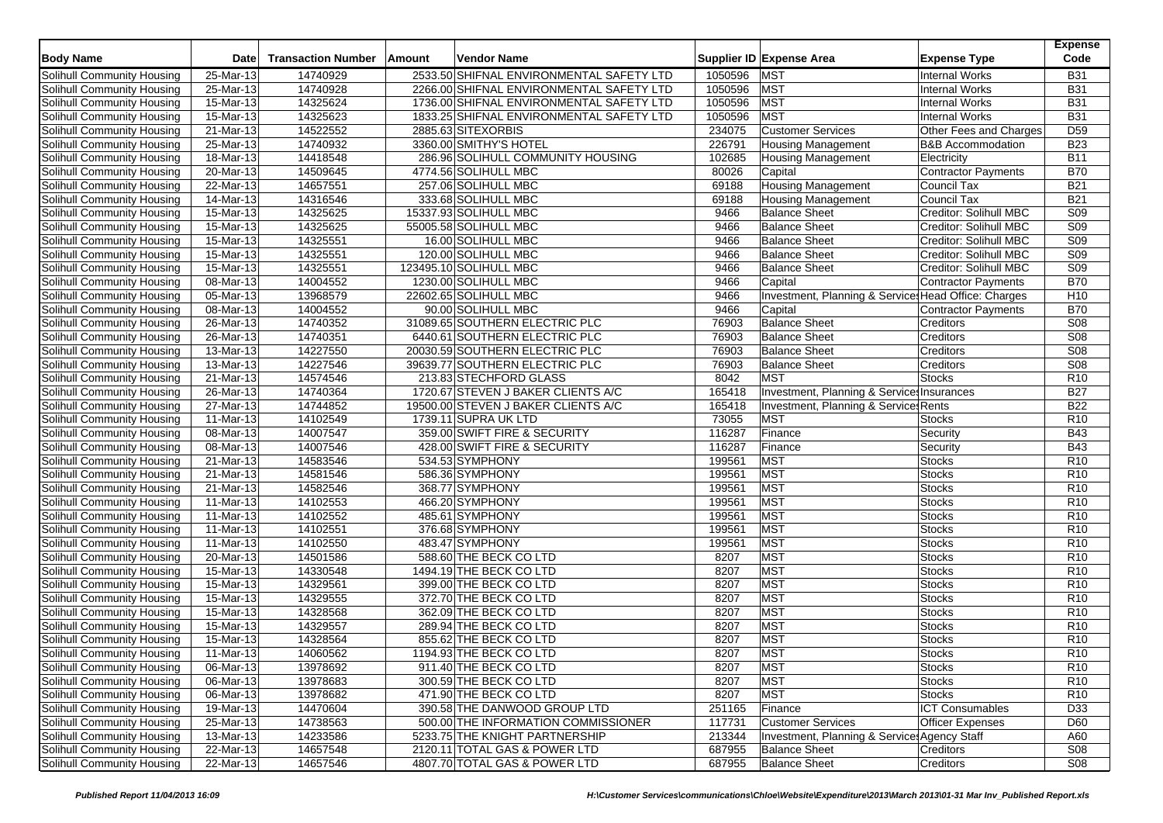| <b>Body Name</b>                                                | <b>Date</b>               | <b>Transaction Number</b> | Amount | <b>Vendor Name</b>                                |         | Supplier ID Expense Area                             | <b>Expense Type</b>            | <b>Expense</b><br>Code             |
|-----------------------------------------------------------------|---------------------------|---------------------------|--------|---------------------------------------------------|---------|------------------------------------------------------|--------------------------------|------------------------------------|
| Solihull Community Housing                                      | 25-Mar-13                 | 14740929                  |        | 2533.50 SHIFNAL ENVIRONMENTAL SAFETY LTD          | 1050596 | <b>MST</b>                                           | <b>Internal Works</b>          | <b>B31</b>                         |
| Solihull Community Housing                                      | 25-Mar-13                 | 14740928                  |        | 2266.00 SHIFNAL ENVIRONMENTAL SAFETY LTD          | 1050596 | <b>MST</b>                                           | <b>Internal Works</b>          | <b>B31</b>                         |
| Solihull Community Housing                                      | 15-Mar-13                 | 14325624                  |        | 1736.00 SHIFNAL ENVIRONMENTAL SAFETY LTD          | 1050596 | <b>MST</b>                                           | <b>Internal Works</b>          | <b>B31</b>                         |
| Solihull Community Housing                                      | 15-Mar-13                 | 14325623                  |        | 1833.25 SHIFNAL ENVIRONMENTAL SAFETY LTD          | 1050596 | <b>MST</b>                                           | <b>Internal Works</b>          | <b>B31</b>                         |
| Solihull Community Housing                                      | 21-Mar-13                 | 14522552                  |        | 2885.63 SITEXORBIS                                | 234075  | <b>Customer Services</b>                             | Other Fees and Charges         | D <sub>59</sub>                    |
| Solihull Community Housing                                      | 25-Mar-13                 | 14740932                  |        | 3360.00 SMITHY'S HOTEL                            | 226791  | <b>Housing Management</b>                            | <b>B&amp;B Accommodation</b>   | <b>B23</b>                         |
| Solihull Community Housing                                      | 18-Mar-13                 | 14418548                  |        | 286.96 SOLIHULL COMMUNITY HOUSING                 | 102685  | <b>Housing Management</b>                            | Electricity                    | <b>B11</b>                         |
| Solihull Community Housing                                      | 20-Mar-13                 | 14509645                  |        | 4774.56 SOLIHULL MBC                              | 80026   | Capital                                              | <b>Contractor Payments</b>     | <b>B70</b>                         |
| Solihull Community Housing                                      | 22-Mar-13                 | 14657551                  |        | 257.06 SOLIHULL MBC                               | 69188   | <b>Housing Management</b>                            | <b>Council Tax</b>             | <b>B21</b>                         |
| Solihull Community Housing                                      | 14-Mar-13                 | 14316546                  |        | 333.68 SOLIHULL MBC                               | 69188   | <b>Housing Management</b>                            | Council Tax                    | <b>B21</b>                         |
| Solihull Community Housing                                      | 15-Mar-13                 | 14325625                  |        | 15337.93 SOLIHULL MBC                             | 9466    | <b>Balance Sheet</b>                                 | Creditor: Solihull MBC         | S <sub>09</sub>                    |
| Solihull Community Housing                                      | 15-Mar-13                 | 14325625                  |        | 55005.58 SOLIHULL MBC                             | 9466    | <b>Balance Sheet</b>                                 | Creditor: Solihull MBC         | <b>S09</b>                         |
| Solihull Community Housing                                      | 15-Mar-13                 | 14325551                  |        | 16.00 SOLIHULL MBC                                | 9466    | <b>Balance Sheet</b>                                 | Creditor: Solihull MBC         | S <sub>09</sub>                    |
| Solihull Community Housing                                      | 15-Mar-13                 | 14325551                  |        | 120.00 SOLIHULL MBC                               | 9466    | <b>Balance Sheet</b>                                 | Creditor: Solihull MBC         | <b>S09</b>                         |
| Solihull Community Housing                                      | 15-Mar-13                 | 14325551                  |        | 123495.10 SOLIHULL MBC                            | 9466    | <b>Balance Sheet</b>                                 | Creditor: Solihull MBC         | S <sub>09</sub>                    |
| Solihull Community Housing                                      | 08-Mar-13                 | 14004552                  |        | 1230.00 SOLIHULL MBC                              | 9466    | Capital                                              | <b>Contractor Payments</b>     | <b>B70</b>                         |
| Solihull Community Housing                                      | 05-Mar-13                 | 13968579                  |        | 22602.65 SOLIHULL MBC                             | 9466    | Investment, Planning & Service: Head Office: Charges |                                | H <sub>10</sub>                    |
| Solihull Community Housing                                      | 08-Mar-13                 | 14004552                  |        | 90.00 SOLIHULL MBC                                | 9466    | Capital                                              | <b>Contractor Payments</b>     | <b>B70</b>                         |
| Solihull Community Housing                                      | 26-Mar-13                 | 14740352                  |        | 31089.65 SOUTHERN ELECTRIC PLC                    | 76903   | <b>Balance Sheet</b>                                 | Creditors                      | S <sub>08</sub>                    |
| Solihull Community Housing                                      | 26-Mar-13                 | 14740351                  |        | 6440.61 SOUTHERN ELECTRIC PLC                     | 76903   | <b>Balance Sheet</b>                                 | Creditors                      | S <sub>08</sub>                    |
| Solihull Community Housing                                      | 13-Mar-13                 | 14227550                  |        | 20030.59 SOUTHERN ELECTRIC PLC                    | 76903   | <b>Balance Sheet</b>                                 | Creditors                      | <b>S08</b>                         |
| <b>Solihull Community Housing</b>                               | 13-Mar-13                 | 14227546                  |        | 39639.77 SOUTHERN ELECTRIC PLC                    | 76903   | <b>Balance Sheet</b>                                 | Creditors                      | S08                                |
| Solihull Community Housing                                      | 21-Mar-13                 | 14574546                  |        | 213.83 STECHFORD GLASS                            | 8042    | <b>MST</b>                                           | <b>Stocks</b>                  | R <sub>10</sub>                    |
| Solihull Community Housing                                      | 26-Mar-13                 | 14740364                  |        | 1720.67 STEVEN J BAKER CLIENTS A/C                | 165418  | Investment, Planning & Services Insurances           |                                | <b>B27</b>                         |
| Solihull Community Housing                                      | 27-Mar-13                 | 14744852                  |        | 19500.00 STEVEN J BAKER CLIENTS A/C               | 165418  | Investment, Planning & Services Rents                |                                | <b>B22</b>                         |
| Solihull Community Housing                                      | 11-Mar-13                 | 14102549                  |        | 1739.11 SUPRA UK LTD                              | 73055   | <b>MST</b>                                           | <b>Stocks</b>                  | R <sub>10</sub>                    |
| Solihull Community Housing                                      | 08-Mar-13                 | 14007547                  |        | 359.00 SWIFT FIRE & SECURITY                      | 116287  | Finance                                              | Security                       | <b>B43</b>                         |
| Solihull Community Housing                                      | 08-Mar-13                 | 14007546                  |        | 428.00 SWIFT FIRE & SECURITY                      | 116287  | Finance                                              | Security                       | <b>B43</b>                         |
| Solihull Community Housing                                      | 21-Mar-13                 | 14583546                  |        | 534.53 SYMPHONY                                   | 199561  | <b>MST</b>                                           | <b>Stocks</b>                  | R <sub>10</sub>                    |
| Solihull Community Housing                                      | 21-Mar-13                 | 14581546                  |        | 586.36 SYMPHONY                                   | 199561  | <b>MST</b>                                           | <b>Stocks</b>                  | R <sub>10</sub>                    |
| Solihull Community Housing                                      | 21-Mar-13                 | 14582546                  |        | 368.77 SYMPHONY                                   | 199561  | <b>MST</b>                                           | <b>Stocks</b>                  | R <sub>10</sub>                    |
| Solihull Community Housing                                      | 11-Mar-13                 | 14102553                  |        | 466.20 SYMPHONY                                   | 199561  | <b>MST</b>                                           | <b>Stocks</b>                  | R <sub>10</sub>                    |
|                                                                 |                           | 14102552                  |        | 485.61 SYMPHONY                                   | 199561  | <b>MST</b>                                           | <b>Stocks</b>                  | R <sub>10</sub>                    |
| Solihull Community Housing<br>Solihull Community Housing        | 11-Mar-13<br>11-Mar-13    | 14102551                  |        | 376.68 SYMPHONY                                   | 199561  | <b>MST</b>                                           | <b>Stocks</b>                  | R <sub>10</sub>                    |
|                                                                 |                           |                           |        |                                                   | 199561  | <b>MST</b>                                           |                                |                                    |
| Solihull Community Housing                                      | 11-Mar-13                 | 14102550<br>14501586      |        | 483.47 SYMPHONY                                   | 8207    | <b>MST</b>                                           | <b>Stocks</b><br><b>Stocks</b> | R <sub>10</sub>                    |
| <b>Solihull Community Housing</b><br>Solihull Community Housing | 20-Mar-13<br>$15$ -Mar-13 |                           |        | 588.60 THE BECK CO LTD                            | 8207    | <b>MST</b>                                           |                                | R <sub>10</sub><br>R <sub>10</sub> |
| Solihull Community Housing                                      | 15-Mar-13                 | 14330548<br>14329561      |        | 1494.19 THE BECK CO LTD<br>399.00 THE BECK CO LTD | 8207    | <b>MST</b>                                           | <b>Stocks</b><br>Stocks        | R <sub>10</sub>                    |
| Solihull Community Housing                                      | 15-Mar-13                 | 14329555                  |        | 372.70 THE BECK CO LTD                            | 8207    | <b>MST</b>                                           | <b>Stocks</b>                  | R <sub>10</sub>                    |
| Solihull Community Housing                                      | 15-Mar-13                 | 14328568                  |        | 362.09 THE BECK CO LTD                            | 8207    | <b>MST</b>                                           | <b>Stocks</b>                  | R <sub>10</sub>                    |
| Solihull Community Housing                                      | 15-Mar-13                 | 14329557                  |        | 289.94 THE BECK CO LTD                            | 8207    | <b>MST</b>                                           | <b>Stocks</b>                  | R <sub>10</sub>                    |
| Solihull Community Housing                                      | 15-Mar-13                 | 14328564                  |        | 855.62 THE BECK CO LTD                            | 8207    | <b>MST</b>                                           | <b>Stocks</b>                  | R <sub>10</sub>                    |
|                                                                 |                           |                           |        |                                                   | 8207    |                                                      | <b>Stocks</b>                  | R <sub>10</sub>                    |
| Solihull Community Housing                                      | 11-Mar-13                 | 14060562                  |        | 1194.93 THE BECK CO LTD                           |         | MST                                                  |                                |                                    |
| Solihull Community Housing                                      | 06-Mar-13                 | 13978692                  |        | 911.40 THE BECK CO LTD                            | 8207    | <b>MST</b>                                           | <b>Stocks</b>                  | R <sub>10</sub>                    |
| Solihull Community Housing                                      | $\overline{06}$ -Mar-13   | 13978683                  |        | 300.59 THE BECK CO LTD<br>471.90 THE BECK CO LTD  | 8207    | <b>MST</b>                                           | <b>Stocks</b>                  | R <sub>10</sub>                    |
| Solihull Community Housing<br>Solihull Community Housing        | 06-Mar-13                 | 13978682<br>14470604      |        |                                                   | 8207    | MST                                                  | <b>Stocks</b>                  | R <sub>10</sub>                    |
| Solihull Community Housing                                      | 19-Mar-13                 |                           |        | 390.58 THE DANWOOD GROUP LTD                      | 251165  | Finance                                              | <b>ICT Consumables</b>         | D33                                |
| Solihull Community Housing                                      | 25-Mar-13                 | 14738563                  |        | 500.00 THE INFORMATION COMMISSIONER               | 117731  | <b>Customer Services</b>                             | <b>Officer Expenses</b>        | D60                                |
| Solihull Community Housing                                      | 13-Mar-13                 | 14233586<br>14657548      |        | 5233.75 THE KNIGHT PARTNERSHIP                    | 213344  | Investment, Planning & Service: Agency Staff         |                                | A60                                |
|                                                                 | 22-Mar-13                 |                           |        | 2120.11 TOTAL GAS & POWER LTD                     | 687955  | <b>Balance Sheet</b>                                 | <b>Creditors</b>               | S08                                |
| Solihull Community Housing                                      | 22-Mar-13                 | 14657546                  |        | 4807.70 TOTAL GAS & POWER LTD                     | 687955  | <b>Balance Sheet</b>                                 | Creditors                      | S08                                |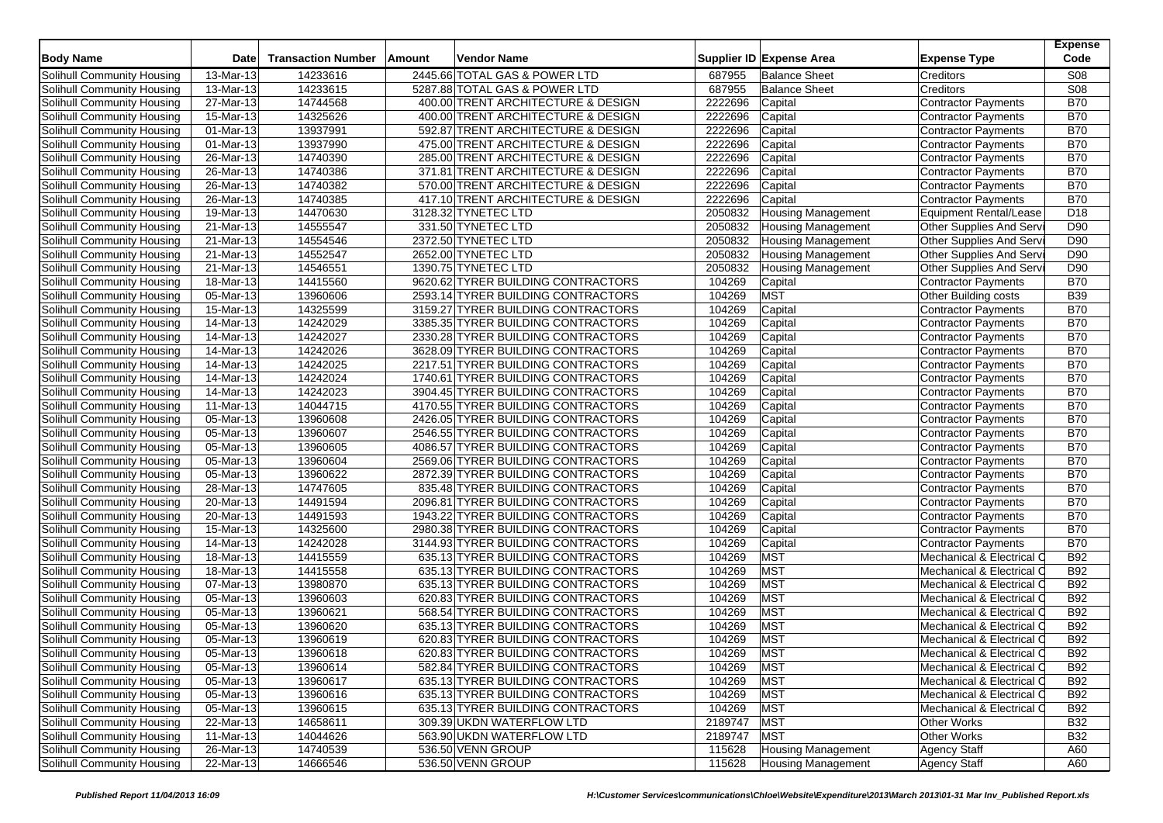| <b>Body Name</b>           | Date                           | <b>Transaction Number</b> | Amount | Vendor Name                        |         | Supplier ID Expense Area  | <b>Expense Type</b>        | <b>Expense</b><br>Code |
|----------------------------|--------------------------------|---------------------------|--------|------------------------------------|---------|---------------------------|----------------------------|------------------------|
| Solihull Community Housing | 13-Mar-13                      | 14233616                  |        | 2445.66 TOTAL GAS & POWER LTD      | 687955  | <b>Balance Sheet</b>      | Creditors                  | S08                    |
| Solihull Community Housing | 13-Mar-13                      | 14233615                  |        | 5287.88 TOTAL GAS & POWER LTD      | 687955  | <b>Balance Sheet</b>      | Creditors                  | <b>S08</b>             |
| Solihull Community Housing | 27-Mar-13                      | 14744568                  |        | 400.00 TRENT ARCHITECTURE & DESIGN | 2222696 | Capital                   | <b>Contractor Payments</b> | <b>B70</b>             |
| Solihull Community Housing | 15-Mar-13                      | 14325626                  |        | 400.00 TRENT ARCHITECTURE & DESIGN | 2222696 | Capital                   | <b>Contractor Payments</b> | <b>B70</b>             |
| Solihull Community Housing | 01-Mar-13                      | 13937991                  |        | 592.87 TRENT ARCHITECTURE & DESIGN | 2222696 | Capital                   | <b>Contractor Payments</b> | <b>B70</b>             |
| Solihull Community Housing | 01-Mar-13                      | 13937990                  |        | 475.00 TRENT ARCHITECTURE & DESIGN | 2222696 | Capital                   | <b>Contractor Payments</b> | <b>B70</b>             |
| Solihull Community Housing | 26-Mar-13                      | 14740390                  |        | 285.00 TRENT ARCHITECTURE & DESIGN | 2222696 | Capital                   | <b>Contractor Payments</b> | <b>B70</b>             |
| Solihull Community Housing | 26-Mar-13                      | 14740386                  |        | 371.81 TRENT ARCHITECTURE & DESIGN | 2222696 | Capital                   | <b>Contractor Payments</b> | <b>B70</b>             |
| Solihull Community Housing | 26-Mar-13                      | 14740382                  |        | 570.00 TRENT ARCHITECTURE & DESIGN | 2222696 | Capital                   | <b>Contractor Payments</b> | <b>B70</b>             |
| Solihull Community Housing | 26-Mar-13                      | 14740385                  |        | 417.10 TRENT ARCHITECTURE & DESIGN | 2222696 | Capital                   | <b>Contractor Payments</b> | <b>B70</b>             |
| Solihull Community Housing | 19-Mar-13                      | 14470630                  |        | 3128.32 TYNETEC LTD                | 2050832 | <b>Housing Management</b> | Equipment Rental/Lease     | D <sub>18</sub>        |
| Solihull Community Housing | 21-Mar-13                      | 14555547                  |        | 331.50 TYNETEC LTD                 | 2050832 | <b>Housing Management</b> | Other Supplies And Serv    | D90                    |
| Solihull Community Housing | $\overline{21}$ -Mar-13        | 14554546                  |        | 2372.50 TYNETEC LTD                | 2050832 | <b>Housing Management</b> | Other Supplies And Serv    | D90                    |
| Solihull Community Housing | 21-Mar-13                      | 14552547                  |        | 2652.00 TYNETEC LTD                | 2050832 | <b>Housing Management</b> | Other Supplies And Serv    | D90                    |
| Solihull Community Housing | 21-Mar-13                      | 14546551                  |        | 1390.75 TYNETEC LTD                | 2050832 | <b>Housing Management</b> | Other Supplies And Serv    | D90                    |
| Solihull Community Housing | 18-Mar-13                      | 14415560                  |        | 9620.62 TYRER BUILDING CONTRACTORS | 104269  | Capital                   | Contractor Payments        | <b>B70</b>             |
| Solihull Community Housing | 05-Mar-13                      | 13960606                  |        | 2593.14 TYRER BUILDING CONTRACTORS | 104269  | <b>MST</b>                | Other Building costs       | <b>B39</b>             |
| Solihull Community Housing | 15-Mar-13                      | 14325599                  |        | 3159.27 TYRER BUILDING CONTRACTORS | 104269  | Capital                   | Contractor Payments        | <b>B70</b>             |
| Solihull Community Housing | 14-Mar-13                      | 14242029                  |        | 3385.35 TYRER BUILDING CONTRACTORS | 104269  | Capital                   | Contractor Payments        | <b>B70</b>             |
| Solihull Community Housing | 14-Mar-13                      | 14242027                  |        | 2330.28 TYRER BUILDING CONTRACTORS | 104269  | Capital                   | <b>Contractor Payments</b> | <b>B70</b>             |
| Solihull Community Housing | $\overline{14\text{-}M}$ ar-13 | 14242026                  |        | 3628.09 TYRER BUILDING CONTRACTORS | 104269  | Capital                   | <b>Contractor Payments</b> | <b>B70</b>             |
| Solihull Community Housing | 14-Mar-13                      | 14242025                  |        | 2217.51 TYRER BUILDING CONTRACTORS | 104269  | Capital                   | <b>Contractor Payments</b> | <b>B70</b>             |
| Solihull Community Housing | 14-Mar-13                      | 14242024                  |        | 1740.61 TYRER BUILDING CONTRACTORS | 104269  | Capital                   | <b>Contractor Payments</b> | <b>B70</b>             |
| Solihull Community Housing | 14-Mar-13                      | 14242023                  |        | 3904.45 TYRER BUILDING CONTRACTORS | 104269  | Capital                   | Contractor Payments        | <b>B70</b>             |
| Solihull Community Housing | 11-Mar-13                      | 14044715                  |        | 4170.55 TYRER BUILDING CONTRACTORS | 104269  | Capital                   | <b>Contractor Payments</b> | <b>B70</b>             |
| Solihull Community Housing | 05-Mar-13                      | 13960608                  |        | 2426.05 TYRER BUILDING CONTRACTORS | 104269  | Capital                   | Contractor Payments        | <b>B70</b>             |
| Solihull Community Housing | 05-Mar-13                      | 13960607                  |        | 2546.55 TYRER BUILDING CONTRACTORS | 104269  | Capital                   | <b>Contractor Payments</b> | <b>B70</b>             |
| Solihull Community Housing | 05-Mar-13                      | 13960605                  |        | 4086.57 TYRER BUILDING CONTRACTORS | 104269  | Capital                   | Contractor Payments        | <b>B70</b>             |
| Solihull Community Housing | 05-Mar-13                      | 13960604                  |        | 2569.06 TYRER BUILDING CONTRACTORS | 104269  | Capital                   | Contractor Payments        | <b>B70</b>             |
| Solihull Community Housing | 05-Mar-13                      | 13960622                  |        | 2872.39 TYRER BUILDING CONTRACTORS | 104269  | Capital                   | Contractor Payments        | <b>B70</b>             |
| Solihull Community Housing | 28-Mar-13                      | 14747605                  |        | 835.48 TYRER BUILDING CONTRACTORS  | 104269  | Capital                   | Contractor Payments        | <b>B70</b>             |
| Solihull Community Housing | 20-Mar-13                      | 14491594                  |        | 2096.81 TYRER BUILDING CONTRACTORS | 104269  | Capital                   | <b>Contractor Payments</b> | <b>B70</b>             |
| Solihull Community Housing | 20-Mar-13                      | 14491593                  |        | 1943.22 TYRER BUILDING CONTRACTORS | 104269  | Capital                   | <b>Contractor Payments</b> | <b>B70</b>             |
| Solihull Community Housing | $\overline{15}$ -Mar-13        | 14325600                  |        | 2980.38 TYRER BUILDING CONTRACTORS | 104269  | Capital                   | <b>Contractor Payments</b> | <b>B70</b>             |
| Solihull Community Housing | 14-Mar-13                      | 14242028                  |        | 3144.93 TYRER BUILDING CONTRACTORS | 104269  | Capital                   | Contractor Payments        | <b>B70</b>             |
| Solihull Community Housing | 18-Mar-13                      | 14415559                  |        | 635.13 TYRER BUILDING CONTRACTORS  | 104269  | <b>MST</b>                | Mechanical & Electrical O  | <b>B92</b>             |
| Solihull Community Housing | 18-Mar-13                      | 14415558                  |        | 635.13 TYRER BUILDING CONTRACTORS  | 104269  | <b>MST</b>                | Mechanical & Electrical C  | <b>B92</b>             |
| Solihull Community Housing | 07-Mar-13                      | 13980870                  |        | 635.13 TYRER BUILDING CONTRACTORS  | 104269  | <b>MST</b>                | Mechanical & Electrical C  | <b>B92</b>             |
| Solihull Community Housing | 05-Mar-13                      | 13960603                  |        | 620.83 TYRER BUILDING CONTRACTORS  | 104269  | <b>MST</b>                | Mechanical & Electrical O  | <b>B92</b>             |
| Solihull Community Housing | 05-Mar-13                      | 13960621                  |        | 568.54 TYRER BUILDING CONTRACTORS  | 104269  | <b>MST</b>                | Mechanical & Electrical C  | <b>B92</b>             |
| Solihull Community Housing | 05-Mar-13                      | 13960620                  |        | 635.13 TYRER BUILDING CONTRACTORS  | 104269  | <b>MST</b>                | Mechanical & Electrical C  | <b>B92</b>             |
| Solihull Community Housing | 05-Mar-13                      | 13960619                  |        | 620.83 TYRER BUILDING CONTRACTORS  | 104269  | <b>MST</b>                | Mechanical & Electrical O  | <b>B92</b>             |
| Solihull Community Housing | 05-Mar-13                      | 13960618                  |        | 620.83 TYRER BUILDING CONTRACTORS  | 104269  | <b>MST</b>                | Mechanical & Electrical O  | <b>B92</b>             |
| Solihull Community Housing | 05-Mar-13                      | 13960614                  |        | 582.84 TYRER BUILDING CONTRACTORS  | 104269  | <b>MST</b>                | Mechanical & Electrical C  | <b>B92</b>             |
| Solihull Community Housing | 05-Mar-13                      | 13960617                  |        | 635.13 TYRER BUILDING CONTRACTORS  | 104269  | <b>MST</b>                | Mechanical & Electrical C  | <b>B92</b>             |
| Solihull Community Housing | 05-Mar-13                      | 13960616                  |        | 635.13 TYRER BUILDING CONTRACTORS  | 104269  | <b>MST</b>                | Mechanical & Electrical O  | <b>B92</b>             |
| Solihull Community Housing | 05-Mar-13                      | 13960615                  |        | 635.13 TYRER BUILDING CONTRACTORS  | 104269  | <b>MST</b>                | Mechanical & Electrical C  | <b>B92</b>             |
| Solihull Community Housing | 22-Mar-13                      | 14658611                  |        | 309.39 UKDN WATERFLOW LTD          | 2189747 | <b>MST</b>                | <b>Other Works</b>         | <b>B32</b>             |
| Solihull Community Housing | 11-Mar-13                      | 14044626                  |        | 563.90 UKDN WATERFLOW LTD          | 2189747 | <b>MST</b>                | Other Works                | <b>B32</b>             |
| Solihull Community Housing | 26-Mar-13                      | 14740539                  |        | 536.50 VENN GROUP                  | 115628  | <b>Housing Management</b> | <b>Agency Staff</b>        | A60                    |
| Solihull Community Housing | 22-Mar-13                      | 14666546                  |        | 536.50 VENN GROUP                  | 115628  | <b>Housing Management</b> |                            | A60                    |
|                            |                                |                           |        |                                    |         |                           | <b>Agency Staff</b>        |                        |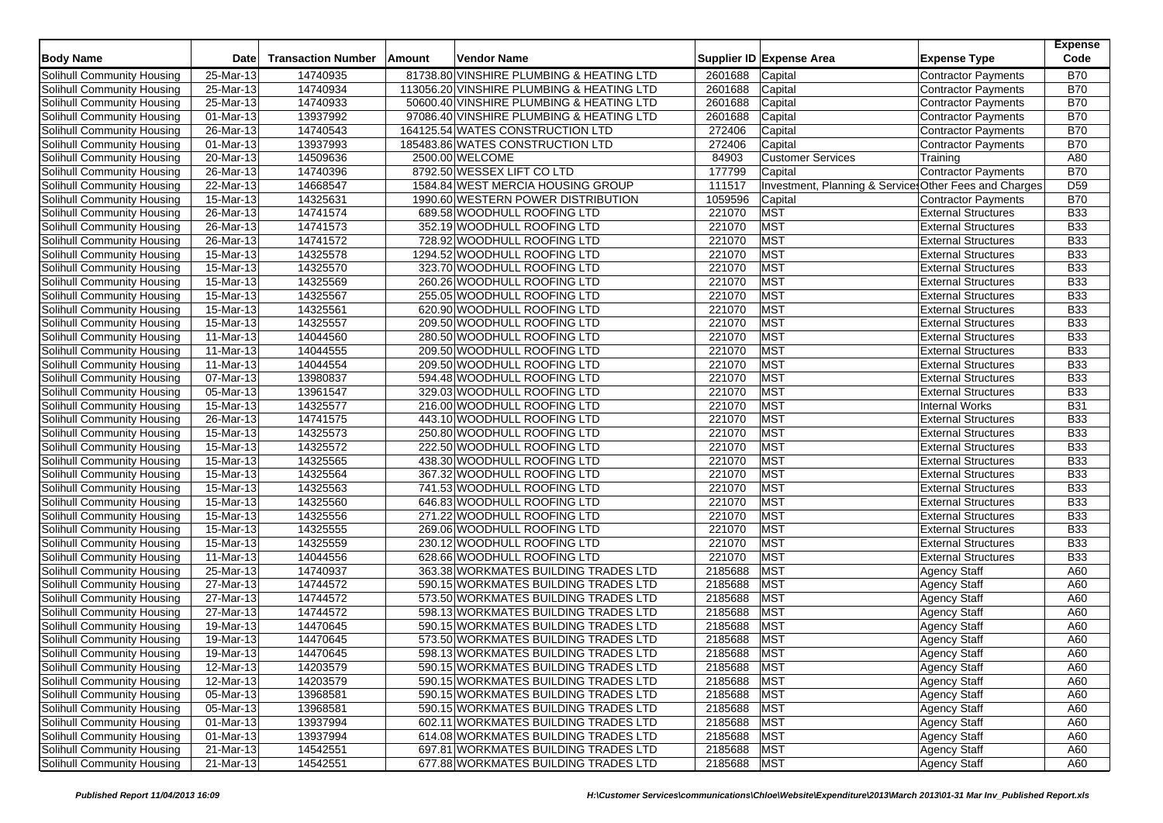| <b>Body Name</b>                  | <b>Date</b>             | <b>Transaction Number</b> | Amount | Vendor Name                               |             | Supplier ID Expense Area                              | <b>Expense Type</b>        | <b>Expense</b><br>Code |
|-----------------------------------|-------------------------|---------------------------|--------|-------------------------------------------|-------------|-------------------------------------------------------|----------------------------|------------------------|
| Solihull Community Housing        | $25$ -Mar-13            | 14740935                  |        | 81738.80 VINSHIRE PLUMBING & HEATING LTD  | 2601688     | Capital                                               | Contractor Payments        | <b>B70</b>             |
| Solihull Community Housing        | 25-Mar-13               | 14740934                  |        | 113056.20 VINSHIRE PLUMBING & HEATING LTD | 2601688     | Capital                                               | <b>Contractor Payments</b> | <b>B70</b>             |
| Solihull Community Housing        | 25-Mar-13               | 14740933                  |        | 50600.40 VINSHIRE PLUMBING & HEATING LTD  | 2601688     | Capital                                               | <b>Contractor Payments</b> | <b>B70</b>             |
| Solihull Community Housing        | 01-Mar-13               | 13937992                  |        | 97086.40 VINSHIRE PLUMBING & HEATING LTD  | 2601688     | Capital                                               | Contractor Payments        | <b>B70</b>             |
| Solihull Community Housing        | 26-Mar-13               | 14740543                  |        | 164125.54 WATES CONSTRUCTION LTD          | 272406      | Capital                                               | <b>Contractor Payments</b> | <b>B70</b>             |
| Solihull Community Housing        | 01-Mar-13               | 13937993                  |        | 185483.86 WATES CONSTRUCTION LTD          | 272406      | Capital                                               | <b>Contractor Payments</b> | <b>B70</b>             |
| Solihull Community Housing        | 20-Mar-13               | 14509636                  |        | 2500.00 WELCOME                           | 84903       | <b>Customer Services</b>                              | Training                   | A80                    |
| Solihull Community Housing        | 26-Mar-13               | 14740396                  |        | 8792.50 WESSEX LIFT CO LTD                | 177799      | Capital                                               | Contractor Payments        | <b>B70</b>             |
| Solihull Community Housing        | 22-Mar-13               | 14668547                  |        | 1584.84 WEST MERCIA HOUSING GROUP         | 111517      | Investment, Planning & Service Other Fees and Charges |                            | D <sub>59</sub>        |
| Solihull Community Housing        | 15-Mar-13               | 14325631                  |        | 1990.60 WESTERN POWER DISTRIBUTION        | 1059596     | Capital                                               | Contractor Payments        | <b>B70</b>             |
| Solihull Community Housing        | 26-Mar-13               | 14741574                  |        | 689.58 WOODHULL ROOFING LTD               | 221070      | <b>MST</b>                                            | <b>External Structures</b> | <b>B33</b>             |
| Solihull Community Housing        | $26$ -Mar-13            | 14741573                  |        | 352.19 WOODHULL ROOFING LTD               | 221070      | MST                                                   | <b>External Structures</b> | <b>B33</b>             |
| Solihull Community Housing        | $\overline{26}$ -Mar-13 | 14741572                  |        | 728.92 WOODHULL ROOFING LTD               | 221070      | <b>MST</b>                                            | <b>External Structures</b> | <b>B33</b>             |
| Solihull Community Housing        | 15-Mar-13               | 14325578                  |        | 1294.52 WOODHULL ROOFING LTD              | 221070      | <b>MST</b>                                            | <b>External Structures</b> | <b>B33</b>             |
| Solihull Community Housing        | 15-Mar-13               | 14325570                  |        | 323.70 WOODHULL ROOFING LTD               | 221070      | <b>MST</b>                                            | <b>External Structures</b> | <b>B33</b>             |
| Solihull Community Housing        | 15-Mar-13               | 14325569                  |        | 260.26 WOODHULL ROOFING LTD               | 221070      | <b>MST</b>                                            | <b>External Structures</b> | <b>B33</b>             |
| Solihull Community Housing        | 15-Mar-13               | 14325567                  |        | 255.05 WOODHULL ROOFING LTD               | 221070      | <b>MST</b>                                            | <b>External Structures</b> | <b>B33</b>             |
| Solihull Community Housing        | 15-Mar-13               | 14325561                  |        | 620.90 WOODHULL ROOFING LTD               | 221070      | MST                                                   | <b>External Structures</b> | <b>B33</b>             |
| Solihull Community Housing        | 15-Mar-13               | 14325557                  |        | 209.50 WOODHULL ROOFING LTD               | 221070      | <b>MST</b>                                            | <b>External Structures</b> | <b>B33</b>             |
| Solihull Community Housing        | 11-Mar-13               | 14044560                  |        | 280.50 WOODHULL ROOFING LTD               | 221070      | <b>MST</b>                                            | <b>External Structures</b> | <b>B33</b>             |
| Solihull Community Housing        | $\overline{11}$ -Mar-13 | 14044555                  |        | 209.50 WOODHULL ROOFING LTD               | 221070      | MST                                                   | <b>External Structures</b> | <b>B33</b>             |
| <b>Solihull Community Housing</b> | 11-Mar-13               | 14044554                  |        | 209.50 WOODHULL ROOFING LTD               | 221070      | <b>MST</b>                                            | <b>External Structures</b> | <b>B33</b>             |
| Solihull Community Housing        | 07-Mar-13               | 13980837                  |        | 594.48 WOODHULL ROOFING LTD               | 221070      | <b>MST</b>                                            | <b>External Structures</b> | <b>B33</b>             |
| Solihull Community Housing        | 05-Mar-13               | 13961547                  |        | 329.03 WOODHULL ROOFING LTD               | 221070      | MST                                                   | <b>External Structures</b> | <b>B33</b>             |
| Solihull Community Housing        | 15-Mar-13               | 14325577                  |        | 216.00 WOODHULL ROOFING LTD               | 221070      | <b>MST</b>                                            | <b>Internal Works</b>      | <b>B31</b>             |
| Solihull Community Housing        | 26-Mar-13               | 14741575                  |        | 443.10 WOODHULL ROOFING LTD               | 221070      | <b>MST</b>                                            | <b>External Structures</b> | <b>B33</b>             |
| Solihull Community Housing        | 15-Mar-13               | 14325573                  |        | 250.80 WOODHULL ROOFING LTD               | 221070      | MST                                                   | <b>External Structures</b> | <b>B33</b>             |
| Solihull Community Housing        | 15-Mar-13               | 14325572                  |        | 222.50 WOODHULL ROOFING LTD               | 221070      | <b>MST</b>                                            | <b>External Structures</b> | <b>B33</b>             |
| Solihull Community Housing        | 15-Mar-13               | 14325565                  |        | 438.30 WOODHULL ROOFING LTD               | 221070      | <b>MST</b>                                            | <b>External Structures</b> | <b>B33</b>             |
| Solihull Community Housing        | 15-Mar-13               | 14325564                  |        | 367.32 WOODHULL ROOFING LTD               | 221070      | MST                                                   | <b>External Structures</b> | <b>B33</b>             |
| Solihull Community Housing        | 15-Mar-13               | 14325563                  |        | 741.53 WOODHULL ROOFING LTD               | 221070      | <b>MST</b>                                            | <b>External Structures</b> | <b>B33</b>             |
| Solihull Community Housing        | 15-Mar-13               | 14325560                  |        | 646.83 WOODHULL ROOFING LTD               | 221070      | <b>MST</b>                                            | <b>External Structures</b> | <b>B33</b>             |
| Solihull Community Housing        | 15-Mar-13               | 14325556                  |        | 271.22 WOODHULL ROOFING LTD               | 221070      | MST                                                   | <b>External Structures</b> | <b>B33</b>             |
| Solihull Community Housing        | 15-Mar-13               | 14325555                  |        | 269.06 WOODHULL ROOFING LTD               | 221070      | <b>MST</b>                                            | <b>External Structures</b> | <b>B33</b>             |
| Solihull Community Housing        | 15-Mar-13               | 14325559                  |        | 230.12 WOODHULL ROOFING LTD               | 221070      | <b>MST</b>                                            | <b>External Structures</b> | <b>B33</b>             |
| Solihull Community Housing        | 11-Mar-13               | 14044556                  |        | 628.66 WOODHULL ROOFING LTD               | 221070      | <b>MST</b>                                            | <b>External Structures</b> | <b>B33</b>             |
| Solihull Community Housing        | 25-Mar-13               | 14740937                  |        | 363.38 WORKMATES BUILDING TRADES LTD      | 2185688     | <b>MST</b>                                            | <b>Agency Staff</b>        | A60                    |
| Solihull Community Housing        | 27-Mar-13               | 14744572                  |        | 590.15 WORKMATES BUILDING TRADES LTD      | 2185688     | MST                                                   | <b>Agency Staff</b>        | A60                    |
| Solihull Community Housing        | 27-Mar-13               | 14744572                  |        | 573.50 WORKMATES BUILDING TRADES LTD      | 2185688     | <b>MST</b>                                            | <b>Agency Staff</b>        | A60                    |
| Solihull Community Housing        | 27-Mar-13               | 14744572                  |        | 598.13 WORKMATES BUILDING TRADES LTD      | 2185688     | <b>MST</b>                                            | <b>Agency Staff</b>        | A60                    |
| Solihull Community Housing        | 19-Mar-13               | 14470645                  |        | 590.15 WORKMATES BUILDING TRADES LTD      | 2185688     | <b>MST</b>                                            | <b>Agency Staff</b>        | A60                    |
| Solihull Community Housing        | 19-Mar-13               | 14470645                  |        | 573.50 WORKMATES BUILDING TRADES LTD      | 2185688     | <b>MST</b>                                            | <b>Agency Staff</b>        | A60                    |
| Solihull Community Housing        | 19-Mar-13               | 14470645                  |        | 598.13 WORKMATES BUILDING TRADES LTD      | 2185688     | MST                                                   | Agency Staff               | A60                    |
| Solihull Community Housing        | 12-Mar-13               | 14203579                  |        | 590.15 WORKMATES BUILDING TRADES LTD      | 2185688 MST |                                                       | <b>Agency Staff</b>        | A60                    |
| Solihull Community Housing        | 12-Mar-13               | 14203579                  |        | 590.15 WORKMATES BUILDING TRADES LTD      | 2185688     | <b>MST</b>                                            | Agency Staff               | A60                    |
| Solihull Community Housing        | 05-Mar-13               | 13968581                  |        | 590.15 WORKMATES BUILDING TRADES LTD      | 2185688     | <b>MST</b>                                            | <b>Agency Staff</b>        | A60                    |
| Solihull Community Housing        | 05-Mar-13               | 13968581                  |        | 590.15 WORKMATES BUILDING TRADES LTD      | 2185688     | MST                                                   | <b>Agency Staff</b>        | A60                    |
| Solihull Community Housing        | 01-Mar-13               | 13937994                  |        | 602.11 WORKMATES BUILDING TRADES LTD      | 2185688     | <b>MST</b>                                            | Agency Staff               | A60                    |
| Solihull Community Housing        | 01-Mar-13               | 13937994                  |        | 614.08 WORKMATES BUILDING TRADES LTD      | 2185688     | <b>MST</b>                                            | Agency Staff               | A60                    |
| Solihull Community Housing        | 21-Mar-13               | 14542551                  |        | 697.81 WORKMATES BUILDING TRADES LTD      | 2185688     | <b>MST</b>                                            | <b>Agency Staff</b>        | A60                    |
| Solihull Community Housing        | 21-Mar-13               | 14542551                  |        | 677.88 WORKMATES BUILDING TRADES LTD      | 2185688 MST |                                                       | Agency Staff               | A60                    |